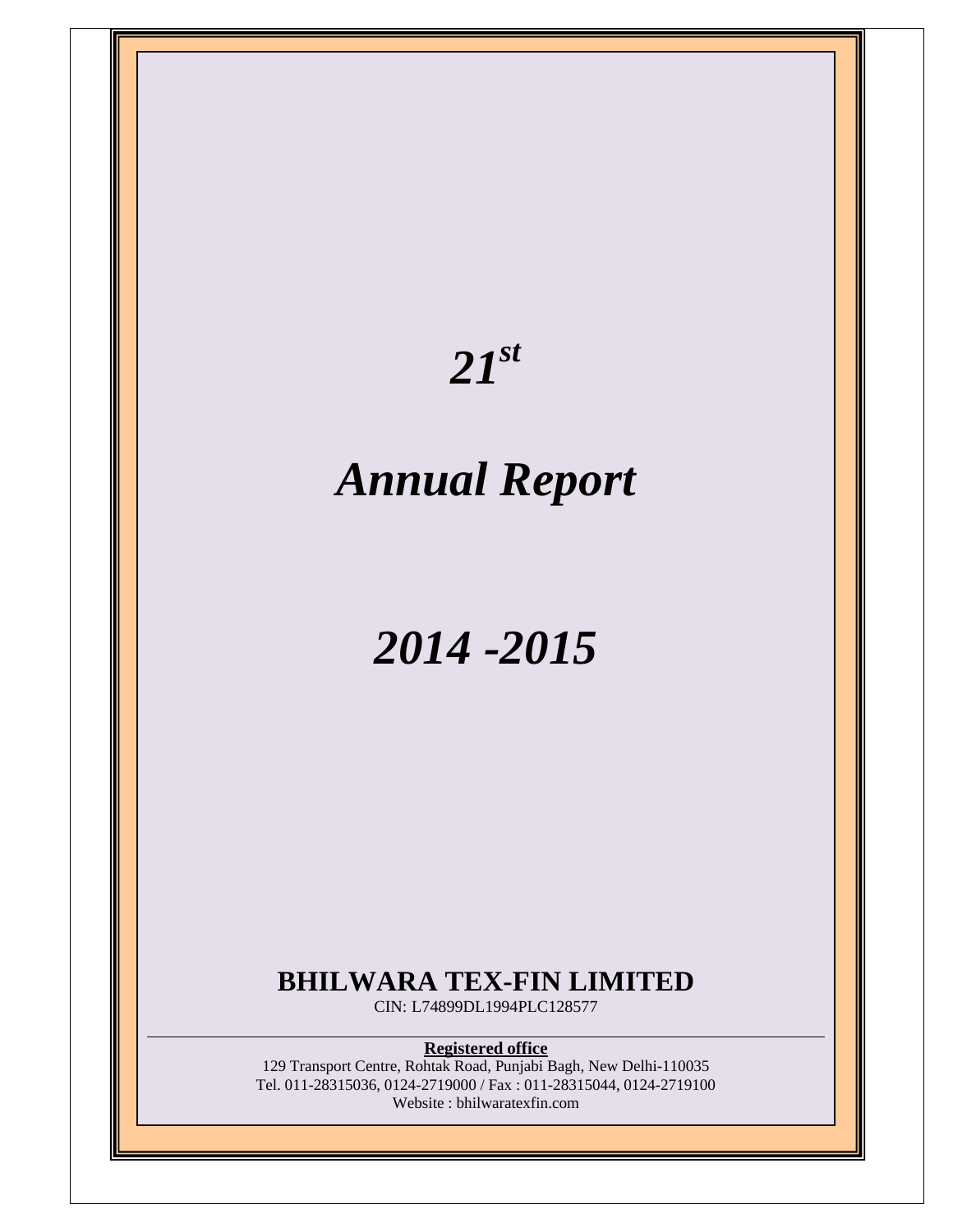# $2I^{st}$

## *Annual Report*

# *2014 -2015*

## **BHILWARA TEX-FIN LIMITED**

CIN: L74899DL1994PLC128577

### **Registered office**

129 Transport Centre, Rohtak Road, Punjabi Bagh, New Delhi-110035 Tel. 011-28315036, 0124-2719000 / Fax : 011-28315044, 0124-2719100 Website : bhilwaratexfin.com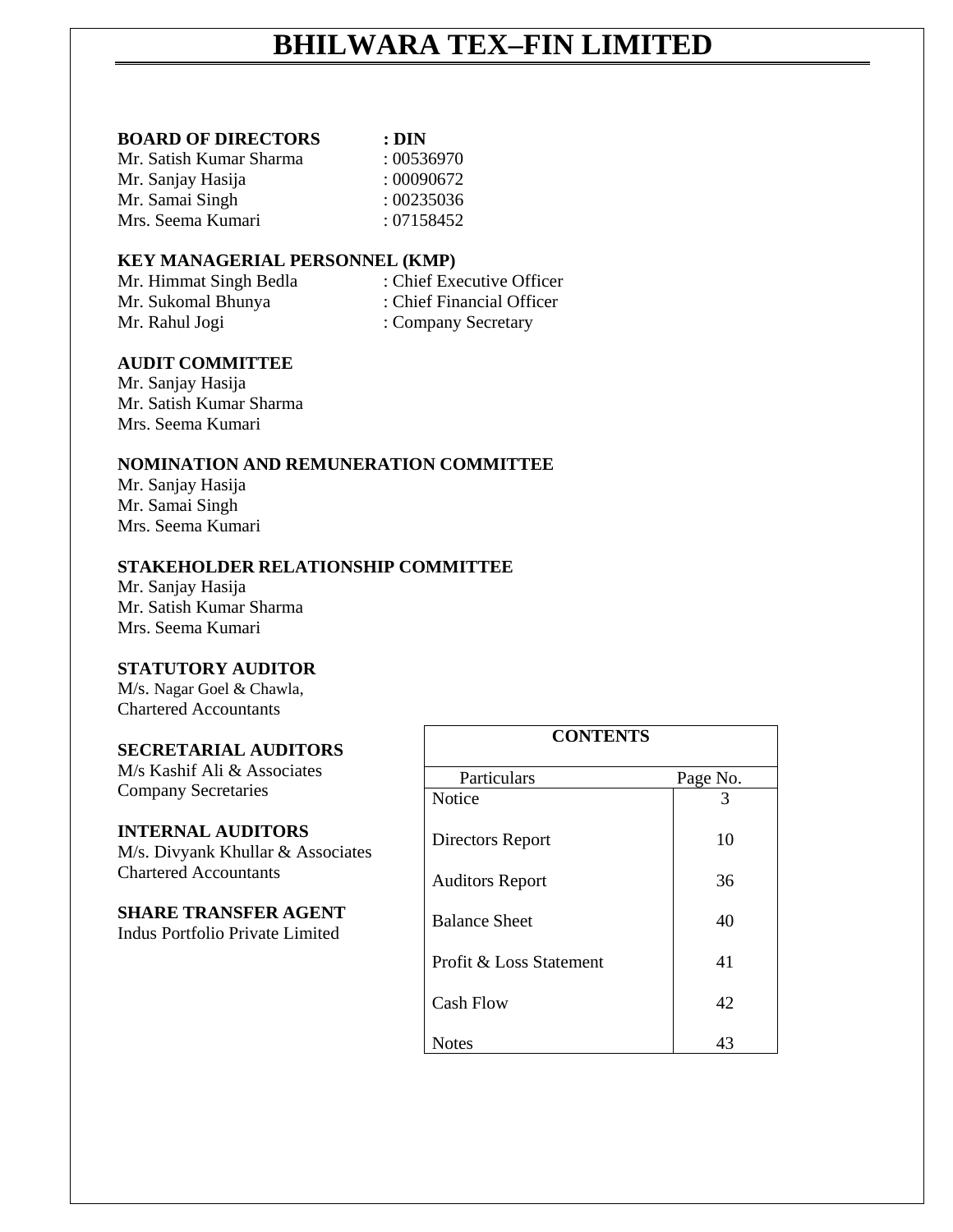### **BOARD OF DIRECTORS : DIN**

| Mr. Satish Kumar Sharma | :00536970  |
|-------------------------|------------|
| Mr. Sanjay Hasija       | :00090672  |
| Mr. Samai Singh         | : 00235036 |
| Mrs. Seema Kumari       | :07158452  |

### **KEY MANAGERIAL PERSONNEL (KMP)**

| Mr. Himmat Singh Bedla | : Chief Executive Officer |
|------------------------|---------------------------|
| Mr. Sukomal Bhunya     | : Chief Financial Officer |
| Mr. Rahul Jogi         | : Company Secretary       |

### **AUDIT COMMITTEE**

Mr. Sanjay Hasija Mr. Satish Kumar Sharma Mrs. Seema Kumari

### **NOMINATION AND REMUNERATION COMMITTEE**

Mr. Sanjay Hasija Mr. Samai Singh Mrs. Seema Kumari

### **STAKEHOLDER RELATIONSHIP COMMITTEE**

Mr. Sanjay Hasija Mr. Satish Kumar Sharma Mrs. Seema Kumari

### **STATUTORY AUDITOR**

M/s. Nagar Goel & Chawla, Chartered Accountants

### **SECRETARIAL AUDITORS**

M/s Kashif Ali & Associates Company Secretaries

#### **INTERNAL AUDITORS**

M/s. Divyank Khullar & Associates Chartered Accountants

#### **SHARE TRANSFER AGENT**  Indus Portfolio Private Limited

| <b>CONTENTS</b>         |          |  |  |
|-------------------------|----------|--|--|
| Particulars             | Page No. |  |  |
| Notice                  | 3        |  |  |
| Directors Report        | 10       |  |  |
| <b>Auditors Report</b>  | 36       |  |  |
| <b>Balance Sheet</b>    | 40       |  |  |
| Profit & Loss Statement | 41       |  |  |
| <b>Cash Flow</b>        | 42       |  |  |
| Notes                   | 43       |  |  |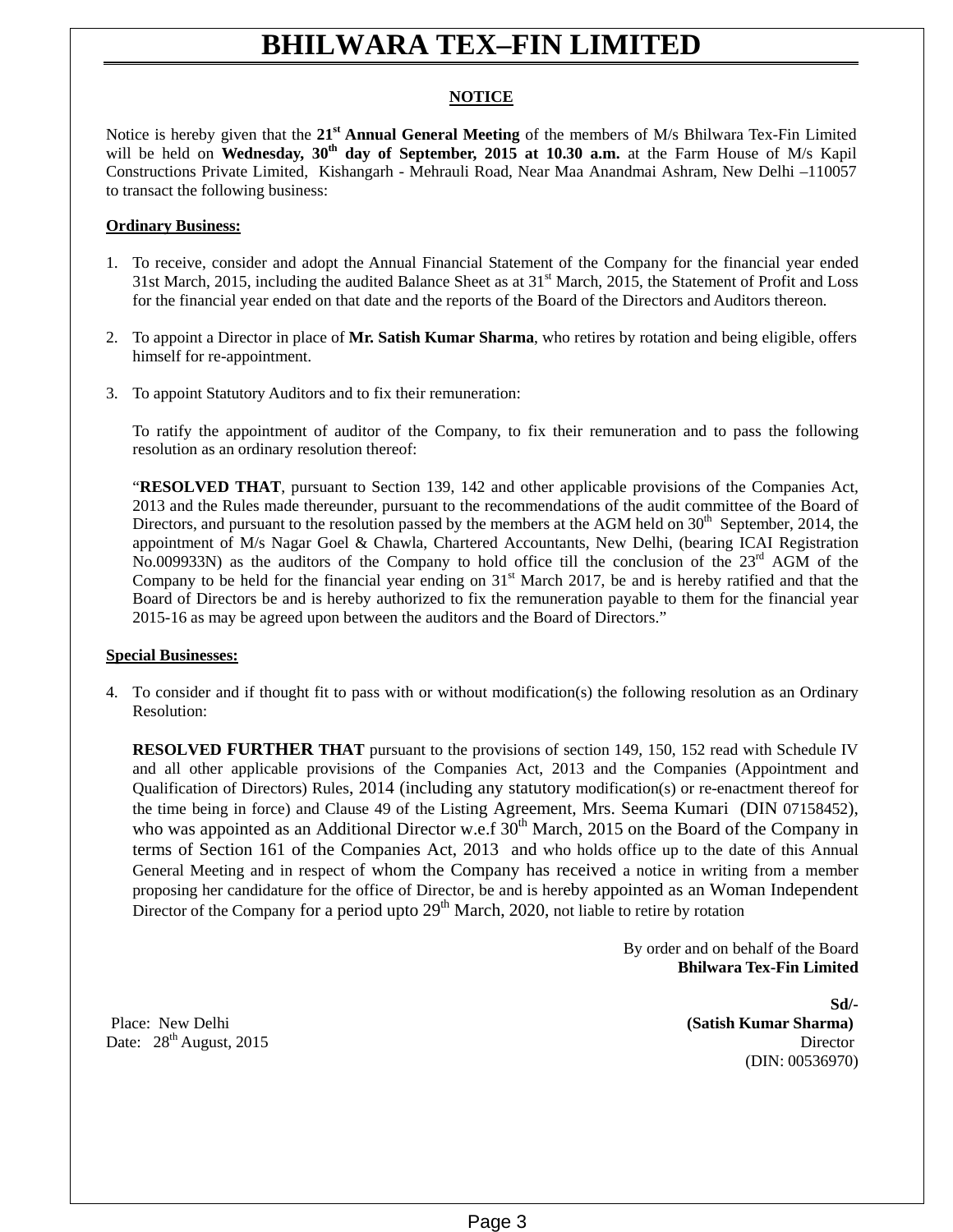### **NOTICE**

Notice is hereby given that the **21st Annual General Meeting** of the members of M/s Bhilwara Tex-Fin Limited will be held on Wednesday, 30<sup>th</sup> day of September, 2015 at 10.30 a.m. at the Farm House of M/s Kapil Constructions Private Limited, Kishangarh - Mehrauli Road, Near Maa Anandmai Ashram, New Delhi –110057 to transact the following business:

#### **Ordinary Business:**

- 1. To receive, consider and adopt the Annual Financial Statement of the Company for the financial year ended 31st March, 2015, including the audited Balance Sheet as at 31<sup>st</sup> March, 2015, the Statement of Profit and Loss for the financial year ended on that date and the reports of the Board of the Directors and Auditors thereon.
- 2. To appoint a Director in place of **Mr. Satish Kumar Sharma**, who retires by rotation and being eligible, offers himself for re-appointment.
- 3. To appoint Statutory Auditors and to fix their remuneration:

To ratify the appointment of auditor of the Company, to fix their remuneration and to pass the following resolution as an ordinary resolution thereof:

"**RESOLVED THAT**, pursuant to Section 139, 142 and other applicable provisions of the Companies Act, 2013 and the Rules made thereunder, pursuant to the recommendations of the audit committee of the Board of Directors, and pursuant to the resolution passed by the members at the AGM held on  $30<sup>th</sup>$  September, 2014, the appointment of M/s Nagar Goel & Chawla, Chartered Accountants, New Delhi, (bearing ICAI Registration No.009933N) as the auditors of the Company to hold office till the conclusion of the  $23<sup>rd</sup>$  AGM of the Company to be held for the financial year ending on  $31<sup>st</sup>$  March 2017, be and is hereby ratified and that the Board of Directors be and is hereby authorized to fix the remuneration payable to them for the financial year 2015-16 as may be agreed upon between the auditors and the Board of Directors."

#### **Special Businesses:**

4. To consider and if thought fit to pass with or without modification(s) the following resolution as an Ordinary Resolution:

**RESOLVED FURTHER THAT** pursuant to the provisions of section 149, 150, 152 read with Schedule IV and all other applicable provisions of the Companies Act, 2013 and the Companies (Appointment and Qualification of Directors) Rules, 2014 (including any statutory modification(s) or re-enactment thereof for the time being in force) and Clause 49 of the Listing Agreement, Mrs. Seema Kumari (DIN 07158452), who was appointed as an Additional Director w.e.f  $30<sup>th</sup>$  March, 2015 on the Board of the Company in terms of Section 161 of the Companies Act, 2013 and who holds office up to the date of this Annual General Meeting and in respect of whom the Company has received a notice in writing from a member proposing her candidature for the office of Director, be and is hereby appointed as an Woman Independent Director of the Company for a period upto  $29<sup>th</sup>$  March, 2020, not liable to retire by rotation

> By order and on behalf of the Board **Bhilwara Tex-Fin Limited**

**Sd/- Sd/- Sd/- Sd/- Sd/- Sd/- Sd/- Sd** Place: New Delhi **(Satish Kumar Sharma)**  Date: 28<sup>th</sup> August, 2015 (DIN: 00536970)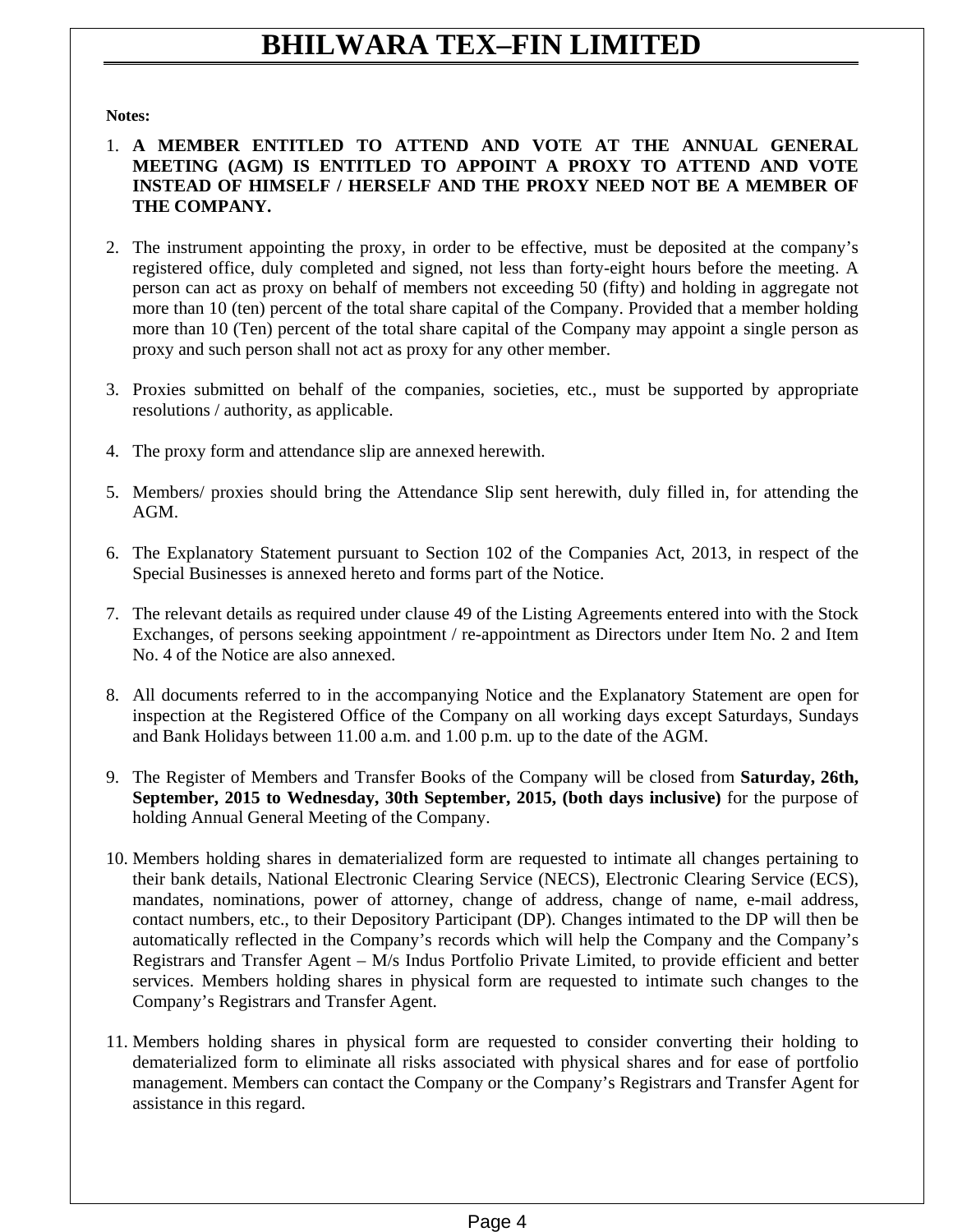**Notes:** 

- 1. **A MEMBER ENTITLED TO ATTEND AND VOTE AT THE ANNUAL GENERAL MEETING (AGM) IS ENTITLED TO APPOINT A PROXY TO ATTEND AND VOTE INSTEAD OF HIMSELF / HERSELF AND THE PROXY NEED NOT BE A MEMBER OF THE COMPANY.**
- 2. The instrument appointing the proxy, in order to be effective, must be deposited at the company's registered office, duly completed and signed, not less than forty-eight hours before the meeting. A person can act as proxy on behalf of members not exceeding 50 (fifty) and holding in aggregate not more than 10 (ten) percent of the total share capital of the Company. Provided that a member holding more than 10 (Ten) percent of the total share capital of the Company may appoint a single person as proxy and such person shall not act as proxy for any other member.
- 3. Proxies submitted on behalf of the companies, societies, etc., must be supported by appropriate resolutions / authority, as applicable.
- 4. The proxy form and attendance slip are annexed herewith.
- 5. Members/ proxies should bring the Attendance Slip sent herewith, duly filled in, for attending the AGM.
- 6. The Explanatory Statement pursuant to Section 102 of the Companies Act, 2013, in respect of the Special Businesses is annexed hereto and forms part of the Notice.
- 7. The relevant details as required under clause 49 of the Listing Agreements entered into with the Stock Exchanges, of persons seeking appointment / re-appointment as Directors under Item No. 2 and Item No. 4 of the Notice are also annexed.
- 8. All documents referred to in the accompanying Notice and the Explanatory Statement are open for inspection at the Registered Office of the Company on all working days except Saturdays, Sundays and Bank Holidays between 11.00 a.m. and 1.00 p.m. up to the date of the AGM.
- 9. The Register of Members and Transfer Books of the Company will be closed from **Saturday, 26th, September, 2015 to Wednesday, 30th September, 2015, (both days inclusive)** for the purpose of holding Annual General Meeting of the Company.
- 10. Members holding shares in dematerialized form are requested to intimate all changes pertaining to their bank details, National Electronic Clearing Service (NECS), Electronic Clearing Service (ECS), mandates, nominations, power of attorney, change of address, change of name, e-mail address, contact numbers, etc., to their Depository Participant (DP). Changes intimated to the DP will then be automatically reflected in the Company's records which will help the Company and the Company's Registrars and Transfer Agent – M/s Indus Portfolio Private Limited, to provide efficient and better services. Members holding shares in physical form are requested to intimate such changes to the Company's Registrars and Transfer Agent.
- 11. Members holding shares in physical form are requested to consider converting their holding to dematerialized form to eliminate all risks associated with physical shares and for ease of portfolio management. Members can contact the Company or the Company's Registrars and Transfer Agent for assistance in this regard.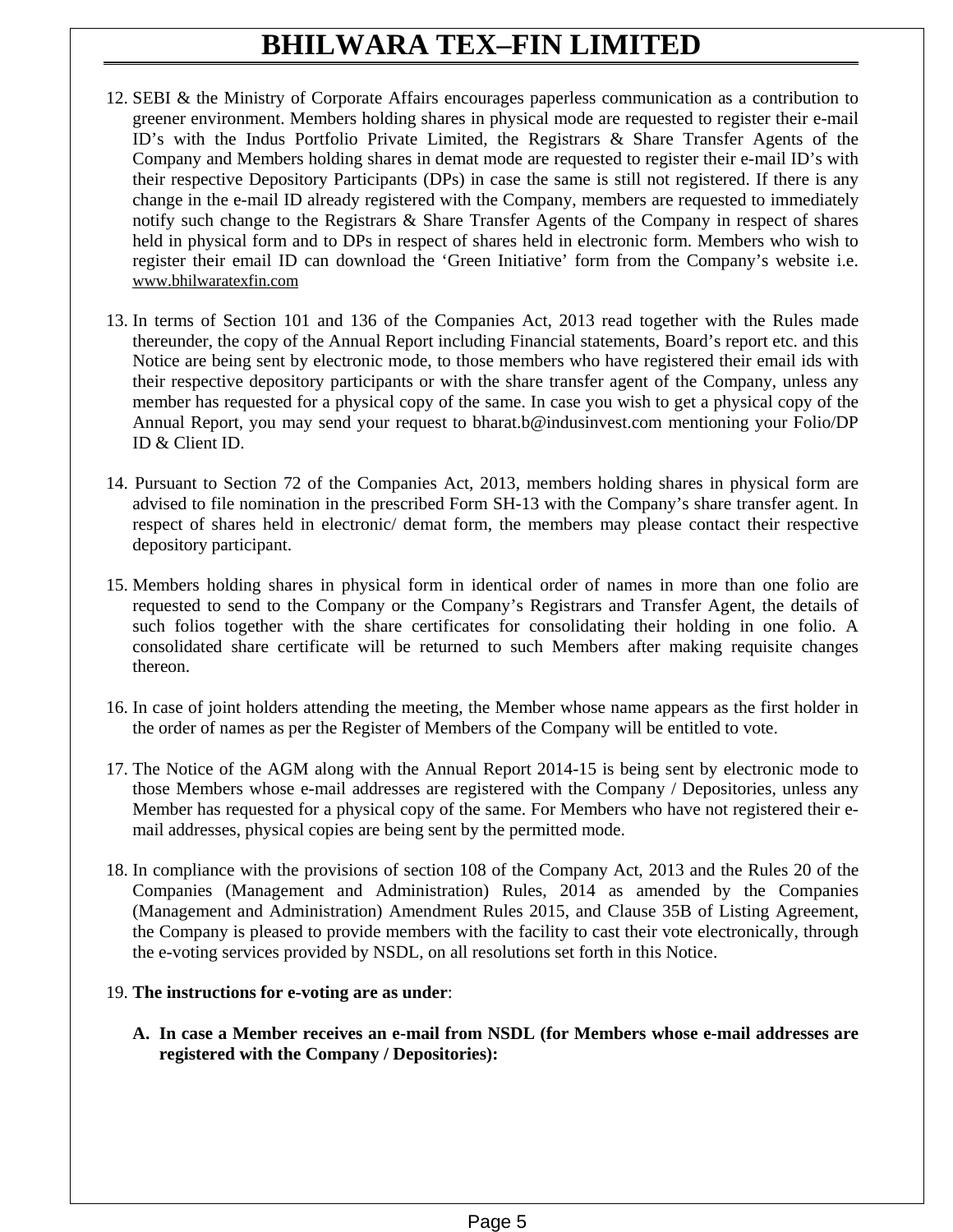- 12. SEBI & the Ministry of Corporate Affairs encourages paperless communication as a contribution to greener environment. Members holding shares in physical mode are requested to register their e-mail ID's with the Indus Portfolio Private Limited, the Registrars & Share Transfer Agents of the Company and Members holding shares in demat mode are requested to register their e-mail ID's with their respective Depository Participants (DPs) in case the same is still not registered. If there is any change in the e-mail ID already registered with the Company, members are requested to immediately notify such change to the Registrars & Share Transfer Agents of the Company in respect of shares held in physical form and to DPs in respect of shares held in electronic form. Members who wish to register their email ID can download the 'Green Initiative' form from the Company's website i.e. www.bhilwaratexfin.com
- 13. In terms of Section 101 and 136 of the Companies Act, 2013 read together with the Rules made thereunder, the copy of the Annual Report including Financial statements, Board's report etc. and this Notice are being sent by electronic mode, to those members who have registered their email ids with their respective depository participants or with the share transfer agent of the Company, unless any member has requested for a physical copy of the same. In case you wish to get a physical copy of the Annual Report, you may send your request to bharat.b@indusinvest.com mentioning your Folio/DP ID & Client ID.
- 14. Pursuant to Section 72 of the Companies Act, 2013, members holding shares in physical form are advised to file nomination in the prescribed Form SH-13 with the Company's share transfer agent. In respect of shares held in electronic/ demat form, the members may please contact their respective depository participant.
- 15. Members holding shares in physical form in identical order of names in more than one folio are requested to send to the Company or the Company's Registrars and Transfer Agent, the details of such folios together with the share certificates for consolidating their holding in one folio. A consolidated share certificate will be returned to such Members after making requisite changes thereon.
- 16. In case of joint holders attending the meeting, the Member whose name appears as the first holder in the order of names as per the Register of Members of the Company will be entitled to vote.
- 17. The Notice of the AGM along with the Annual Report 2014-15 is being sent by electronic mode to those Members whose e-mail addresses are registered with the Company / Depositories, unless any Member has requested for a physical copy of the same. For Members who have not registered their email addresses, physical copies are being sent by the permitted mode.
- 18. In compliance with the provisions of section 108 of the Company Act, 2013 and the Rules 20 of the Companies (Management and Administration) Rules, 2014 as amended by the Companies (Management and Administration) Amendment Rules 2015, and Clause 35B of Listing Agreement, the Company is pleased to provide members with the facility to cast their vote electronically, through the e-voting services provided by NSDL, on all resolutions set forth in this Notice.

### 19. **The instructions for e-voting are as under**:

**A. In case a Member receives an e-mail from NSDL (for Members whose e-mail addresses are registered with the Company / Depositories):**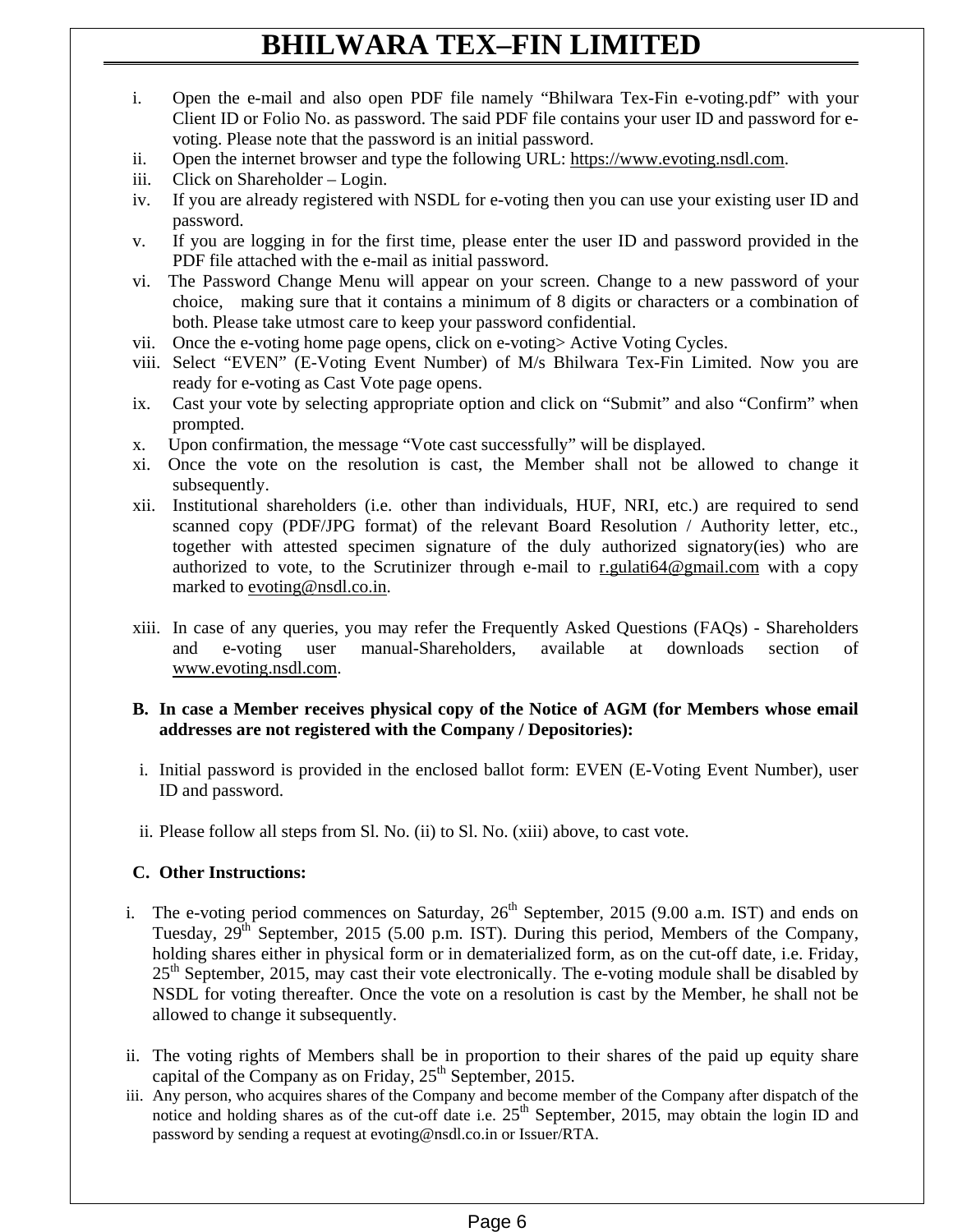- i. Open the e-mail and also open PDF file namely "Bhilwara Tex-Fin e-voting.pdf" with your Client ID or Folio No. as password. The said PDF file contains your user ID and password for evoting. Please note that the password is an initial password.
- ii. Open the internet browser and type the following URL: https://www.evoting.nsdl.com.
- iii. Click on Shareholder Login.
- iv. If you are already registered with NSDL for e-voting then you can use your existing user ID and password.
- v. If you are logging in for the first time, please enter the user ID and password provided in the PDF file attached with the e-mail as initial password.
- vi. The Password Change Menu will appear on your screen. Change to a new password of your choice, making sure that it contains a minimum of 8 digits or characters or a combination of both. Please take utmost care to keep your password confidential.
- vii. Once the e-voting home page opens, click on e-voting> Active Voting Cycles.
- viii. Select "EVEN" (E-Voting Event Number) of M/s Bhilwara Tex-Fin Limited. Now you are ready for e-voting as Cast Vote page opens.
- ix. Cast your vote by selecting appropriate option and click on "Submit" and also "Confirm" when prompted.
- x. Upon confirmation, the message "Vote cast successfully" will be displayed.
- xi. Once the vote on the resolution is cast, the Member shall not be allowed to change it subsequently.
- xii. Institutional shareholders (i.e. other than individuals, HUF, NRI, etc.) are required to send scanned copy (PDF/JPG format) of the relevant Board Resolution / Authority letter, etc., together with attested specimen signature of the duly authorized signatory(ies) who are authorized to vote, to the Scrutinizer through e-mail to regulation  $\frac{1}{2}$  mail.com with a copy marked to evoting@nsdl.co.in.
- xiii. In case of any queries, you may refer the Frequently Asked Questions (FAQs) Shareholders and e-voting user manual-Shareholders, available at downloads section of www.evoting.nsdl.com.

### **B. In case a Member receives physical copy of the Notice of AGM (for Members whose email addresses are not registered with the Company / Depositories):**

- i. Initial password is provided in the enclosed ballot form: EVEN (E-Voting Event Number), user ID and password.
- ii. Please follow all steps from Sl. No. (ii) to Sl. No. (xiii) above, to cast vote.

### **C. Other Instructions:**

- i. The e-voting period commences on Saturday,  $26<sup>th</sup>$  September, 2015 (9.00 a.m. IST) and ends on Tuesday,  $29<sup>th</sup>$  September, 2015 (5.00 p.m. IST). During this period, Members of the Company, holding shares either in physical form or in dematerialized form, as on the cut-off date, i.e. Friday,  $25<sup>th</sup>$  September, 2015, may cast their vote electronically. The e-voting module shall be disabled by NSDL for voting thereafter. Once the vote on a resolution is cast by the Member, he shall not be allowed to change it subsequently.
- ii. The voting rights of Members shall be in proportion to their shares of the paid up equity share capital of the Company as on Friday,  $25<sup>th</sup>$  September, 2015.
- iii. Any person, who acquires shares of the Company and become member of the Company after dispatch of the notice and holding shares as of the cut-off date i.e.  $25<sup>th</sup>$  September, 2015, may obtain the login ID and password by sending a request at evoting@nsdl.co.in or Issuer/RTA.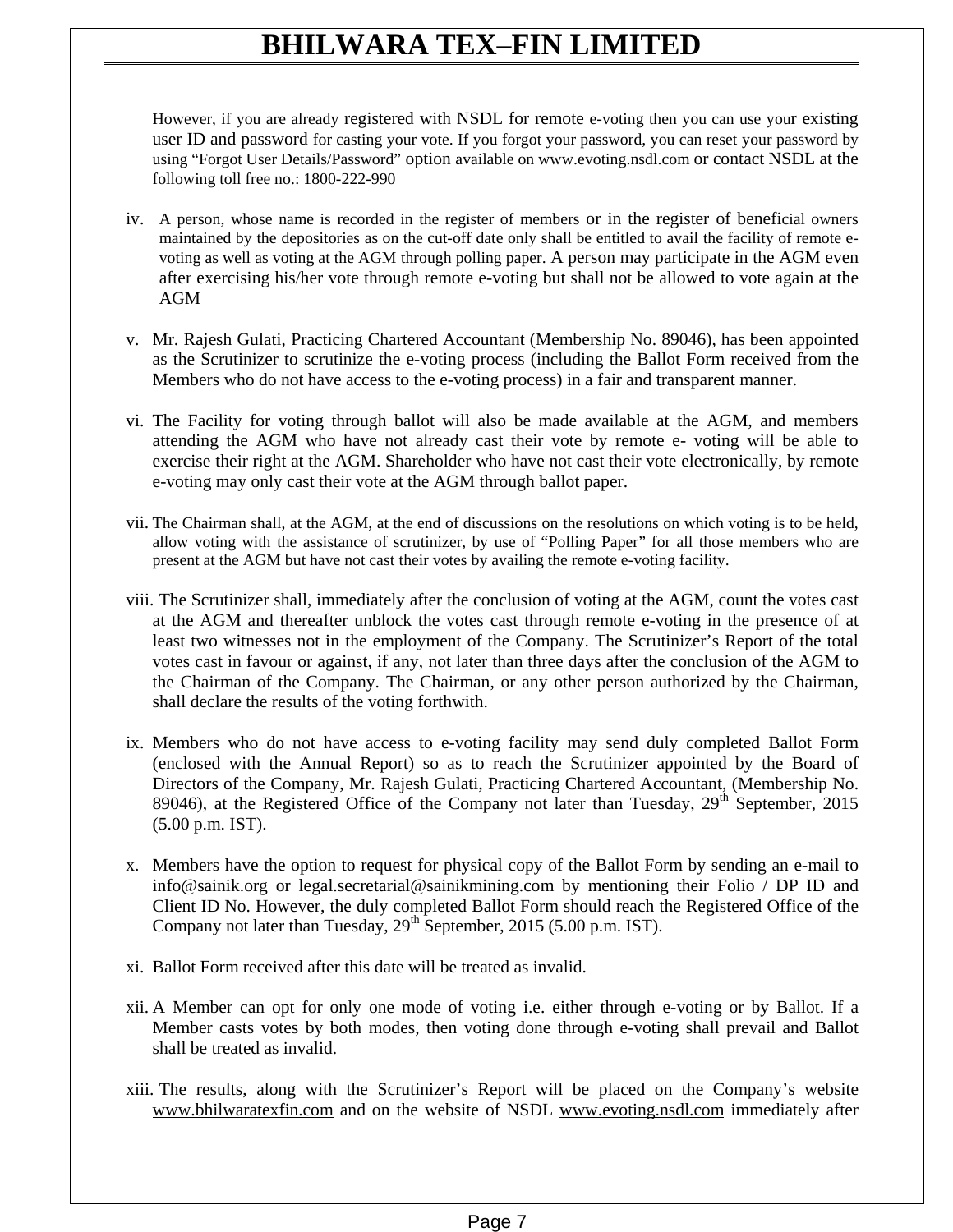However, if you are already registered with NSDL for remote e-voting then you can use your existing user ID and password for casting your vote. If you forgot your password, you can reset your password by using "Forgot User Details/Password" option available on www.evoting.nsdl.com or contact NSDL at the following toll free no.: 1800-222-990

- iv. A person, whose name is recorded in the register of members or in the register of beneficial owners maintained by the depositories as on the cut-off date only shall be entitled to avail the facility of remote evoting as well as voting at the AGM through polling paper. A person may participate in the AGM even after exercising his/her vote through remote e-voting but shall not be allowed to vote again at the AGM
- v. Mr. Rajesh Gulati, Practicing Chartered Accountant (Membership No. 89046), has been appointed as the Scrutinizer to scrutinize the e-voting process (including the Ballot Form received from the Members who do not have access to the e-voting process) in a fair and transparent manner.
- vi. The Facility for voting through ballot will also be made available at the AGM, and members attending the AGM who have not already cast their vote by remote e- voting will be able to exercise their right at the AGM. Shareholder who have not cast their vote electronically, by remote e-voting may only cast their vote at the AGM through ballot paper.
- vii. The Chairman shall, at the AGM, at the end of discussions on the resolutions on which voting is to be held, allow voting with the assistance of scrutinizer, by use of "Polling Paper" for all those members who are present at the AGM but have not cast their votes by availing the remote e-voting facility.
- viii. The Scrutinizer shall, immediately after the conclusion of voting at the AGM, count the votes cast at the AGM and thereafter unblock the votes cast through remote e-voting in the presence of at least two witnesses not in the employment of the Company. The Scrutinizer's Report of the total votes cast in favour or against, if any, not later than three days after the conclusion of the AGM to the Chairman of the Company. The Chairman, or any other person authorized by the Chairman, shall declare the results of the voting forthwith.
- ix. Members who do not have access to e-voting facility may send duly completed Ballot Form (enclosed with the Annual Report) so as to reach the Scrutinizer appointed by the Board of Directors of the Company, Mr. Rajesh Gulati, Practicing Chartered Accountant, (Membership No. 89046), at the Registered Office of the Company not later than Tuesday,  $29<sup>th</sup>$  September, 2015 (5.00 p.m. IST).
- x. Members have the option to request for physical copy of the Ballot Form by sending an e-mail to info@sainik.org or legal.secretarial@sainikmining.com by mentioning their Folio / DP ID and Client ID No. However, the duly completed Ballot Form should reach the Registered Office of the Company not later than Tuesday,  $29<sup>th</sup>$  September, 2015 (5.00 p.m. IST).
- xi. Ballot Form received after this date will be treated as invalid.
- xii. A Member can opt for only one mode of voting i.e. either through e-voting or by Ballot. If a Member casts votes by both modes, then voting done through e-voting shall prevail and Ballot shall be treated as invalid.
- xiii. The results, along with the Scrutinizer's Report will be placed on the Company's website www.bhilwaratexfin.com and on the website of NSDL www.evoting.nsdl.com immediately after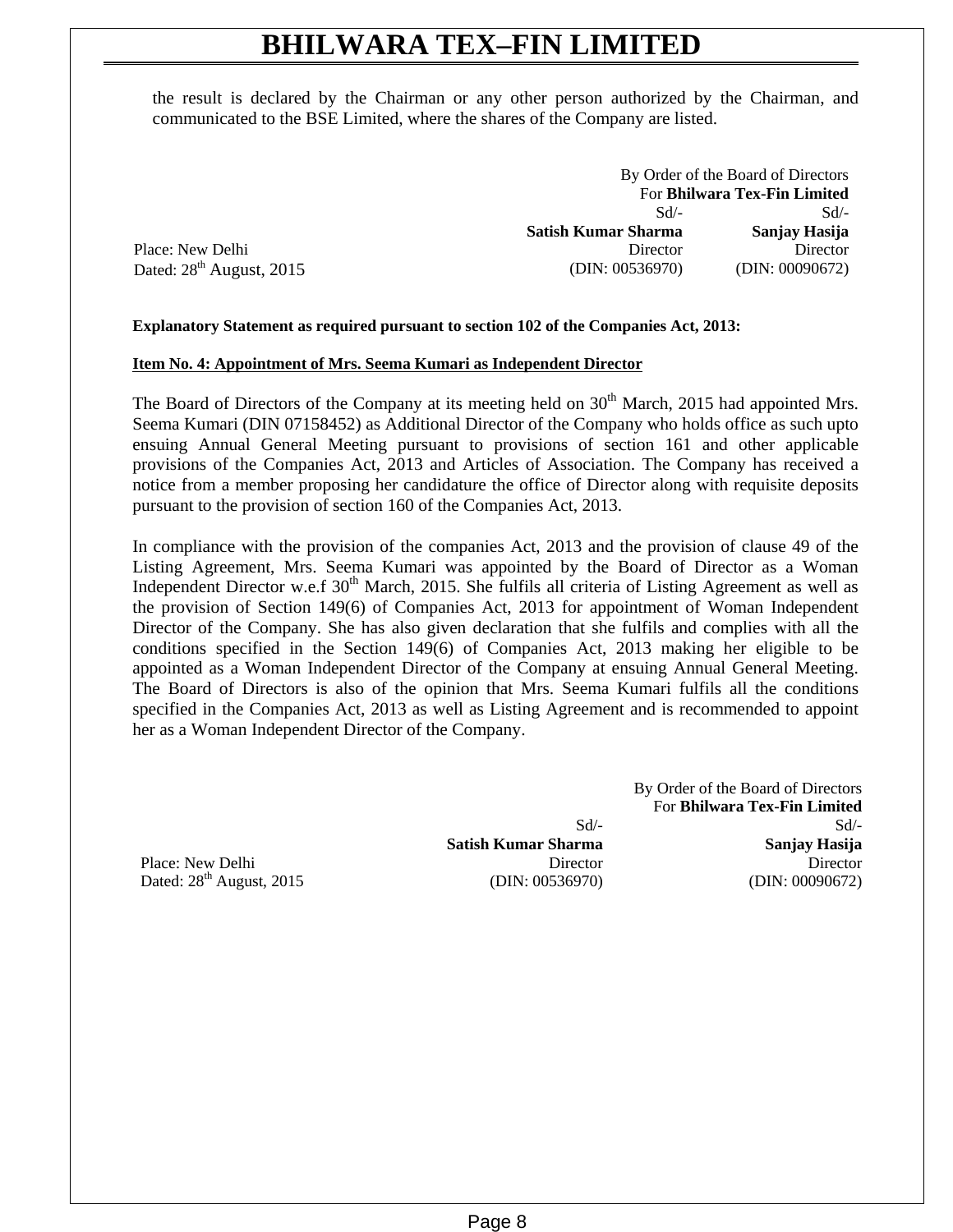the result is declared by the Chairman or any other person authorized by the Chairman, and communicated to the BSE Limited, where the shares of the Company are listed.

|                               |                     | By Order of the Board of Directors |
|-------------------------------|---------------------|------------------------------------|
|                               |                     | For Bhilwara Tex-Fin Limited       |
|                               | $Sd$ /-             | $Sd/-$                             |
|                               | Satish Kumar Sharma | Sanjay Hasija                      |
| Place: New Delhi              | Director            | Director                           |
| Dated: $28^{th}$ August, 2015 | (DIN: 00536970)     | (DIN: 00090672)                    |

#### **Explanatory Statement as required pursuant to section 102 of the Companies Act, 2013:**

#### **Item No. 4: Appointment of Mrs. Seema Kumari as Independent Director**

The Board of Directors of the Company at its meeting held on  $30<sup>th</sup>$  March, 2015 had appointed Mrs. Seema Kumari (DIN 07158452) as Additional Director of the Company who holds office as such upto ensuing Annual General Meeting pursuant to provisions of section 161 and other applicable provisions of the Companies Act, 2013 and Articles of Association. The Company has received a notice from a member proposing her candidature the office of Director along with requisite deposits pursuant to the provision of section 160 of the Companies Act, 2013.

In compliance with the provision of the companies Act, 2013 and the provision of clause 49 of the Listing Agreement, Mrs. Seema Kumari was appointed by the Board of Director as a Woman Independent Director w.e.f 30<sup>th</sup> March, 2015. She fulfils all criteria of Listing Agreement as well as the provision of Section 149(6) of Companies Act, 2013 for appointment of Woman Independent Director of the Company. She has also given declaration that she fulfils and complies with all the conditions specified in the Section 149(6) of Companies Act, 2013 making her eligible to be appointed as a Woman Independent Director of the Company at ensuing Annual General Meeting. The Board of Directors is also of the opinion that Mrs. Seema Kumari fulfils all the conditions specified in the Companies Act, 2013 as well as Listing Agreement and is recommended to appoint her as a Woman Independent Director of the Company.

Place: New Delhi Dated:  $28<sup>th</sup>$  August, 2015

 Sd/- **Satish Kumar Sharma** Director (DIN: 00536970) By Order of the Board of Directors For **Bhilwara Tex-Fin Limited** Sd/- **Sanjay Hasija Director** (DIN: 00090672)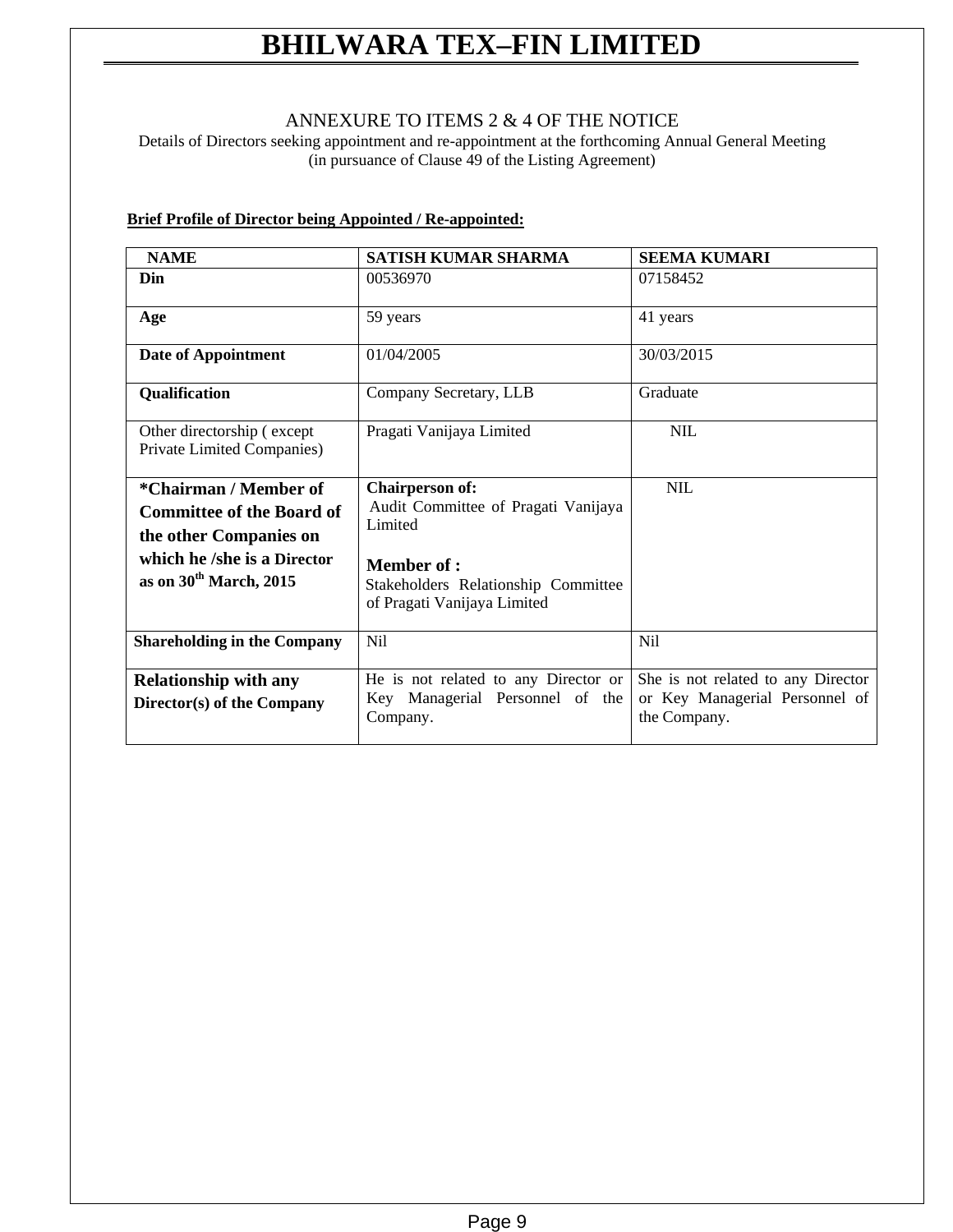### ANNEXURE TO ITEMS 2 & 4 OF THE NOTICE

Details of Directors seeking appointment and re-appointment at the forthcoming Annual General Meeting (in pursuance of Clause 49 of the Listing Agreement)

## **Brief Profile of Director being Appointed / Re-appointed:**

| <b>NAME</b>                                                                         | <b>SATISH KUMAR SHARMA</b>                                                                                                                                                  | <b>SEEMA KUMARI</b> |
|-------------------------------------------------------------------------------------|-----------------------------------------------------------------------------------------------------------------------------------------------------------------------------|---------------------|
| Din                                                                                 | 00536970                                                                                                                                                                    | 07158452            |
| Age                                                                                 | 59 years                                                                                                                                                                    | 41 years            |
| Date of Appointment                                                                 | 01/04/2005                                                                                                                                                                  | 30/03/2015          |
| Qualification                                                                       | Company Secretary, LLB                                                                                                                                                      | Graduate            |
| Other directorship (except<br><b>Private Limited Companies)</b>                     | Pragati Vanijaya Limited                                                                                                                                                    | <b>NIL</b>          |
| *Chairman / Member of<br><b>Committee of the Board of</b><br>the other Companies on | <b>Chairperson of:</b><br>Audit Committee of Pragati Vanijaya<br>Limited                                                                                                    | <b>NIL</b>          |
| which he /she is a Director<br>as on $30th$ March, 2015                             | <b>Member of :</b><br>Stakeholders Relationship Committee<br>of Pragati Vanijaya Limited                                                                                    |                     |
| <b>Shareholding in the Company</b>                                                  | <b>Nil</b>                                                                                                                                                                  | Nil                 |
| <b>Relationship with any</b><br>Director(s) of the Company                          | He is not related to any Director or<br>She is not related to any Director<br>Key Managerial Personnel of the<br>or Key Managerial Personnel of<br>the Company.<br>Company. |                     |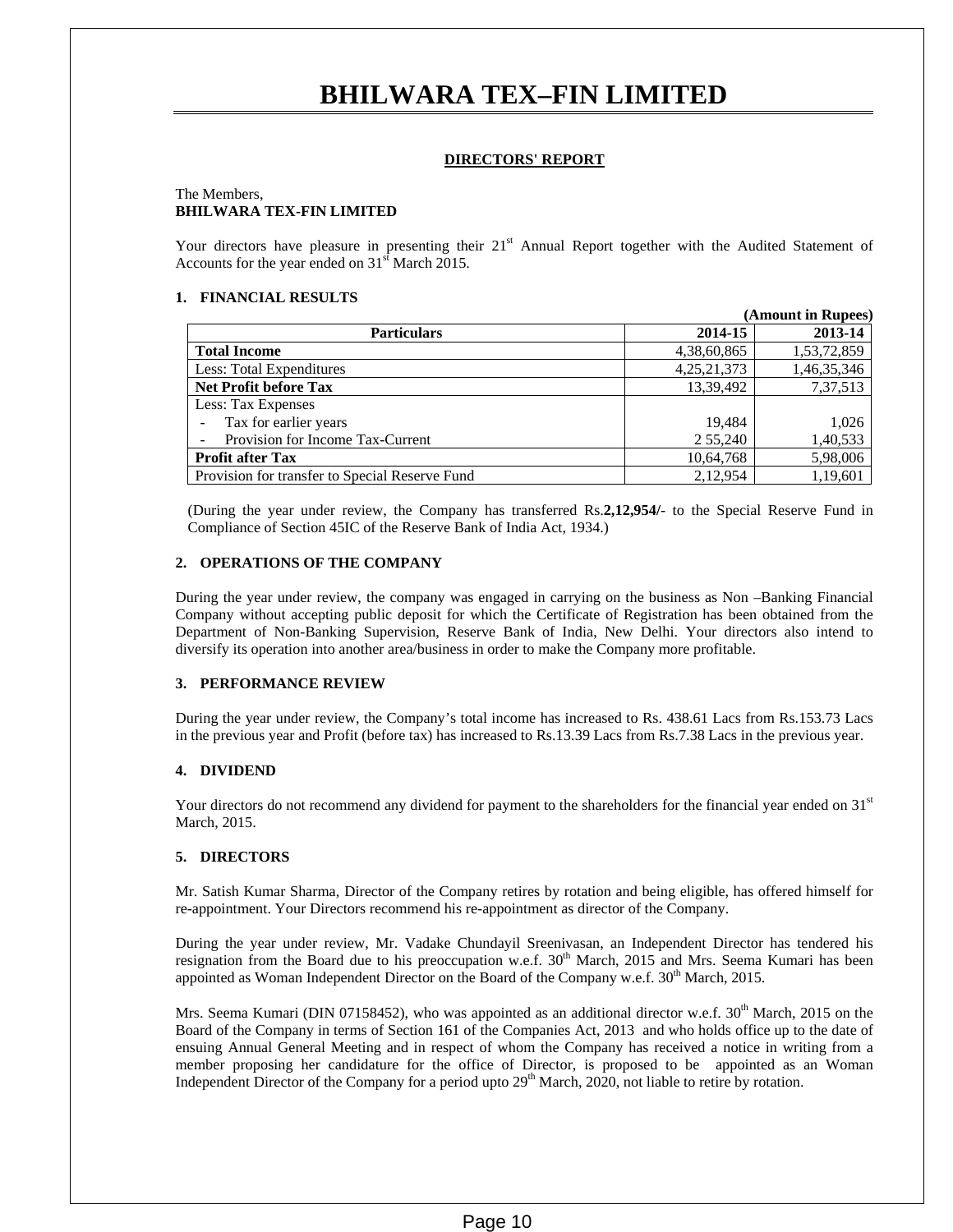### **DIRECTORS' REPORT**

#### The Members, **BHILWARA TEX-FIN LIMITED**

Your directors have pleasure in presenting their 21<sup>st</sup> Annual Report together with the Audited Statement of Accounts for the year ended on 31<sup>st</sup> March 2015.

#### **1. FINANCIAL RESULTS**

|                                                |                | (Amount in Rupees) |
|------------------------------------------------|----------------|--------------------|
| <b>Particulars</b>                             | 2014-15        | 2013-14            |
| <b>Total Income</b>                            | 4,38,60,865    | 1,53,72,859        |
| Less: Total Expenditures                       | 4, 25, 21, 373 | 1,46,35,346        |
| Net Profit before Tax                          | 13,39,492      | 7,37,513           |
| Less: Tax Expenses                             |                |                    |
| Tax for earlier years                          | 19,484         | 1,026              |
| Provision for Income Tax-Current               | 2 55,240       | 1,40,533           |
| <b>Profit after Tax</b>                        | 10,64,768      | 5,98,006           |
| Provision for transfer to Special Reserve Fund | 2.12.954       | 1,19,601           |

(During the year under review, the Company has transferred Rs.**2,12,954/**- to the Special Reserve Fund in Compliance of Section 45IC of the Reserve Bank of India Act, 1934.)

#### **2. OPERATIONS OF THE COMPANY**

During the year under review, the company was engaged in carrying on the business as Non –Banking Financial Company without accepting public deposit for which the Certificate of Registration has been obtained from the Department of Non-Banking Supervision, Reserve Bank of India, New Delhi. Your directors also intend to diversify its operation into another area/business in order to make the Company more profitable.

#### **3. PERFORMANCE REVIEW**

During the year under review, the Company's total income has increased to Rs. 438.61 Lacs from Rs.153.73 Lacs in the previous year and Profit (before tax) has increased to Rs.13.39 Lacs from Rs.7.38 Lacs in the previous year.

#### **4. DIVIDEND**

Your directors do not recommend any dividend for payment to the shareholders for the financial year ended on  $31<sup>st</sup>$ March, 2015.

#### **5. DIRECTORS**

Mr. Satish Kumar Sharma, Director of the Company retires by rotation and being eligible, has offered himself for re-appointment. Your Directors recommend his re-appointment as director of the Company.

During the year under review, Mr. Vadake Chundayil Sreenivasan, an Independent Director has tendered his resignation from the Board due to his preoccupation w.e.f. 30<sup>th</sup> March, 2015 and Mrs. Seema Kumari has been appointed as Woman Independent Director on the Board of the Company w.e.f.  $30<sup>th</sup>$  March, 2015.

Mrs. Seema Kumari (DIN 07158452), who was appointed as an additional director w.e.f.  $30<sup>th</sup>$  March, 2015 on the Board of the Company in terms of Section 161 of the Companies Act, 2013 and who holds office up to the date of ensuing Annual General Meeting and in respect of whom the Company has received a notice in writing from a member proposing her candidature for the office of Director, is proposed to be appointed as an Woman Independent Director of the Company for a period upto  $29<sup>th</sup>$  March, 2020, not liable to retire by rotation.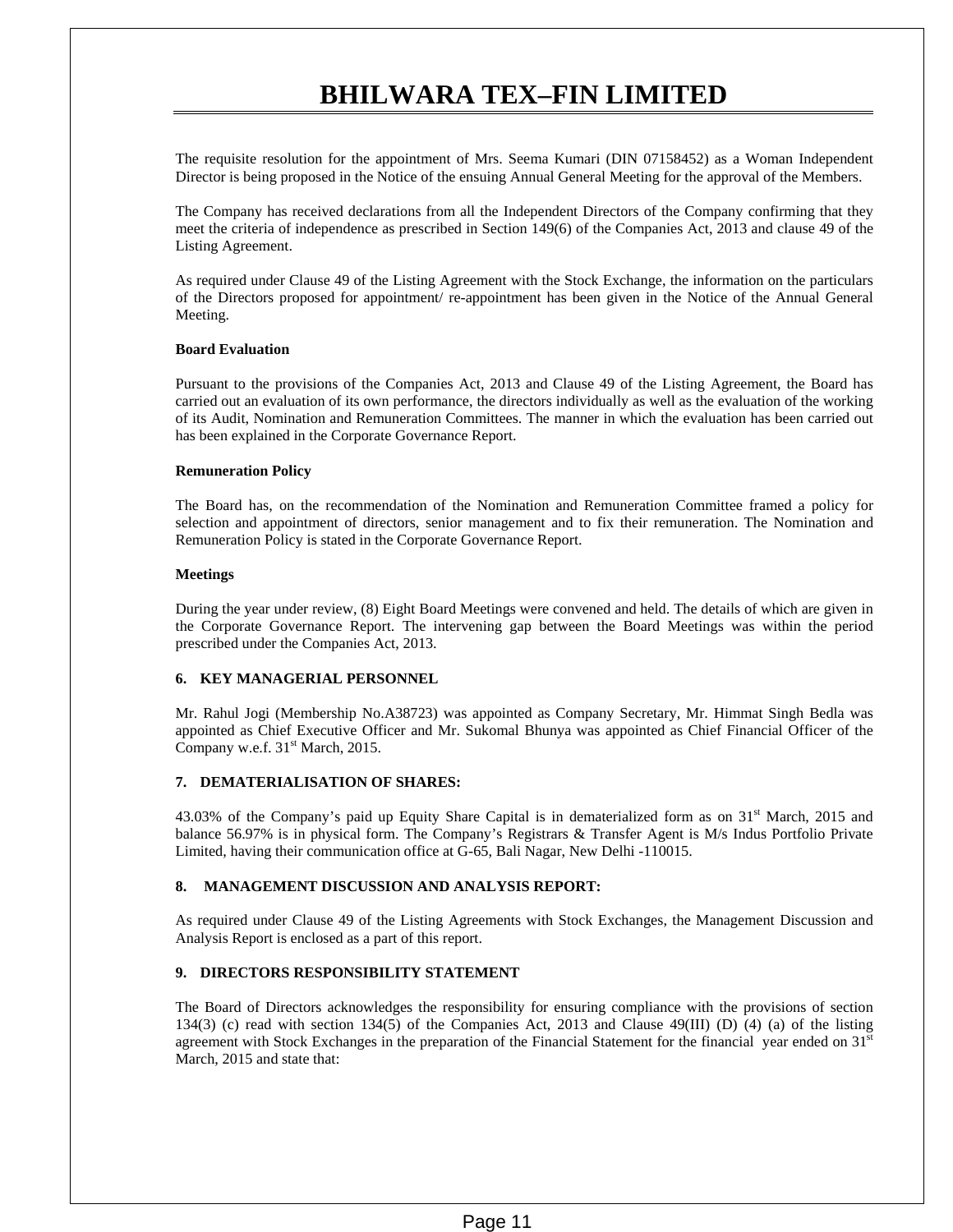The requisite resolution for the appointment of Mrs. Seema Kumari (DIN 07158452) as a Woman Independent Director is being proposed in the Notice of the ensuing Annual General Meeting for the approval of the Members.

The Company has received declarations from all the Independent Directors of the Company confirming that they meet the criteria of independence as prescribed in Section 149(6) of the Companies Act, 2013 and clause 49 of the Listing Agreement.

As required under Clause 49 of the Listing Agreement with the Stock Exchange, the information on the particulars of the Directors proposed for appointment/ re-appointment has been given in the Notice of the Annual General Meeting.

#### **Board Evaluation**

Pursuant to the provisions of the Companies Act, 2013 and Clause 49 of the Listing Agreement, the Board has carried out an evaluation of its own performance, the directors individually as well as the evaluation of the working of its Audit, Nomination and Remuneration Committees. The manner in which the evaluation has been carried out has been explained in the Corporate Governance Report.

#### **Remuneration Policy**

The Board has, on the recommendation of the Nomination and Remuneration Committee framed a policy for selection and appointment of directors, senior management and to fix their remuneration. The Nomination and Remuneration Policy is stated in the Corporate Governance Report.

#### **Meetings**

During the year under review, (8) Eight Board Meetings were convened and held. The details of which are given in the Corporate Governance Report. The intervening gap between the Board Meetings was within the period prescribed under the Companies Act, 2013.

#### **6. KEY MANAGERIAL PERSONNEL**

Mr. Rahul Jogi (Membership No.A38723) was appointed as Company Secretary, Mr. Himmat Singh Bedla was appointed as Chief Executive Officer and Mr. Sukomal Bhunya was appointed as Chief Financial Officer of the Company w.e.f. 31<sup>st</sup> March, 2015.

#### **7. DEMATERIALISATION OF SHARES:**

43.03% of the Company's paid up Equity Share Capital is in dematerialized form as on 31<sup>st</sup> March, 2015 and balance 56.97% is in physical form. The Company's Registrars & Transfer Agent is M/s Indus Portfolio Private Limited, having their communication office at G-65, Bali Nagar, New Delhi -110015.

#### **8. MANAGEMENT DISCUSSION AND ANALYSIS REPORT:**

As required under Clause 49 of the Listing Agreements with Stock Exchanges, the Management Discussion and Analysis Report is enclosed as a part of this report.

#### **9. DIRECTORS RESPONSIBILITY STATEMENT**

The Board of Directors acknowledges the responsibility for ensuring compliance with the provisions of section 134(3) (c) read with section 134(5) of the Companies Act, 2013 and Clause 49(III) (D) (4) (a) of the listing agreement with Stock Exchanges in the preparation of the Financial Statement for the financial year ended on  $31^{\text{st}}$ March, 2015 and state that: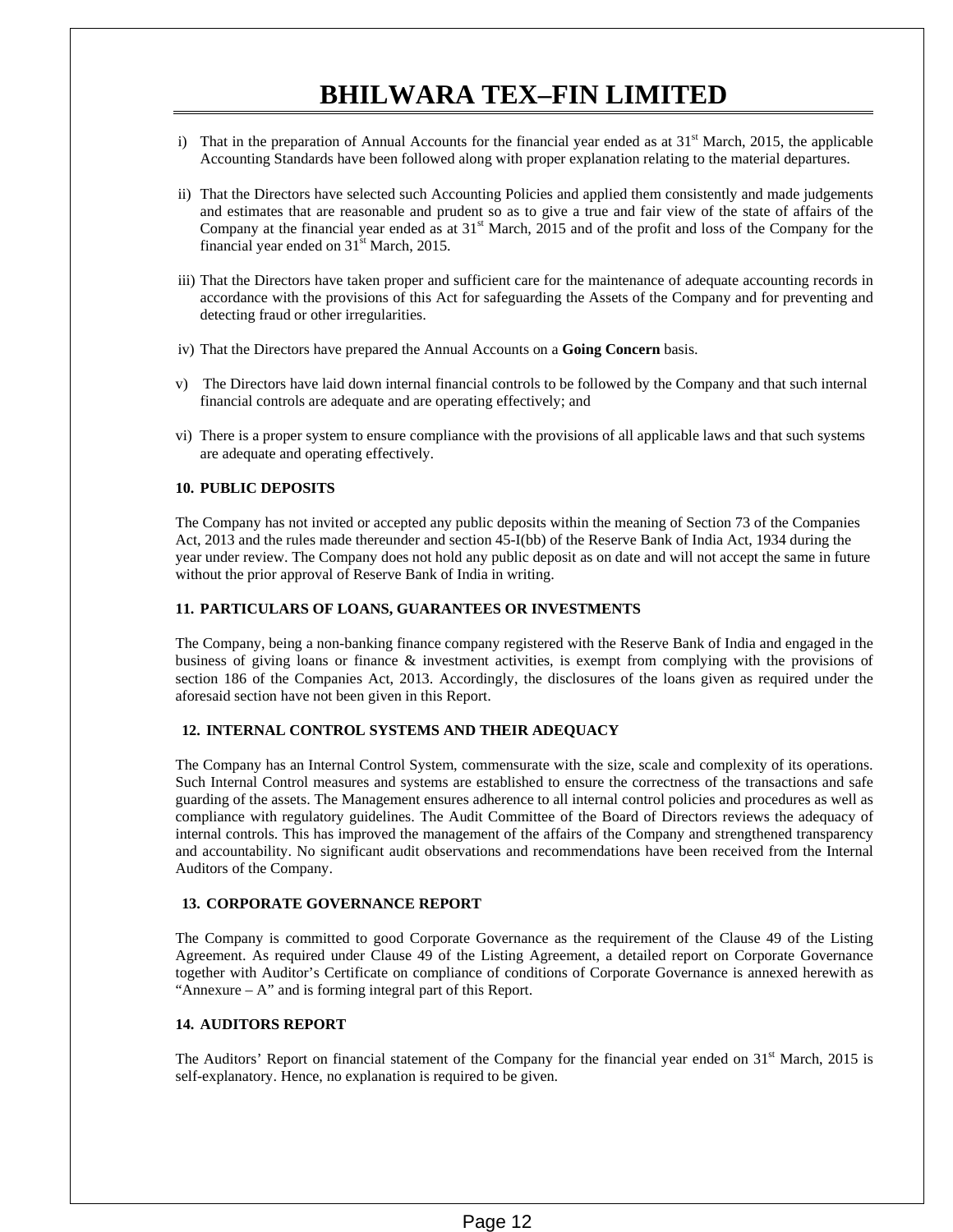- i) That in the preparation of Annual Accounts for the financial year ended as at  $31<sup>st</sup>$  March, 2015, the applicable Accounting Standards have been followed along with proper explanation relating to the material departures.
- ii) That the Directors have selected such Accounting Policies and applied them consistently and made judgements and estimates that are reasonable and prudent so as to give a true and fair view of the state of affairs of the Company at the financial year ended as at  $31<sup>st</sup>$  March, 2015 and of the profit and loss of the Company for the financial year ended on  $31<sup>st</sup>$  March, 2015.
- iii) That the Directors have taken proper and sufficient care for the maintenance of adequate accounting records in accordance with the provisions of this Act for safeguarding the Assets of the Company and for preventing and detecting fraud or other irregularities.
- iv) That the Directors have prepared the Annual Accounts on a **Going Concern** basis.
- v) The Directors have laid down internal financial controls to be followed by the Company and that such internal financial controls are adequate and are operating effectively; and
- vi) There is a proper system to ensure compliance with the provisions of all applicable laws and that such systems are adequate and operating effectively.

#### **10. PUBLIC DEPOSITS**

The Company has not invited or accepted any public deposits within the meaning of Section 73 of the Companies Act, 2013 and the rules made thereunder and section 45-I(bb) of the Reserve Bank of India Act, 1934 during the year under review. The Company does not hold any public deposit as on date and will not accept the same in future without the prior approval of Reserve Bank of India in writing.

#### **11. PARTICULARS OF LOANS, GUARANTEES OR INVESTMENTS**

The Company, being a non-banking finance company registered with the Reserve Bank of India and engaged in the business of giving loans or finance & investment activities, is exempt from complying with the provisions of section 186 of the Companies Act, 2013. Accordingly, the disclosures of the loans given as required under the aforesaid section have not been given in this Report.

#### **12. INTERNAL CONTROL SYSTEMS AND THEIR ADEQUACY**

The Company has an Internal Control System, commensurate with the size, scale and complexity of its operations. Such Internal Control measures and systems are established to ensure the correctness of the transactions and safe guarding of the assets. The Management ensures adherence to all internal control policies and procedures as well as compliance with regulatory guidelines. The Audit Committee of the Board of Directors reviews the adequacy of internal controls. This has improved the management of the affairs of the Company and strengthened transparency and accountability. No significant audit observations and recommendations have been received from the Internal Auditors of the Company.

#### **13. CORPORATE GOVERNANCE REPORT**

The Company is committed to good Corporate Governance as the requirement of the Clause 49 of the Listing Agreement. As required under Clause 49 of the Listing Agreement, a detailed report on Corporate Governance together with Auditor's Certificate on compliance of conditions of Corporate Governance is annexed herewith as "Annexure  $- A$ " and is forming integral part of this Report.

#### **14. AUDITORS REPORT**

The Auditors' Report on financial statement of the Company for the financial year ended on  $31<sup>st</sup>$  March, 2015 is self-explanatory. Hence, no explanation is required to be given.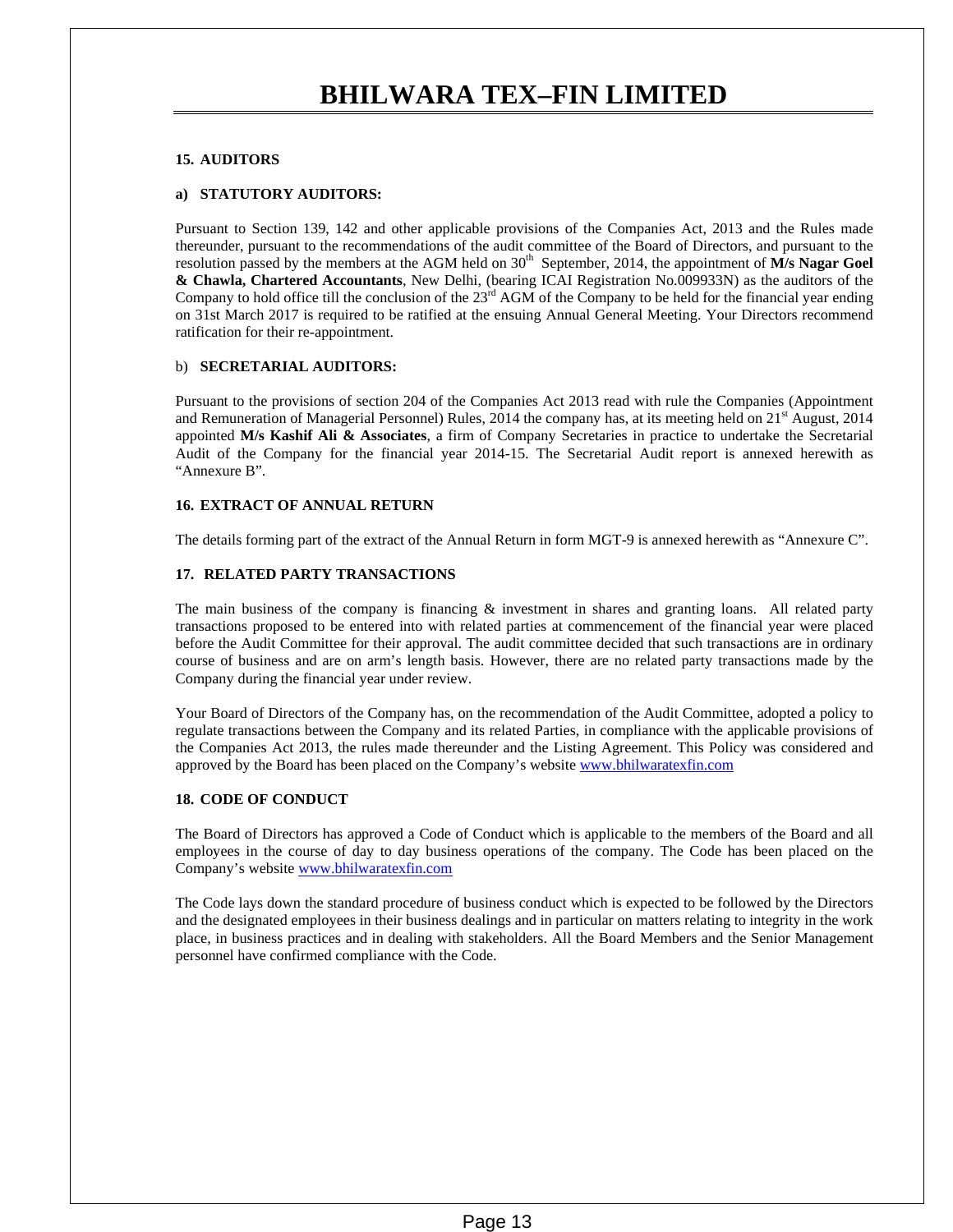#### **15. AUDITORS**

#### **a) STATUTORY AUDITORS:**

Pursuant to Section 139, 142 and other applicable provisions of the Companies Act, 2013 and the Rules made thereunder, pursuant to the recommendations of the audit committee of the Board of Directors, and pursuant to the resolution passed by the members at the AGM held on 30<sup>th</sup> September, 2014, the appointment of M/s Nagar Goel **& Chawla, Chartered Accountants**, New Delhi, (bearing ICAI Registration No.009933N) as the auditors of the Company to hold office till the conclusion of the  $23<sup>rd</sup>$  AGM of the Company to be held for the financial year ending on 31st March 2017 is required to be ratified at the ensuing Annual General Meeting. Your Directors recommend ratification for their re-appointment.

#### b) **SECRETARIAL AUDITORS:**

Pursuant to the provisions of section 204 of the Companies Act 2013 read with rule the Companies (Appointment and Remuneration of Managerial Personnel) Rules, 2014 the company has, at its meeting held on 21<sup>st</sup> August, 2014 appointed **M/s Kashif Ali & Associates**, a firm of Company Secretaries in practice to undertake the Secretarial Audit of the Company for the financial year 2014-15. The Secretarial Audit report is annexed herewith as "Annexure B".

#### **16. EXTRACT OF ANNUAL RETURN**

The details forming part of the extract of the Annual Return in form MGT-9 is annexed herewith as "Annexure C".

#### **17. RELATED PARTY TRANSACTIONS**

The main business of the company is financing  $\&$  investment in shares and granting loans. All related party transactions proposed to be entered into with related parties at commencement of the financial year were placed before the Audit Committee for their approval. The audit committee decided that such transactions are in ordinary course of business and are on arm's length basis. However, there are no related party transactions made by the Company during the financial year under review.

Your Board of Directors of the Company has, on the recommendation of the Audit Committee, adopted a policy to regulate transactions between the Company and its related Parties, in compliance with the applicable provisions of the Companies Act 2013, the rules made thereunder and the Listing Agreement. This Policy was considered and approved by the Board has been placed on the Company's website www.bhilwaratexfin.com

#### **18. CODE OF CONDUCT**

The Board of Directors has approved a Code of Conduct which is applicable to the members of the Board and all employees in the course of day to day business operations of the company. The Code has been placed on the Company's website www.bhilwaratexfin.com

The Code lays down the standard procedure of business conduct which is expected to be followed by the Directors and the designated employees in their business dealings and in particular on matters relating to integrity in the work place, in business practices and in dealing with stakeholders. All the Board Members and the Senior Management personnel have confirmed compliance with the Code.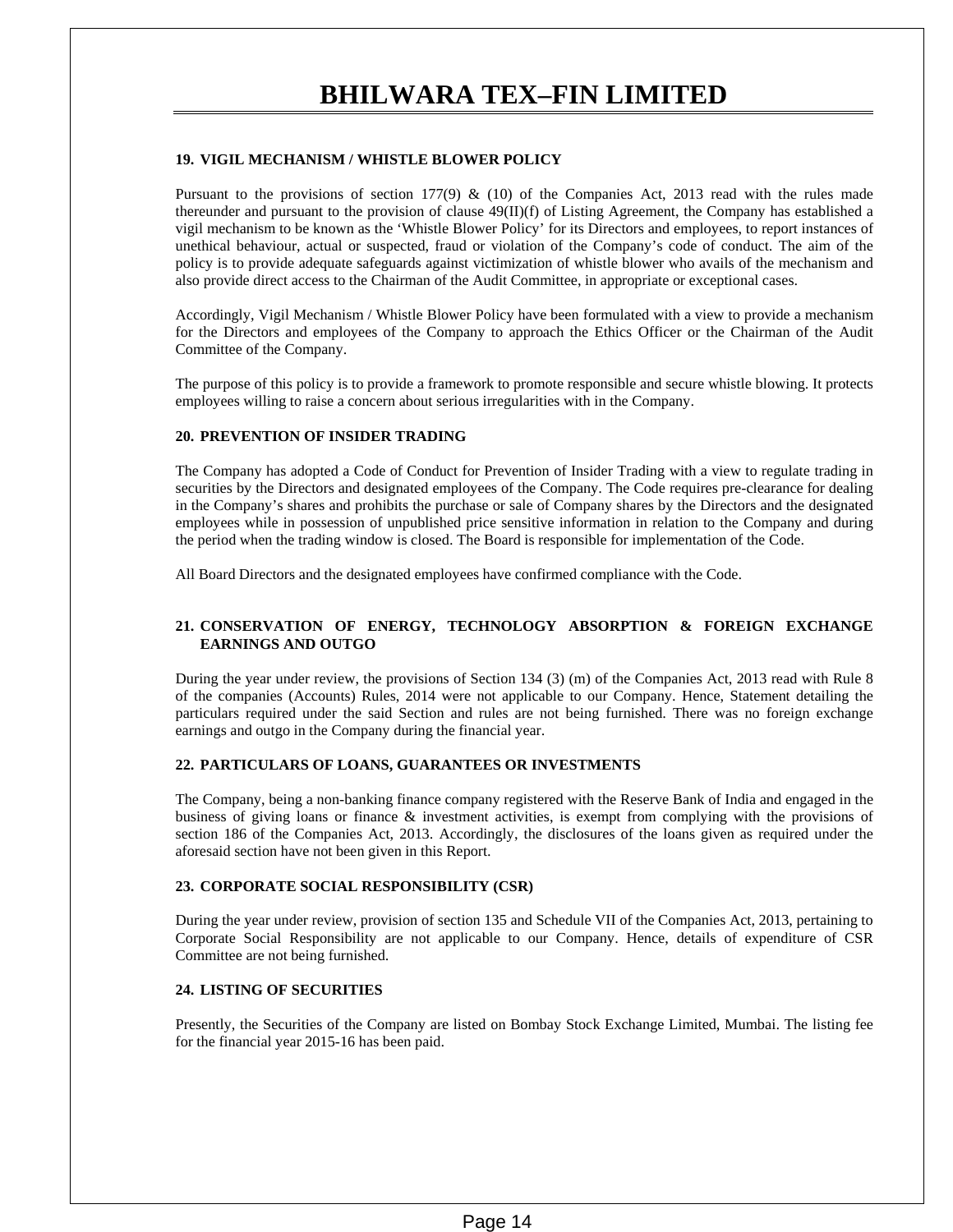#### **19. VIGIL MECHANISM / WHISTLE BLOWER POLICY**

Pursuant to the provisions of section 177(9) & (10) of the Companies Act, 2013 read with the rules made thereunder and pursuant to the provision of clause 49(II)(f) of Listing Agreement, the Company has established a vigil mechanism to be known as the 'Whistle Blower Policy' for its Directors and employees, to report instances of unethical behaviour, actual or suspected, fraud or violation of the Company's code of conduct. The aim of the policy is to provide adequate safeguards against victimization of whistle blower who avails of the mechanism and also provide direct access to the Chairman of the Audit Committee, in appropriate or exceptional cases.

Accordingly, Vigil Mechanism / Whistle Blower Policy have been formulated with a view to provide a mechanism for the Directors and employees of the Company to approach the Ethics Officer or the Chairman of the Audit Committee of the Company.

The purpose of this policy is to provide a framework to promote responsible and secure whistle blowing. It protects employees willing to raise a concern about serious irregularities with in the Company.

#### **20. PREVENTION OF INSIDER TRADING**

The Company has adopted a Code of Conduct for Prevention of Insider Trading with a view to regulate trading in securities by the Directors and designated employees of the Company. The Code requires pre-clearance for dealing in the Company's shares and prohibits the purchase or sale of Company shares by the Directors and the designated employees while in possession of unpublished price sensitive information in relation to the Company and during the period when the trading window is closed. The Board is responsible for implementation of the Code.

All Board Directors and the designated employees have confirmed compliance with the Code.

#### **21. CONSERVATION OF ENERGY, TECHNOLOGY ABSORPTION & FOREIGN EXCHANGE EARNINGS AND OUTGO**

During the year under review, the provisions of Section 134 (3) (m) of the Companies Act, 2013 read with Rule 8 of the companies (Accounts) Rules, 2014 were not applicable to our Company. Hence, Statement detailing the particulars required under the said Section and rules are not being furnished. There was no foreign exchange earnings and outgo in the Company during the financial year.

#### **22. PARTICULARS OF LOANS, GUARANTEES OR INVESTMENTS**

The Company, being a non-banking finance company registered with the Reserve Bank of India and engaged in the business of giving loans or finance & investment activities, is exempt from complying with the provisions of section 186 of the Companies Act, 2013. Accordingly, the disclosures of the loans given as required under the aforesaid section have not been given in this Report.

#### **23. CORPORATE SOCIAL RESPONSIBILITY (CSR)**

During the year under review, provision of section 135 and Schedule VII of the Companies Act, 2013, pertaining to Corporate Social Responsibility are not applicable to our Company. Hence, details of expenditure of CSR Committee are not being furnished.

#### **24. LISTING OF SECURITIES**

Presently, the Securities of the Company are listed on Bombay Stock Exchange Limited, Mumbai. The listing fee for the financial year 2015-16 has been paid.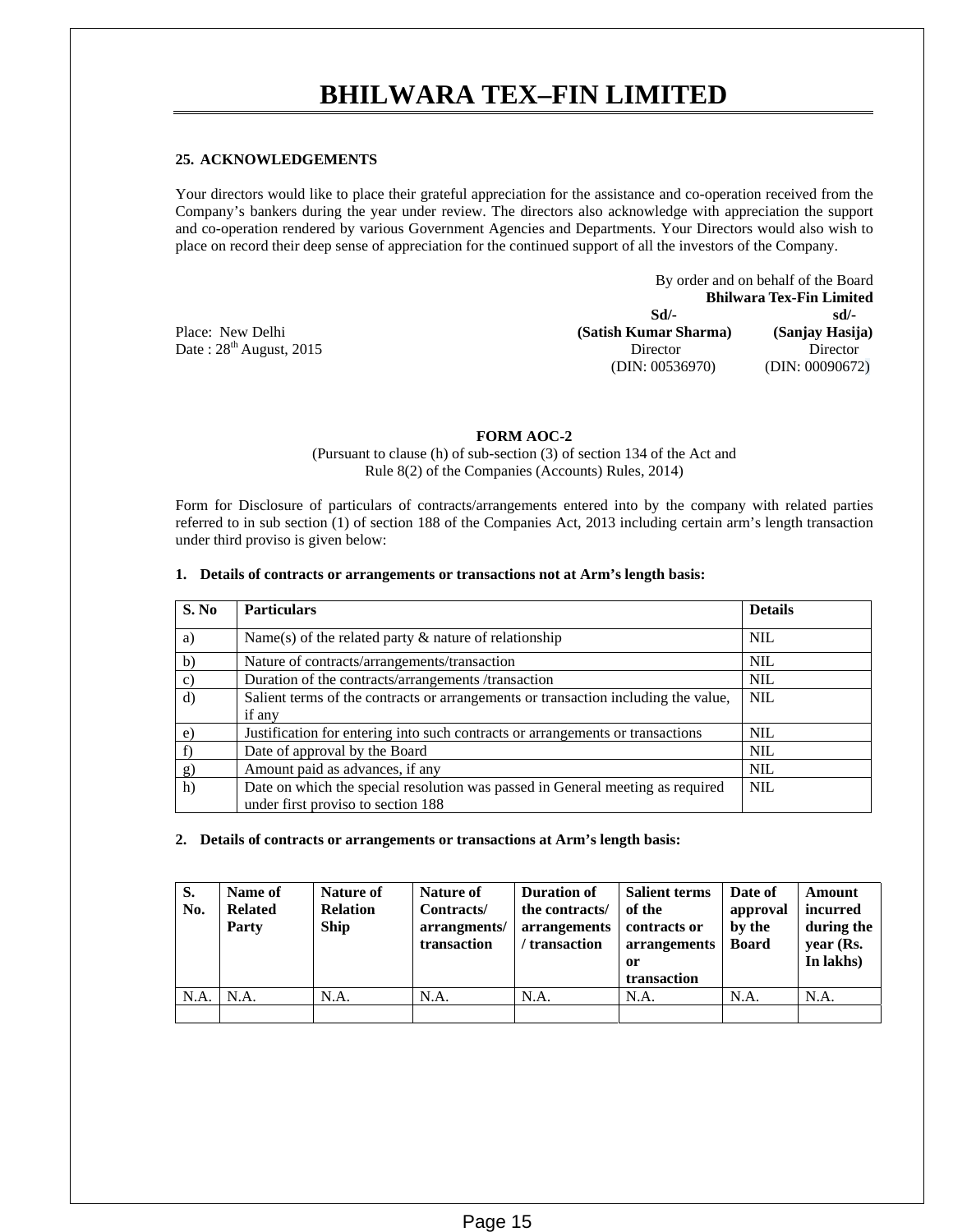#### **25. ACKNOWLEDGEMENTS**

Your directors would like to place their grateful appreciation for the assistance and co-operation received from the Company's bankers during the year under review. The directors also acknowledge with appreciation the support and co-operation rendered by various Government Agencies and Departments. Your Directors would also wish to place on record their deep sense of appreciation for the continued support of all the investors of the Company.

|                              |                       | By order and on behalf of the Board |
|------------------------------|-----------------------|-------------------------------------|
|                              |                       | <b>Bhilwara Tex-Fin Limited</b>     |
|                              | Sd                    | $sd/-$                              |
| Place: New Delhi             | (Satish Kumar Sharma) | (Sanjay Hasija)                     |
| Date: $28^{th}$ August, 2015 | Director              | Director                            |
|                              | (DIN: 00536970)       | (DIN: 00090672)                     |

#### **FORM AOC-2**

(Pursuant to clause (h) of sub-section (3) of section 134 of the Act and Rule 8(2) of the Companies (Accounts) Rules, 2014)

Form for Disclosure of particulars of contracts/arrangements entered into by the company with related parties referred to in sub section (1) of section 188 of the Companies Act, 2013 including certain arm's length transaction under third proviso is given below:

#### **1. Details of contracts or arrangements or transactions not at Arm's length basis:**

| S. No         | <b>Particulars</b>                                                                                                   | <b>Details</b> |
|---------------|----------------------------------------------------------------------------------------------------------------------|----------------|
| a)            | Name(s) of the related party $\&$ nature of relationship                                                             | NIL.           |
| b)            | Nature of contracts/arrangements/transaction                                                                         | <b>NIL</b>     |
| $\mathbf{c})$ | Duration of the contracts/arrangements /transaction                                                                  | <b>NIL</b>     |
| d)            | Salient terms of the contracts or arrangements or transaction including the value,<br>if any                         | NIL            |
| $\epsilon$ )  | Justification for entering into such contracts or arrangements or transactions                                       | <b>NIL</b>     |
|               | Date of approval by the Board                                                                                        | <b>NIL</b>     |
| g)            | Amount paid as advances, if any                                                                                      | <b>NIL</b>     |
| h)            | Date on which the special resolution was passed in General meeting as required<br>under first proviso to section 188 | NIL            |

#### **2. Details of contracts or arrangements or transactions at Arm's length basis:**

| S.<br>No. | Name of<br><b>Related</b><br>Party | Nature of<br><b>Relation</b><br><b>Ship</b> | <b>Nature of</b><br>Contracts/<br>arrangments/<br>transaction | <b>Duration of</b><br>the contracts/<br>arrangements<br>transaction | <b>Salient terms</b><br>of the<br>contracts or<br>arrangements<br>-or<br>transaction | Date of<br>approval<br>by the<br><b>Board</b> | Amount<br>incurred<br>during the<br>year (Rs.<br>In lakhs) |
|-----------|------------------------------------|---------------------------------------------|---------------------------------------------------------------|---------------------------------------------------------------------|--------------------------------------------------------------------------------------|-----------------------------------------------|------------------------------------------------------------|
| N.A.      | N.A.                               | N.A.                                        | N.A.                                                          | N.A.                                                                | N.A.                                                                                 | N.A.                                          | N.A.                                                       |
|           |                                    |                                             |                                                               |                                                                     |                                                                                      |                                               |                                                            |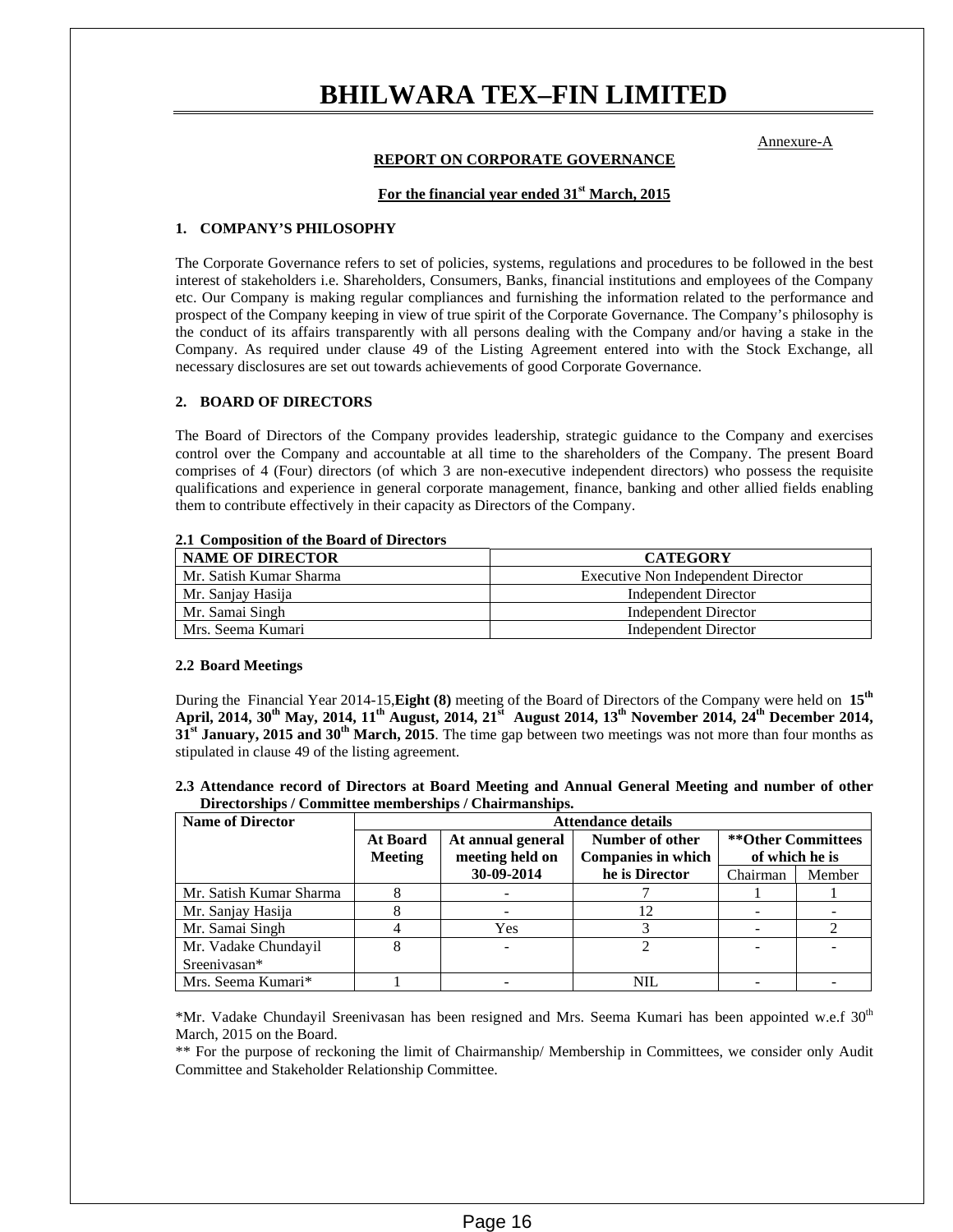#### Annexure-A

#### **REPORT ON CORPORATE GOVERNANCE**

#### **For the financial year ended 31st March, 2015**

#### **1. COMPANY'S PHILOSOPHY**

The Corporate Governance refers to set of policies, systems, regulations and procedures to be followed in the best interest of stakeholders i.e. Shareholders, Consumers, Banks, financial institutions and employees of the Company etc. Our Company is making regular compliances and furnishing the information related to the performance and prospect of the Company keeping in view of true spirit of the Corporate Governance. The Company's philosophy is the conduct of its affairs transparently with all persons dealing with the Company and/or having a stake in the Company. As required under clause 49 of the Listing Agreement entered into with the Stock Exchange, all necessary disclosures are set out towards achievements of good Corporate Governance.

#### **2. BOARD OF DIRECTORS**

The Board of Directors of the Company provides leadership, strategic guidance to the Company and exercises control over the Company and accountable at all time to the shareholders of the Company. The present Board comprises of 4 (Four) directors (of which 3 are non-executive independent directors) who possess the requisite qualifications and experience in general corporate management, finance, banking and other allied fields enabling them to contribute effectively in their capacity as Directors of the Company.

#### **2.1 Composition of the Board of Directors**

| <b>NAME OF DIRECTOR</b> | <b>CATEGORY</b>                    |
|-------------------------|------------------------------------|
| Mr. Satish Kumar Sharma | Executive Non Independent Director |
| Mr. Sanjay Hasija       | Independent Director               |
| Mr. Samai Singh         | Independent Director               |
| Mrs. Seema Kumari       | Independent Director               |

#### **2.2 Board Meetings**

During the Financial Year 2014-15,**Eight (8)** meeting of the Board of Directors of the Company were held on **15th**  April, 2014, 30<sup>th</sup> May, 2014, 11<sup>th</sup> August, 2014, 21<sup>st</sup> August 2014, 13<sup>th</sup> November 2014, 24<sup>th</sup> December 2014, 31<sup>st</sup> January, 2015 and 30<sup>th</sup> March, 2015. The time gap between two meetings was not more than four months as stipulated in clause 49 of the listing agreement.

#### **2.3 Attendance record of Directors at Board Meeting and Annual General Meeting and number of other Directorships / Committee memberships / Chairmanships.**

| <b>Name of Director</b> | <b>Attendance details</b> |                                                                                                                              |                |          |        |
|-------------------------|---------------------------|------------------------------------------------------------------------------------------------------------------------------|----------------|----------|--------|
|                         | At Board<br>Meeting       | **Other Committees<br>Number of other<br>At annual general<br>meeting held on<br><b>Companies in which</b><br>of which he is |                |          |        |
|                         |                           | 30-09-2014                                                                                                                   | he is Director | Chairman | Member |
| Mr. Satish Kumar Sharma |                           |                                                                                                                              |                |          |        |
| Mr. Sanjay Hasija       |                           |                                                                                                                              | 12             |          |        |
| Mr. Samai Singh         |                           | Yes                                                                                                                          |                |          |        |
| Mr. Vadake Chundayil    |                           |                                                                                                                              |                |          |        |
| Sreenivasan*            |                           |                                                                                                                              |                |          |        |
| Mrs. Seema Kumari*      |                           |                                                                                                                              | NIL.           |          |        |

\*Mr. Vadake Chundayil Sreenivasan has been resigned and Mrs. Seema Kumari has been appointed w.e.f  $30<sup>th</sup>$ March, 2015 on the Board.

\*\* For the purpose of reckoning the limit of Chairmanship/ Membership in Committees, we consider only Audit Committee and Stakeholder Relationship Committee.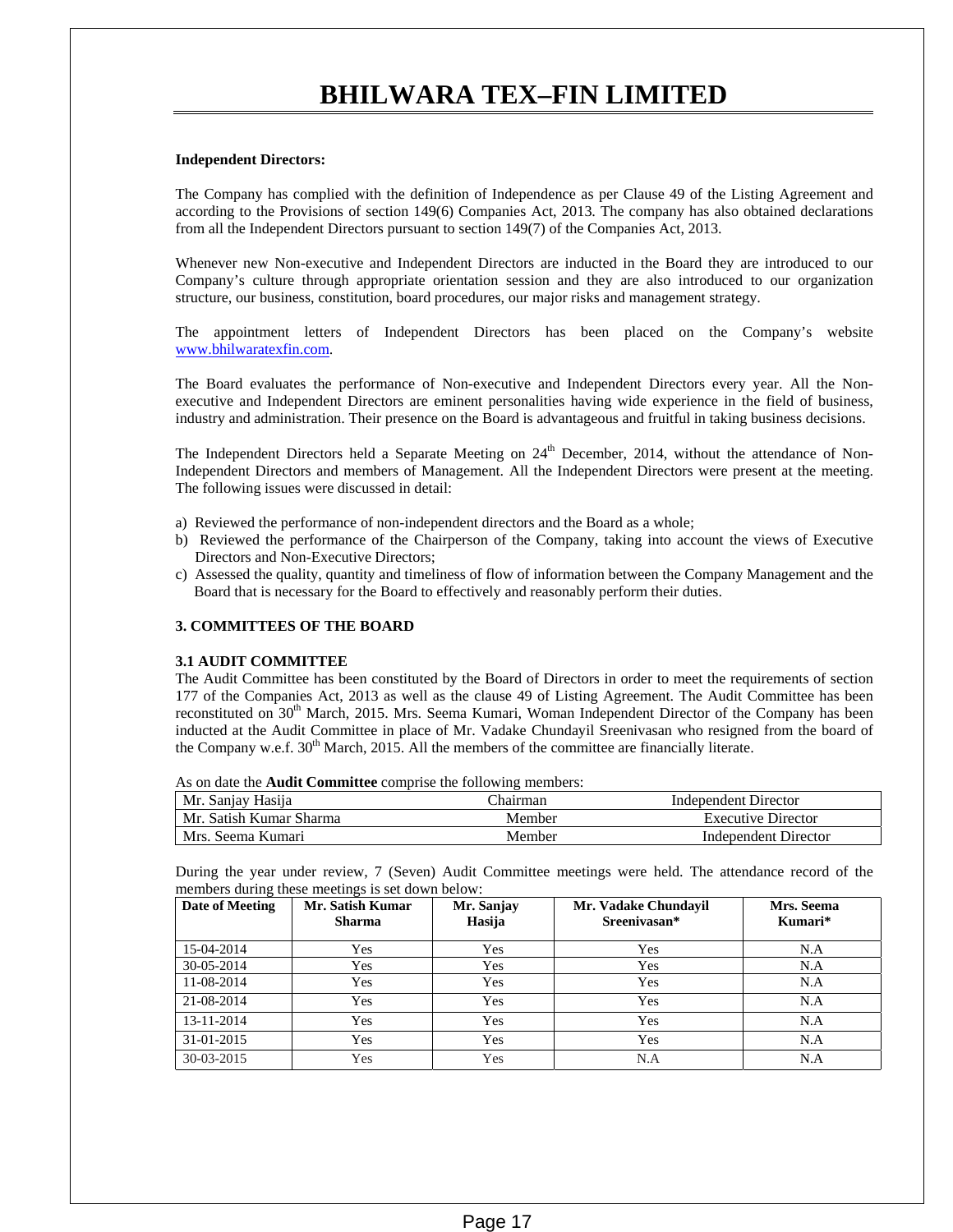#### **Independent Directors:**

The Company has complied with the definition of Independence as per Clause 49 of the Listing Agreement and according to the Provisions of section 149(6) Companies Act, 2013. The company has also obtained declarations from all the Independent Directors pursuant to section 149(7) of the Companies Act, 2013.

Whenever new Non-executive and Independent Directors are inducted in the Board they are introduced to our Company's culture through appropriate orientation session and they are also introduced to our organization structure, our business, constitution, board procedures, our major risks and management strategy.

The appointment letters of Independent Directors has been placed on the Company's website www.bhilwaratexfin.com.

The Board evaluates the performance of Non-executive and Independent Directors every year. All the Nonexecutive and Independent Directors are eminent personalities having wide experience in the field of business, industry and administration. Their presence on the Board is advantageous and fruitful in taking business decisions.

The Independent Directors held a Separate Meeting on 24<sup>th</sup> December, 2014, without the attendance of Non-Independent Directors and members of Management. All the Independent Directors were present at the meeting. The following issues were discussed in detail:

- a) Reviewed the performance of non-independent directors and the Board as a whole;
- b) Reviewed the performance of the Chairperson of the Company, taking into account the views of Executive Directors and Non-Executive Directors;
- c) Assessed the quality, quantity and timeliness of flow of information between the Company Management and the Board that is necessary for the Board to effectively and reasonably perform their duties.

#### **3. COMMITTEES OF THE BOARD**

#### **3.1 AUDIT COMMITTEE**

The Audit Committee has been constituted by the Board of Directors in order to meet the requirements of section 177 of the Companies Act, 2013 as well as the clause 49 of Listing Agreement. The Audit Committee has been reconstituted on 30<sup>th</sup> March, 2015. Mrs. Seema Kumari, Woman Independent Director of the Company has been inducted at the Audit Committee in place of Mr. Vadake Chundayil Sreenivasan who resigned from the board of the Company w.e.f. 30<sup>th</sup> March, 2015. All the members of the committee are financially literate.

As on date the **Audit Committee** comprise the following members:

| Mr. Sanjay Hasija       | Chairman | Independent Director      |
|-------------------------|----------|---------------------------|
| Mr. Satish Kumar Sharma | Member   | <b>Executive Director</b> |
| Mrs. Seema Kumari       | Member   | Independent Director      |

During the year under review, 7 (Seven) Audit Committee meetings were held. The attendance record of the members during these meetings is set down below:

| Date of Meeting | Mr. Satish Kumar<br><b>Sharma</b> | Mr. Sanjay<br>Hasija | Mr. Vadake Chundayil<br>Sreenivasan* | Mrs. Seema<br>Kumari* |
|-----------------|-----------------------------------|----------------------|--------------------------------------|-----------------------|
| 15-04-2014      | Yes                               | Yes                  | Yes                                  | N.A                   |
| 30-05-2014      | Yes                               | Yes                  | Yes                                  | N.A                   |
| 11-08-2014      | Yes                               | Yes                  | Yes                                  | N.A                   |
| 21-08-2014      | Yes                               | Yes                  | Yes                                  | N.A                   |
| 13-11-2014      | Yes                               | Yes                  | Yes                                  | N.A                   |
| 31-01-2015      | Yes                               | Yes                  | Yes                                  | N.A                   |
| 30-03-2015      | Yes                               | Yes                  | N.A                                  | N.A                   |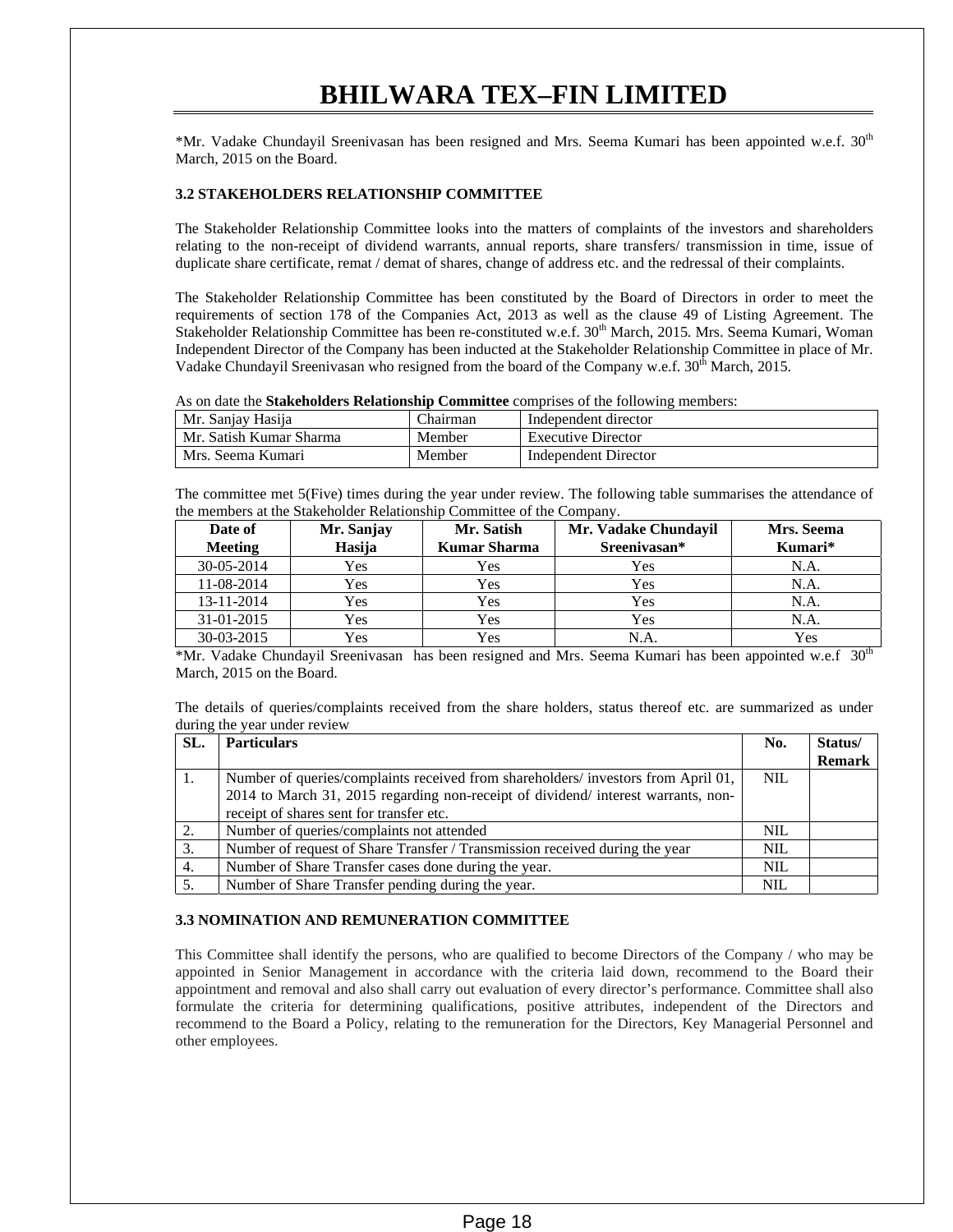\*Mr. Vadake Chundayil Sreenivasan has been resigned and Mrs. Seema Kumari has been appointed w.e.f. 30<sup>th</sup> March, 2015 on the Board.

#### **3.2 STAKEHOLDERS RELATIONSHIP COMMITTEE**

The Stakeholder Relationship Committee looks into the matters of complaints of the investors and shareholders relating to the non-receipt of dividend warrants, annual reports, share transfers/ transmission in time, issue of duplicate share certificate, remat / demat of shares, change of address etc. and the redressal of their complaints.

The Stakeholder Relationship Committee has been constituted by the Board of Directors in order to meet the requirements of section 178 of the Companies Act, 2013 as well as the clause 49 of Listing Agreement. The Stakeholder Relationship Committee has been re-constituted w.e.f. 30<sup>th</sup> March, 2015. Mrs. Seema Kumari, Woman Independent Director of the Company has been inducted at the Stakeholder Relationship Committee in place of Mr. Vadake Chundayil Sreenivasan who resigned from the board of the Company w.e.f. 30<sup>th</sup> March, 2015.

As on date the **Stakeholders Relationship Committee** comprises of the following members:

| Mr. Sanjay Hasija       | <b>Chairman</b> | Independent director      |
|-------------------------|-----------------|---------------------------|
| Mr. Satish Kumar Sharma | Member          | <b>Executive Director</b> |
| Mrs. Seema Kumari       | Member          | Independent Director      |

The committee met 5(Five) times during the year under review. The following table summarises the attendance of the members at the Stakeholder Relationship Committee of the Company.

| Date of<br><b>Meeting</b> | Mr. Sanjay<br>Hasija | Mr. Satish<br>Kumar Sharma | Mr. Vadake Chundayil<br>Sreenivasan* | Mrs. Seema<br>Kumari* |
|---------------------------|----------------------|----------------------------|--------------------------------------|-----------------------|
| 30-05-2014                | Yes                  | Yes                        | Yes                                  | N.A.                  |
| 11-08-2014                | Yes                  | Yes                        | Yes                                  | N.A.                  |
| 13-11-2014                | Yes                  | Yes                        | Yes                                  | N.A.                  |
| 31-01-2015                | Yes                  | Yes                        | Yes                                  | N.A.                  |
| 30-03-2015                | Yes                  | Yes                        | N.A                                  | Yes                   |

\*Mr. Vadake Chundayil Sreenivasan has been resigned and Mrs. Seema Kumari has been appointed w.e.f  $30<sup>th</sup>$ March, 2015 on the Board.

The details of queries/complaints received from the share holders, status thereof etc. are summarized as under during the year under review

| SL. | <b>Particulars</b>                                                                | No.        | Status/       |
|-----|-----------------------------------------------------------------------------------|------------|---------------|
|     |                                                                                   |            | <b>Remark</b> |
|     | Number of queries/complaints received from shareholders/ investors from April 01, | NIL.       |               |
|     | 2014 to March 31, 2015 regarding non-receipt of dividend/ interest warrants, non- |            |               |
|     | receipt of shares sent for transfer etc.                                          |            |               |
|     | Number of queries/complaints not attended                                         | NIL.       |               |
|     | Number of request of Share Transfer / Transmission received during the year       | NIL.       |               |
| 4.  | Number of Share Transfer cases done during the year.                              | <b>NIL</b> |               |
|     | Number of Share Transfer pending during the year.                                 | NIL        |               |

#### **3.3 NOMINATION AND REMUNERATION COMMITTEE**

This Committee shall identify the persons, who are qualified to become Directors of the Company / who may be appointed in Senior Management in accordance with the criteria laid down, recommend to the Board their appointment and removal and also shall carry out evaluation of every director's performance. Committee shall also formulate the criteria for determining qualifications, positive attributes, independent of the Directors and recommend to the Board a Policy, relating to the remuneration for the Directors, Key Managerial Personnel and other employees.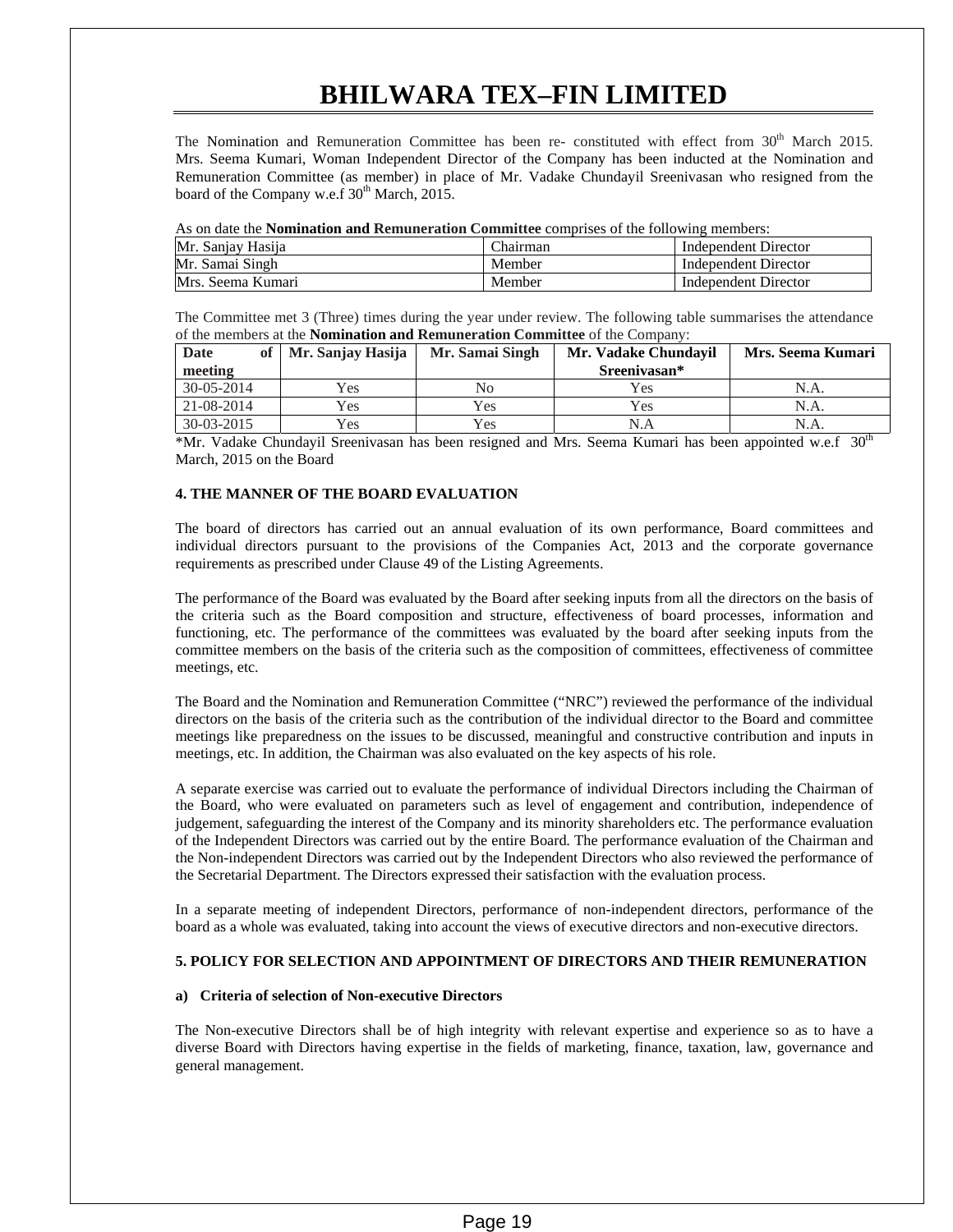The Nomination and Remuneration Committee has been re- constituted with effect from 30<sup>th</sup> March 2015. Mrs. Seema Kumari, Woman Independent Director of the Company has been inducted at the Nomination and Remuneration Committee (as member) in place of Mr. Vadake Chundayil Sreenivasan who resigned from the board of the Company w.e.f  $30<sup>th</sup>$  March, 2015.

As on date the **Nomination and Remuneration Committee** comprises of the following members:

| Mr. Sanjay Hasija | <b>Chairman</b> | Independent Director |
|-------------------|-----------------|----------------------|
| Mr. Samai Singh   | Member          | Independent Director |
| Mrs. Seema Kumari | Member          | Independent Director |

The Committee met 3 (Three) times during the year under review. The following table summarises the attendance of the members at the **Nomination and Remuneration Committee** of the Company:

| Date       | of Mr. Sanjay Hasija | Mr. Samai Singh | Mr. Vadake Chundavil | Mrs. Seema Kumari |
|------------|----------------------|-----------------|----------------------|-------------------|
| meeting    |                      |                 | Sreenivasan*         |                   |
| 30-05-2014 | Yes                  | No              | Yes                  | N.A               |
| 21-08-2014 | Yes                  | Yes             | <b>Yes</b>           | N.A.              |
| 30-03-2015 | Yes                  | Yes             | N.A                  | N.A.              |

\*Mr. Vadake Chundayil Sreenivasan has been resigned and Mrs. Seema Kumari has been appointed w.e.f  $30<sup>th</sup>$ March, 2015 on the Board

#### **4. THE MANNER OF THE BOARD EVALUATION**

The board of directors has carried out an annual evaluation of its own performance, Board committees and individual directors pursuant to the provisions of the Companies Act, 2013 and the corporate governance requirements as prescribed under Clause 49 of the Listing Agreements.

The performance of the Board was evaluated by the Board after seeking inputs from all the directors on the basis of the criteria such as the Board composition and structure, effectiveness of board processes, information and functioning, etc. The performance of the committees was evaluated by the board after seeking inputs from the committee members on the basis of the criteria such as the composition of committees, effectiveness of committee meetings, etc.

The Board and the Nomination and Remuneration Committee ("NRC") reviewed the performance of the individual directors on the basis of the criteria such as the contribution of the individual director to the Board and committee meetings like preparedness on the issues to be discussed, meaningful and constructive contribution and inputs in meetings, etc. In addition, the Chairman was also evaluated on the key aspects of his role.

A separate exercise was carried out to evaluate the performance of individual Directors including the Chairman of the Board, who were evaluated on parameters such as level of engagement and contribution, independence of judgement, safeguarding the interest of the Company and its minority shareholders etc. The performance evaluation of the Independent Directors was carried out by the entire Board. The performance evaluation of the Chairman and the Non-independent Directors was carried out by the Independent Directors who also reviewed the performance of the Secretarial Department. The Directors expressed their satisfaction with the evaluation process.

In a separate meeting of independent Directors, performance of non-independent directors, performance of the board as a whole was evaluated, taking into account the views of executive directors and non-executive directors.

#### **5. POLICY FOR SELECTION AND APPOINTMENT OF DIRECTORS AND THEIR REMUNERATION**

#### **a) Criteria of selection of Non-executive Directors**

The Non-executive Directors shall be of high integrity with relevant expertise and experience so as to have a diverse Board with Directors having expertise in the fields of marketing, finance, taxation, law, governance and general management.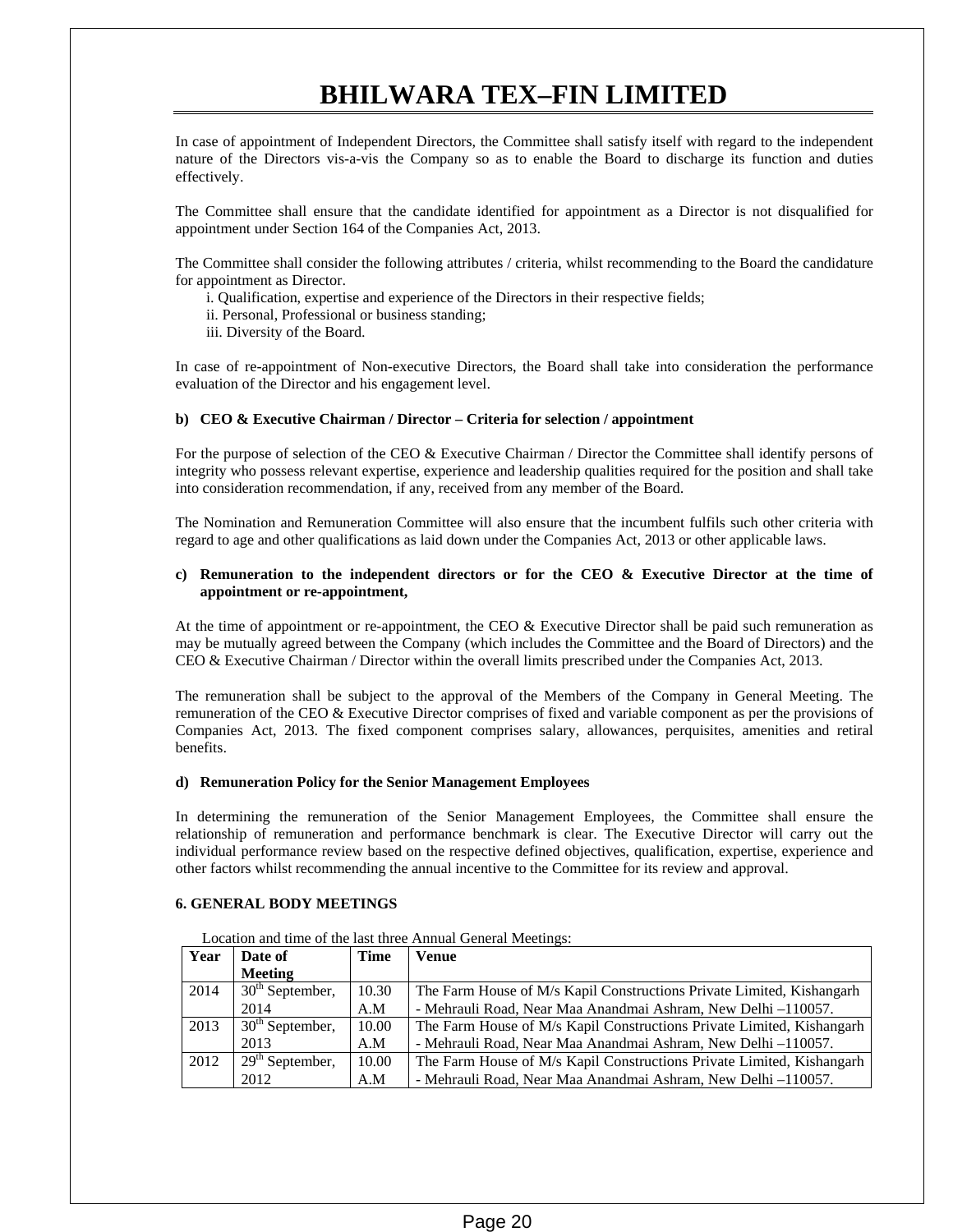In case of appointment of Independent Directors, the Committee shall satisfy itself with regard to the independent nature of the Directors vis-a-vis the Company so as to enable the Board to discharge its function and duties effectively.

The Committee shall ensure that the candidate identified for appointment as a Director is not disqualified for appointment under Section 164 of the Companies Act, 2013.

The Committee shall consider the following attributes / criteria, whilst recommending to the Board the candidature for appointment as Director.

- i. Qualification, expertise and experience of the Directors in their respective fields;
- ii. Personal, Professional or business standing;

iii. Diversity of the Board.

In case of re-appointment of Non-executive Directors, the Board shall take into consideration the performance evaluation of the Director and his engagement level.

#### **b) CEO & Executive Chairman / Director – Criteria for selection / appointment**

For the purpose of selection of the CEO & Executive Chairman / Director the Committee shall identify persons of integrity who possess relevant expertise, experience and leadership qualities required for the position and shall take into consideration recommendation, if any, received from any member of the Board.

The Nomination and Remuneration Committee will also ensure that the incumbent fulfils such other criteria with regard to age and other qualifications as laid down under the Companies Act, 2013 or other applicable laws.

#### **c) Remuneration to the independent directors or for the CEO & Executive Director at the time of appointment or re-appointment,**

At the time of appointment or re-appointment, the CEO & Executive Director shall be paid such remuneration as may be mutually agreed between the Company (which includes the Committee and the Board of Directors) and the CEO & Executive Chairman / Director within the overall limits prescribed under the Companies Act, 2013.

The remuneration shall be subject to the approval of the Members of the Company in General Meeting. The remuneration of the CEO & Executive Director comprises of fixed and variable component as per the provisions of Companies Act, 2013. The fixed component comprises salary, allowances, perquisites, amenities and retiral benefits.

#### **d) Remuneration Policy for the Senior Management Employees**

In determining the remuneration of the Senior Management Employees, the Committee shall ensure the relationship of remuneration and performance benchmark is clear. The Executive Director will carry out the individual performance review based on the respective defined objectives, qualification, expertise, experience and other factors whilst recommending the annual incentive to the Committee for its review and approval.

#### **6. GENERAL BODY MEETINGS**

|      | Location and third of the last three Fundal General Meetings. |       |                                                                       |
|------|---------------------------------------------------------------|-------|-----------------------------------------------------------------------|
| Year | Date of                                                       | Time  | Venue                                                                 |
|      | <b>Meeting</b>                                                |       |                                                                       |
| 2014 | $30th$ September,                                             | 10.30 | The Farm House of M/s Kapil Constructions Private Limited, Kishangarh |
|      | 2014                                                          | A.M   | - Mehrauli Road, Near Maa Anandmai Ashram, New Delhi –110057.         |
| 2013 | $30th$ September,                                             | 10.00 | The Farm House of M/s Kapil Constructions Private Limited, Kishangarh |
|      | 2013                                                          | A.M   | - Mehrauli Road, Near Maa Anandmai Ashram, New Delhi –110057.         |
| 2012 | $29th$ September,                                             | 10.00 | The Farm House of M/s Kapil Constructions Private Limited, Kishangarh |
|      | 2012                                                          | A.M   | - Mehrauli Road, Near Maa Anandmai Ashram, New Delhi –110057.         |

Location and time of the last three Annual General Meetings: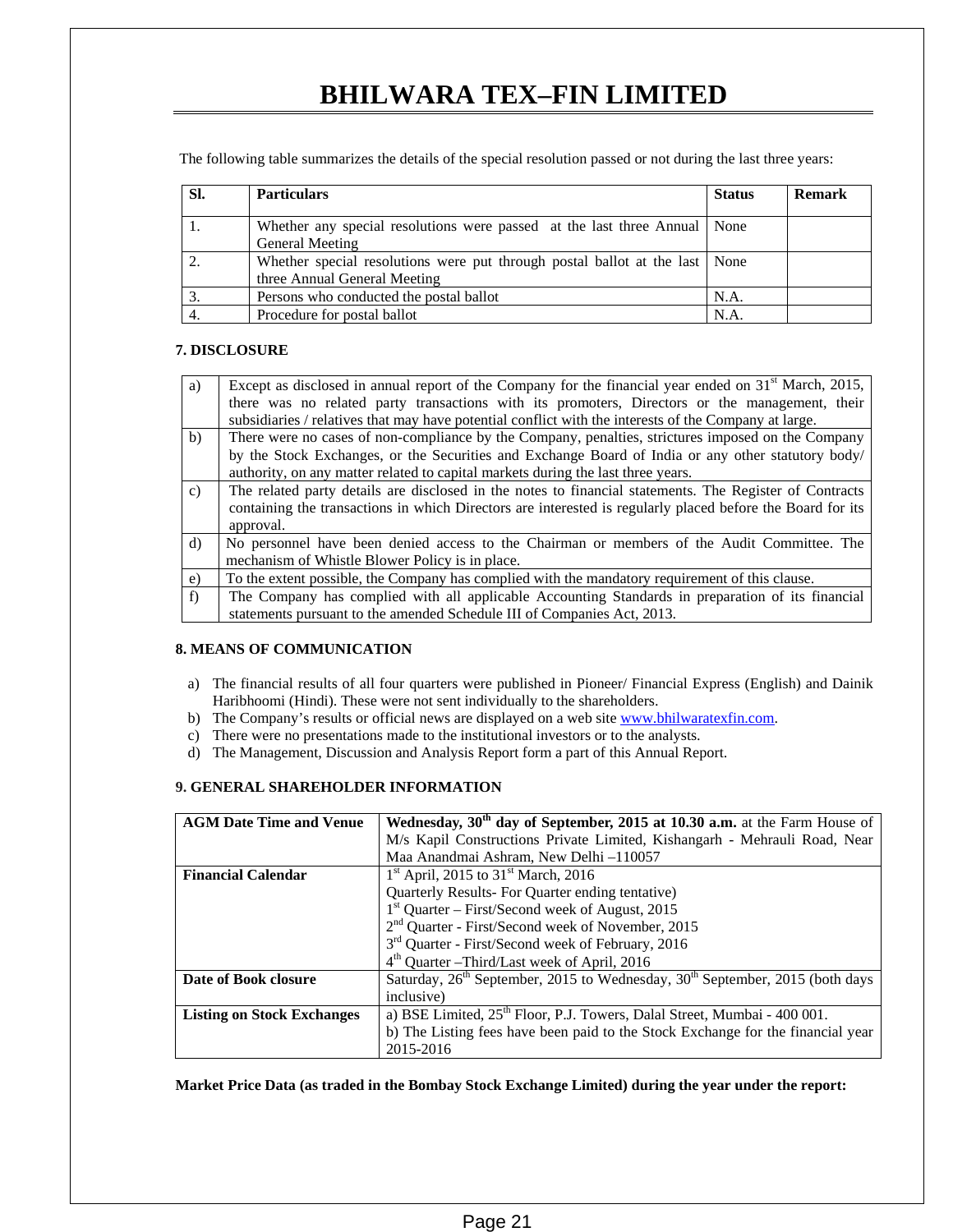The following table summarizes the details of the special resolution passed or not during the last three years:

| SI. | <b>Particulars</b>                                                                                          | <b>Status</b> | <b>Remark</b> |
|-----|-------------------------------------------------------------------------------------------------------------|---------------|---------------|
|     | Whether any special resolutions were passed at the last three Annual   None<br><b>General Meeting</b>       |               |               |
|     | Whether special resolutions were put through postal ballot at the last None<br>three Annual General Meeting |               |               |
|     | Persons who conducted the postal ballot                                                                     | N.A.          |               |
| 4.  | Procedure for postal ballot                                                                                 | N.A.          |               |

#### **7. DISCLOSURE**

| a) | Except as disclosed in annual report of the Company for the financial year ended on $31st$ March, 2015,    |
|----|------------------------------------------------------------------------------------------------------------|
|    | there was no related party transactions with its promoters, Directors or the management, their             |
|    | subsidiaries / relatives that may have potential conflict with the interests of the Company at large.      |
| b) | There were no cases of non-compliance by the Company, penalties, strictures imposed on the Company         |
|    | by the Stock Exchanges, or the Securities and Exchange Board of India or any other statutory body/         |
|    | authority, on any matter related to capital markets during the last three years.                           |
| c) | The related party details are disclosed in the notes to financial statements. The Register of Contracts    |
|    | containing the transactions in which Directors are interested is regularly placed before the Board for its |
|    | approval.                                                                                                  |
| d) | No personnel have been denied access to the Chairman or members of the Audit Committee. The                |
|    | mechanism of Whistle Blower Policy is in place.                                                            |
| e) | To the extent possible, the Company has complied with the mandatory requirement of this clause.            |
| f) | The Company has complied with all applicable Accounting Standards in preparation of its financial          |
|    | statements pursuant to the amended Schedule III of Companies Act, 2013.                                    |

#### **8. MEANS OF COMMUNICATION**

- a) The financial results of all four quarters were published in Pioneer/ Financial Express (English) and Dainik Haribhoomi (Hindi). These were not sent individually to the shareholders.
- b) The Company's results or official news are displayed on a web site www.bhilwaratexfin.com.
- c) There were no presentations made to the institutional investors or to the analysts.
- d) The Management, Discussion and Analysis Report form a part of this Annual Report.

#### **9. GENERAL SHAREHOLDER INFORMATION**

| <b>AGM Date Time and Venue</b>    | Wednesday, 30 <sup>th</sup> day of September, 2015 at 10.30 a.m. at the Farm House of |
|-----------------------------------|---------------------------------------------------------------------------------------|
|                                   | M/s Kapil Constructions Private Limited, Kishangarh - Mehrauli Road, Near             |
|                                   | Maa Anandmai Ashram, New Delhi -110057                                                |
| <b>Financial Calendar</b>         | $1st$ April, 2015 to 31 <sup>st</sup> March, 2016                                     |
|                                   | Quarterly Results- For Quarter ending tentative)                                      |
|                                   | $1st$ Quarter – First/Second week of August, 2015                                     |
|                                   | 2 <sup>nd</sup> Quarter - First/Second week of November, 2015                         |
|                                   | 3 <sup>rd</sup> Quarter - First/Second week of February, 2016                         |
|                                   | 4 <sup>th</sup> Quarter - Third/Last week of April, 2016                              |
| Date of Book closure              | Saturday, $26th$ September, 2015 to Wednesday, $30th$ September, 2015 (both days      |
|                                   | inclusive)                                                                            |
| <b>Listing on Stock Exchanges</b> | a) BSE Limited, $25th$ Floor, P.J. Towers, Dalal Street, Mumbai - 400 001.            |
|                                   | b) The Listing fees have been paid to the Stock Exchange for the financial year       |
|                                   | 2015-2016                                                                             |

**Market Price Data (as traded in the Bombay Stock Exchange Limited) during the year under the report:**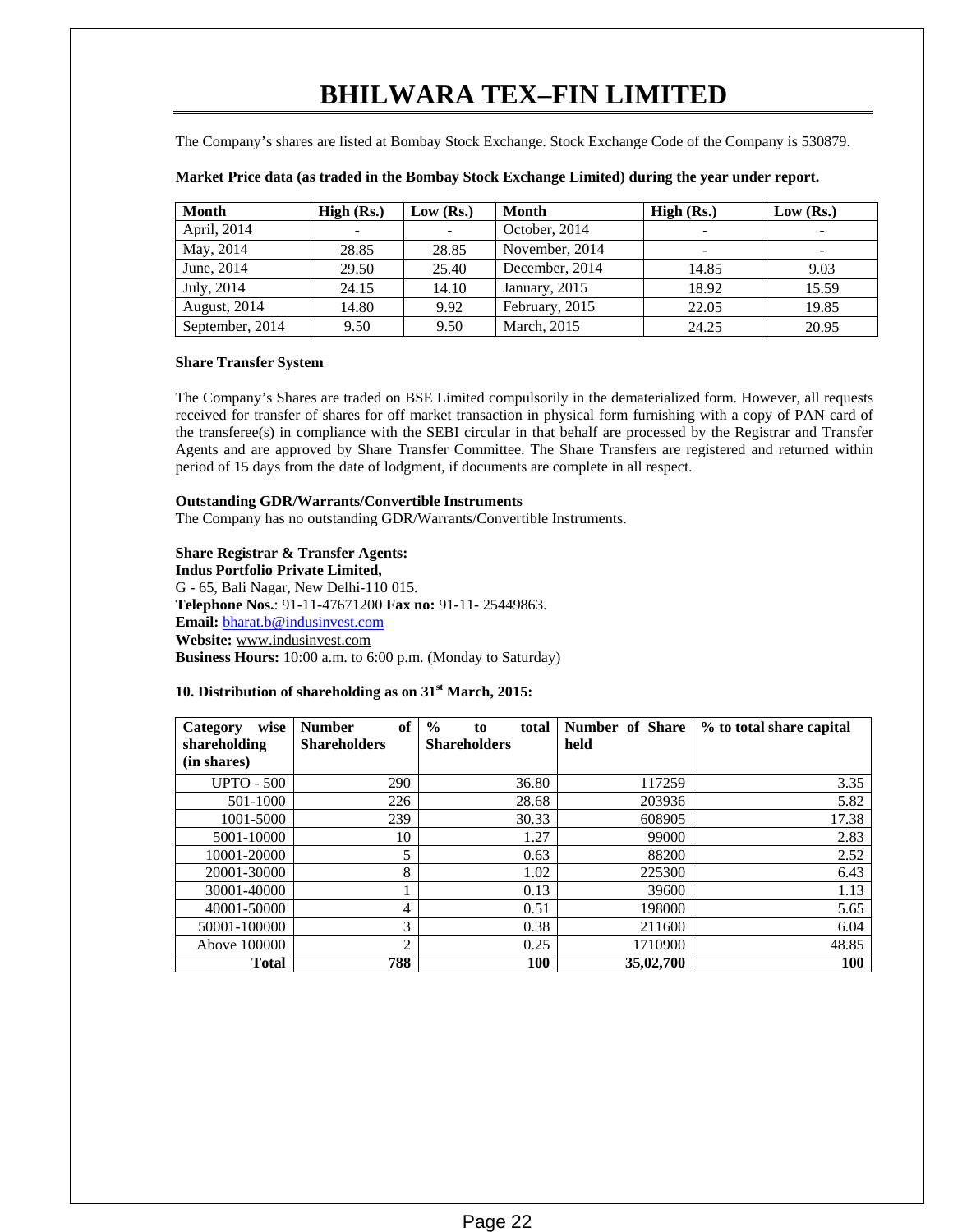The Company's shares are listed at Bombay Stock Exchange. Stock Exchange Code of the Company is 530879.

| <b>Month</b>         | High (Rs.)               | Low (Rs.)                | Month          | High $(Rs.)$ | Low (Rs.)                |
|----------------------|--------------------------|--------------------------|----------------|--------------|--------------------------|
| April, 2014          | $\overline{\phantom{a}}$ | $\overline{\phantom{0}}$ | October, 2014  |              |                          |
| May, 2014            | 28.85                    | 28.85                    | November, 2014 | -            | $\overline{\phantom{a}}$ |
| June, 2014           | 29.50                    | 25.40                    | December, 2014 | 14.85        | 9.03                     |
| July, 2014           | 24.15                    | 14.10                    | January, 2015  | 18.92        | 15.59                    |
| <b>August</b> , 2014 | 14.80                    | 9.92                     | February, 2015 | 22.05        | 19.85                    |
| September, 2014      | 9.50                     | 9.50                     | March, 2015    | 24.25        | 20.95                    |

#### **Market Price data (as traded in the Bombay Stock Exchange Limited) during the year under report.**

#### **Share Transfer System**

The Company's Shares are traded on BSE Limited compulsorily in the dematerialized form. However, all requests received for transfer of shares for off market transaction in physical form furnishing with a copy of PAN card of the transferee(s) in compliance with the SEBI circular in that behalf are processed by the Registrar and Transfer Agents and are approved by Share Transfer Committee. The Share Transfers are registered and returned within period of 15 days from the date of lodgment, if documents are complete in all respect.

#### **Outstanding GDR/Warrants/Convertible Instruments**

The Company has no outstanding GDR/Warrants/Convertible Instruments.

#### **Share Registrar & Transfer Agents:**

**Indus Portfolio Private Limited,**  G - 65, Bali Nagar, New Delhi-110 015. **Telephone Nos.**: 91-11-47671200 **Fax no:** 91-11- 25449863. **Email:** bharat.b@indusinvest.com **Website:** www.indusinvest.com **Business Hours:** 10:00 a.m. to 6:00 p.m. (Monday to Saturday)

#### **10. Distribution of shareholding as on 31st March, 2015:**

| wise<br>Category<br>shareholding<br>(in shares) | of<br><b>Number</b><br><b>Shareholders</b> | $\frac{0}{0}$<br>total<br>to<br><b>Shareholders</b> | Number of Share<br>held | % to total share capital |
|-------------------------------------------------|--------------------------------------------|-----------------------------------------------------|-------------------------|--------------------------|
| <b>UPTO - 500</b>                               | 290                                        | 36.80                                               | 117259                  | 3.35                     |
| 501-1000                                        | 226                                        | 28.68                                               | 203936                  | 5.82                     |
| 1001-5000                                       | 239                                        | 30.33                                               | 608905                  | 17.38                    |
| 5001-10000                                      | 10                                         | 1.27                                                | 99000                   | 2.83                     |
| 10001-20000                                     | 5                                          | 0.63                                                | 88200                   | 2.52                     |
| 20001-30000                                     | 8                                          | 1.02                                                | 225300                  | 6.43                     |
| 30001-40000                                     |                                            | 0.13                                                | 39600                   | 1.13                     |
| 40001-50000                                     | 4                                          | 0.51                                                | 198000                  | 5.65                     |
| 50001-100000                                    | 3                                          | 0.38                                                | 211600                  | 6.04                     |
| Above 100000                                    | 2                                          | 0.25                                                | 1710900                 | 48.85                    |
| <b>Total</b>                                    | 788                                        | <b>100</b>                                          | 35,02,700               | 100                      |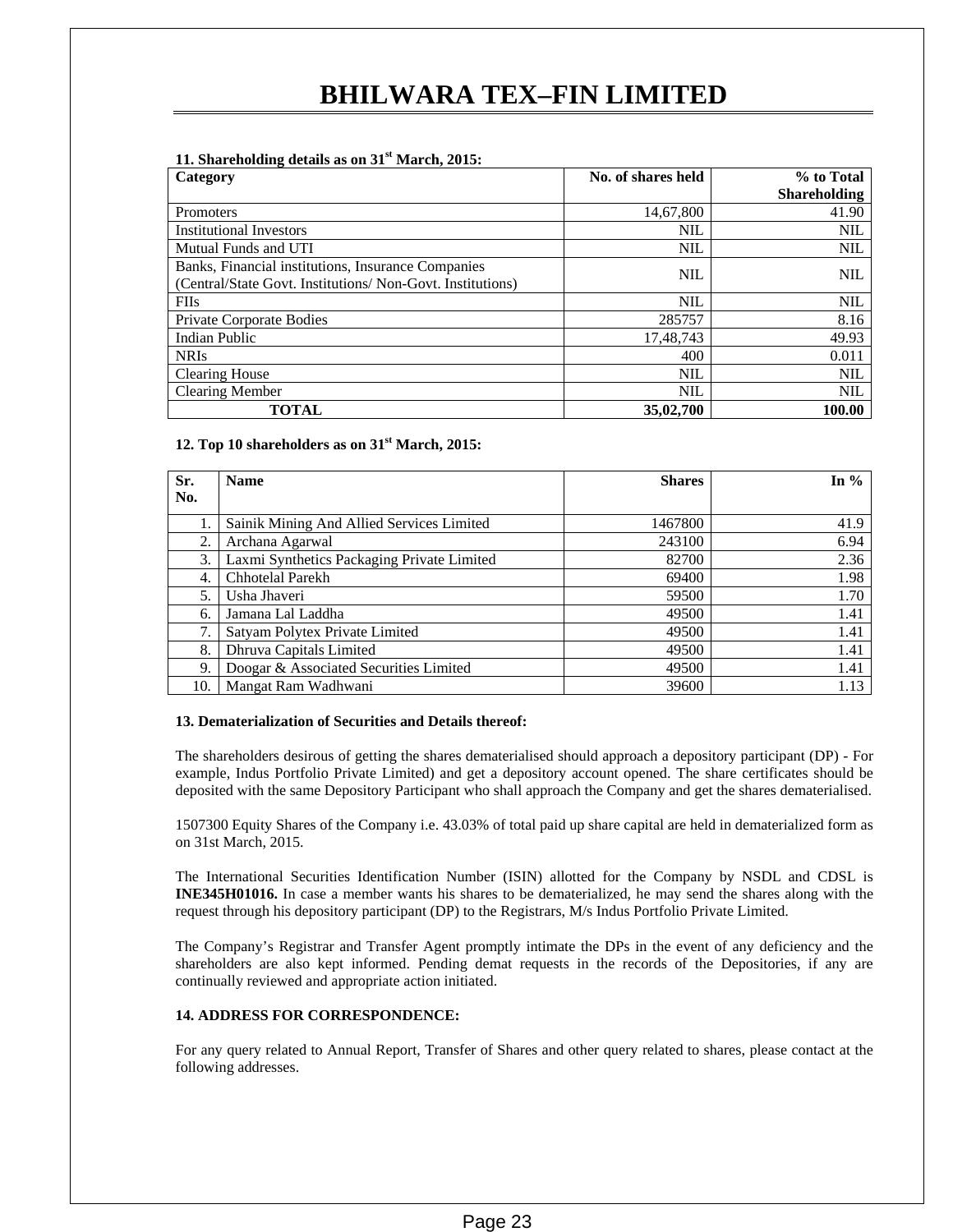#### **11. Shareholding details as on 31st March, 2015:**

| Category                                                   | No. of shares held | % to Total          |  |
|------------------------------------------------------------|--------------------|---------------------|--|
|                                                            |                    | <b>Shareholding</b> |  |
| <b>Promoters</b>                                           | 14,67,800          | 41.90               |  |
| <b>Institutional Investors</b>                             | <b>NIL</b>         | <b>NIL</b>          |  |
| Mutual Funds and UTI                                       | <b>NIL</b>         | <b>NIL</b>          |  |
| Banks, Financial institutions, Insurance Companies         | NIL                | <b>NIL</b>          |  |
| (Central/State Govt. Institutions/ Non-Govt. Institutions) |                    |                     |  |
| <b>FIIs</b>                                                | <b>NIL</b>         | <b>NIL</b>          |  |
| <b>Private Corporate Bodies</b>                            | 285757             | 8.16                |  |
| Indian Public                                              | 17,48,743          | 49.93               |  |
| <b>NRIs</b>                                                | 400                | 0.011               |  |
| <b>Clearing House</b>                                      | <b>NIL</b>         | <b>NIL</b>          |  |
| <b>Clearing Member</b>                                     | <b>NIL</b>         | <b>NIL</b>          |  |
| <b>TOTAL</b>                                               | 35,02,700          | 100.00              |  |

#### **12. Top 10 shareholders as on 31st March, 2015:**

| Sr. | <b>Name</b>                                | <b>Shares</b> | In $%$ |
|-----|--------------------------------------------|---------------|--------|
| No. |                                            |               |        |
|     | Sainik Mining And Allied Services Limited  | 1467800       | 41.9   |
| 2.  | Archana Agarwal                            | 243100        | 6.94   |
| 3.  | Laxmi Synthetics Packaging Private Limited | 82700         | 2.36   |
| 4.  | Chhotelal Parekh                           | 69400         | 1.98   |
| 5.  | Usha Jhaveri                               | 59500         | 1.70   |
| 6.  | Jamana Lal Laddha                          | 49500         | 1.41   |
| 7.  | Satyam Polytex Private Limited             | 49500         | 1.41   |
| 8.  | Dhruva Capitals Limited                    | 49500         | 1.41   |
| 9.  | Doogar & Associated Securities Limited     | 49500         | 1.41   |
| 10. | Mangat Ram Wadhwani                        | 39600         | 1.13   |

#### **13. Dematerialization of Securities and Details thereof:**

The shareholders desirous of getting the shares dematerialised should approach a depository participant (DP) - For example, Indus Portfolio Private Limited) and get a depository account opened. The share certificates should be deposited with the same Depository Participant who shall approach the Company and get the shares dematerialised.

1507300 Equity Shares of the Company i.e. 43.03% of total paid up share capital are held in dematerialized form as on 31st March, 2015.

The International Securities Identification Number (ISIN) allotted for the Company by NSDL and CDSL is **INE345H01016.** In case a member wants his shares to be dematerialized, he may send the shares along with the request through his depository participant (DP) to the Registrars, M/s Indus Portfolio Private Limited.

The Company's Registrar and Transfer Agent promptly intimate the DPs in the event of any deficiency and the shareholders are also kept informed. Pending demat requests in the records of the Depositories, if any are continually reviewed and appropriate action initiated.

#### **14. ADDRESS FOR CORRESPONDENCE:**

For any query related to Annual Report, Transfer of Shares and other query related to shares, please contact at the following addresses.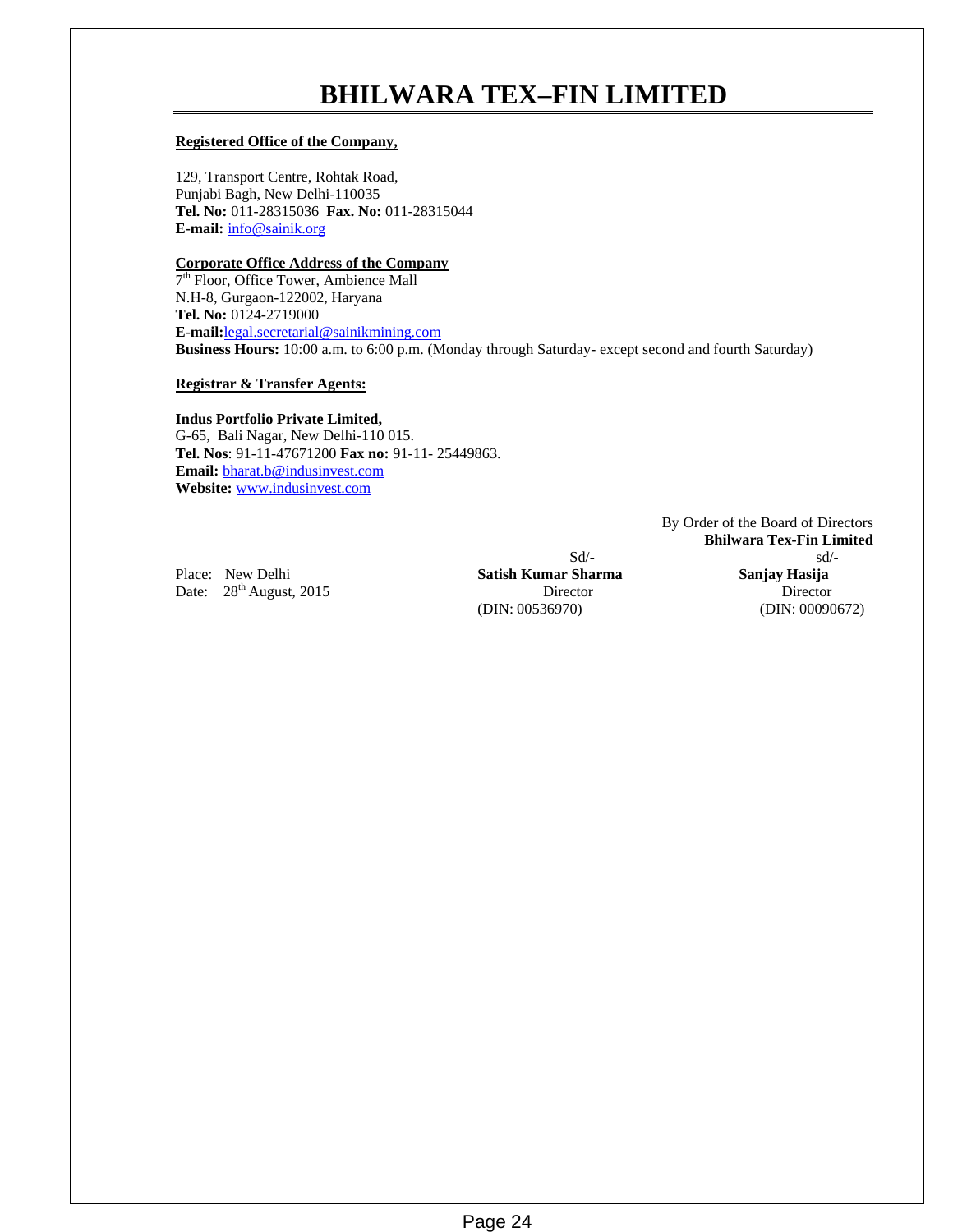#### **Registered Office of the Company,**

129, Transport Centre, Rohtak Road, Punjabi Bagh, New Delhi-110035 **Tel. No:** 011-28315036 **Fax. No:** 011-28315044 **E-mail:** info@sainik.org

#### **Corporate Office Address of the Company**

7<sup>th</sup> Floor, Office Tower, Ambience Mall N.H-8, Gurgaon-122002, Haryana **Tel. No:** 0124-2719000 **E-mail:**legal.secretarial@sainikmining.com **Business Hours:** 10:00 a.m. to 6:00 p.m. (Monday through Saturday- except second and fourth Saturday)

#### **Registrar & Transfer Agents:**

#### **Indus Portfolio Private Limited,**

G-65, Bali Nagar, New Delhi-110 015. **Tel. Nos**: 91-11-47671200 **Fax no:** 91-11- 25449863. **Email:** bharat.b@indusinvest.com **Website:** www.indusinvest.com

Place: New Delhi **Satish Kumar Sharma Sanjay Hasija** 

Date:  $28<sup>th</sup>$  August, 2015<br>
(DIN: 00536970)<br>
(DIN: 00536970)<br>
(DIN: 00090672)  $(DIN: 00536970)$ 

By Order of the Board of Directors **Bhilwara Tex-Fin Limited**   $Sd$ - $sd/$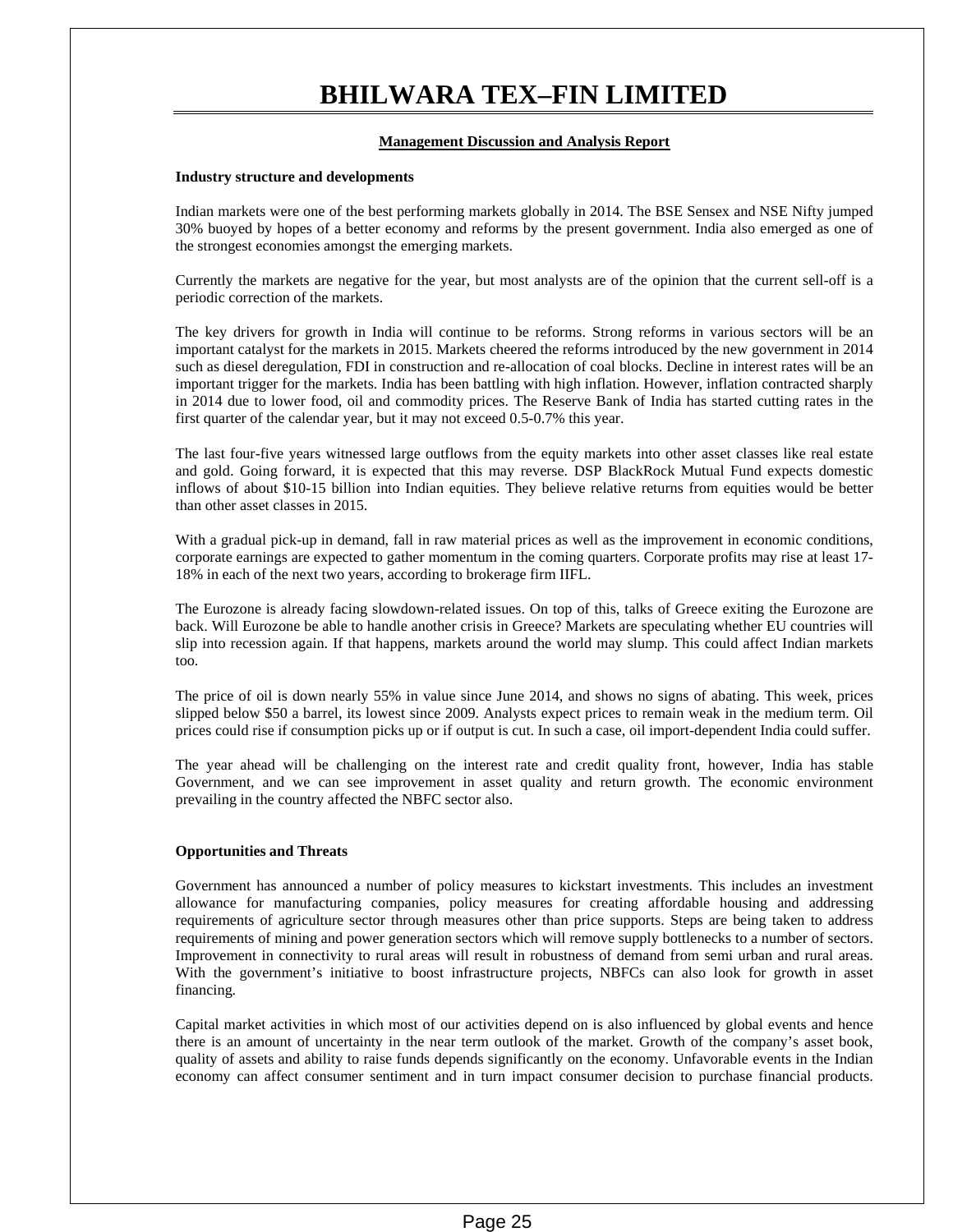#### **Management Discussion and Analysis Report**

#### **Industry structure and developments**

Indian markets were one of the best performing markets globally in 2014. The BSE Sensex and NSE Nifty jumped 30% buoyed by hopes of a better economy and reforms by the present government. India also emerged as one of the strongest economies amongst the emerging markets.

Currently the markets are negative for the year, but most analysts are of the opinion that the current sell-off is a periodic correction of the markets.

The key drivers for growth in India will continue to be reforms. Strong reforms in various sectors will be an important catalyst for the markets in 2015. Markets cheered the reforms introduced by the new government in 2014 such as diesel deregulation, FDI in construction and re-allocation of coal blocks. Decline in interest rates will be an important trigger for the markets. India has been battling with high inflation. However, inflation contracted sharply in 2014 due to lower food, oil and commodity prices. The Reserve Bank of India has started cutting rates in the first quarter of the calendar year, but it may not exceed 0.5-0.7% this year.

The last four-five years witnessed large outflows from the equity markets into other asset classes like real estate and gold. Going forward, it is expected that this may reverse. DSP BlackRock Mutual Fund expects domestic inflows of about \$10-15 billion into Indian equities. They believe relative returns from equities would be better than other asset classes in 2015.

With a gradual pick-up in demand, fall in raw material prices as well as the improvement in economic conditions, corporate earnings are expected to gather momentum in the coming quarters. Corporate profits may rise at least 17- 18% in each of the next two years, according to brokerage firm IIFL.

The Eurozone is already facing slowdown-related issues. On top of this, talks of Greece exiting the Eurozone are back. Will Eurozone be able to handle another crisis in Greece? Markets are speculating whether EU countries will slip into recession again. If that happens, markets around the world may slump. This could affect Indian markets too.

The price of oil is down nearly 55% in value since June 2014, and shows no signs of abating. This week, prices slipped below \$50 a barrel, its lowest since 2009. Analysts expect prices to remain weak in the medium term. Oil prices could rise if consumption picks up or if output is cut. In such a case, oil import-dependent India could suffer.

The year ahead will be challenging on the interest rate and credit quality front, however, India has stable Government, and we can see improvement in asset quality and return growth. The economic environment prevailing in the country affected the NBFC sector also.

#### **Opportunities and Threats**

Government has announced a number of policy measures to kickstart investments. This includes an investment allowance for manufacturing companies, policy measures for creating affordable housing and addressing requirements of agriculture sector through measures other than price supports. Steps are being taken to address requirements of mining and power generation sectors which will remove supply bottlenecks to a number of sectors. Improvement in connectivity to rural areas will result in robustness of demand from semi urban and rural areas. With the government's initiative to boost infrastructure projects, NBFCs can also look for growth in asset financing.

Capital market activities in which most of our activities depend on is also influenced by global events and hence there is an amount of uncertainty in the near term outlook of the market. Growth of the company's asset book, quality of assets and ability to raise funds depends significantly on the economy. Unfavorable events in the Indian economy can affect consumer sentiment and in turn impact consumer decision to purchase financial products.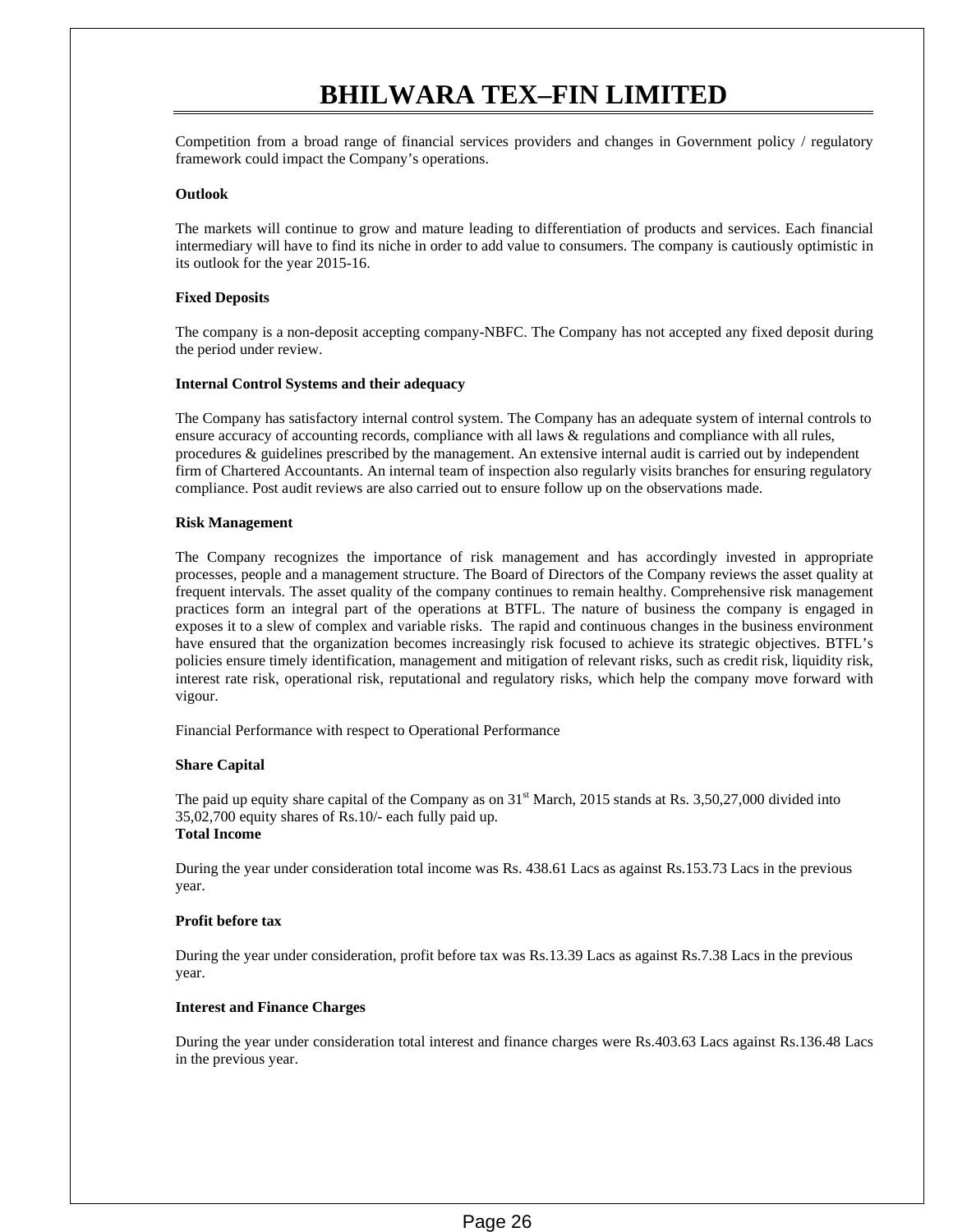Competition from a broad range of financial services providers and changes in Government policy / regulatory framework could impact the Company's operations.

#### **Outlook**

The markets will continue to grow and mature leading to differentiation of products and services. Each financial intermediary will have to find its niche in order to add value to consumers. The company is cautiously optimistic in its outlook for the year 2015-16.

#### **Fixed Deposits**

The company is a non-deposit accepting company-NBFC. The Company has not accepted any fixed deposit during the period under review.

#### **Internal Control Systems and their adequacy**

The Company has satisfactory internal control system. The Company has an adequate system of internal controls to ensure accuracy of accounting records, compliance with all laws & regulations and compliance with all rules, procedures & guidelines prescribed by the management. An extensive internal audit is carried out by independent firm of Chartered Accountants. An internal team of inspection also regularly visits branches for ensuring regulatory compliance. Post audit reviews are also carried out to ensure follow up on the observations made.

#### **Risk Management**

The Company recognizes the importance of risk management and has accordingly invested in appropriate processes, people and a management structure. The Board of Directors of the Company reviews the asset quality at frequent intervals. The asset quality of the company continues to remain healthy. Comprehensive risk management practices form an integral part of the operations at BTFL. The nature of business the company is engaged in exposes it to a slew of complex and variable risks. The rapid and continuous changes in the business environment have ensured that the organization becomes increasingly risk focused to achieve its strategic objectives. BTFL's policies ensure timely identification, management and mitigation of relevant risks, such as credit risk, liquidity risk, interest rate risk, operational risk, reputational and regulatory risks, which help the company move forward with vigour.

Financial Performance with respect to Operational Performance

#### **Share Capital**

The paid up equity share capital of the Company as on  $31<sup>st</sup>$  March, 2015 stands at Rs. 3,50,27,000 divided into 35,02,700 equity shares of Rs.10/- each fully paid up. **Total Income** 

During the year under consideration total income was Rs. 438.61 Lacs as against Rs.153.73 Lacs in the previous year.

#### **Profit before tax**

During the year under consideration, profit before tax was Rs.13.39 Lacs as against Rs.7.38 Lacs in the previous year.

#### **Interest and Finance Charges**

During the year under consideration total interest and finance charges were Rs.403.63 Lacs against Rs.136.48 Lacs in the previous year.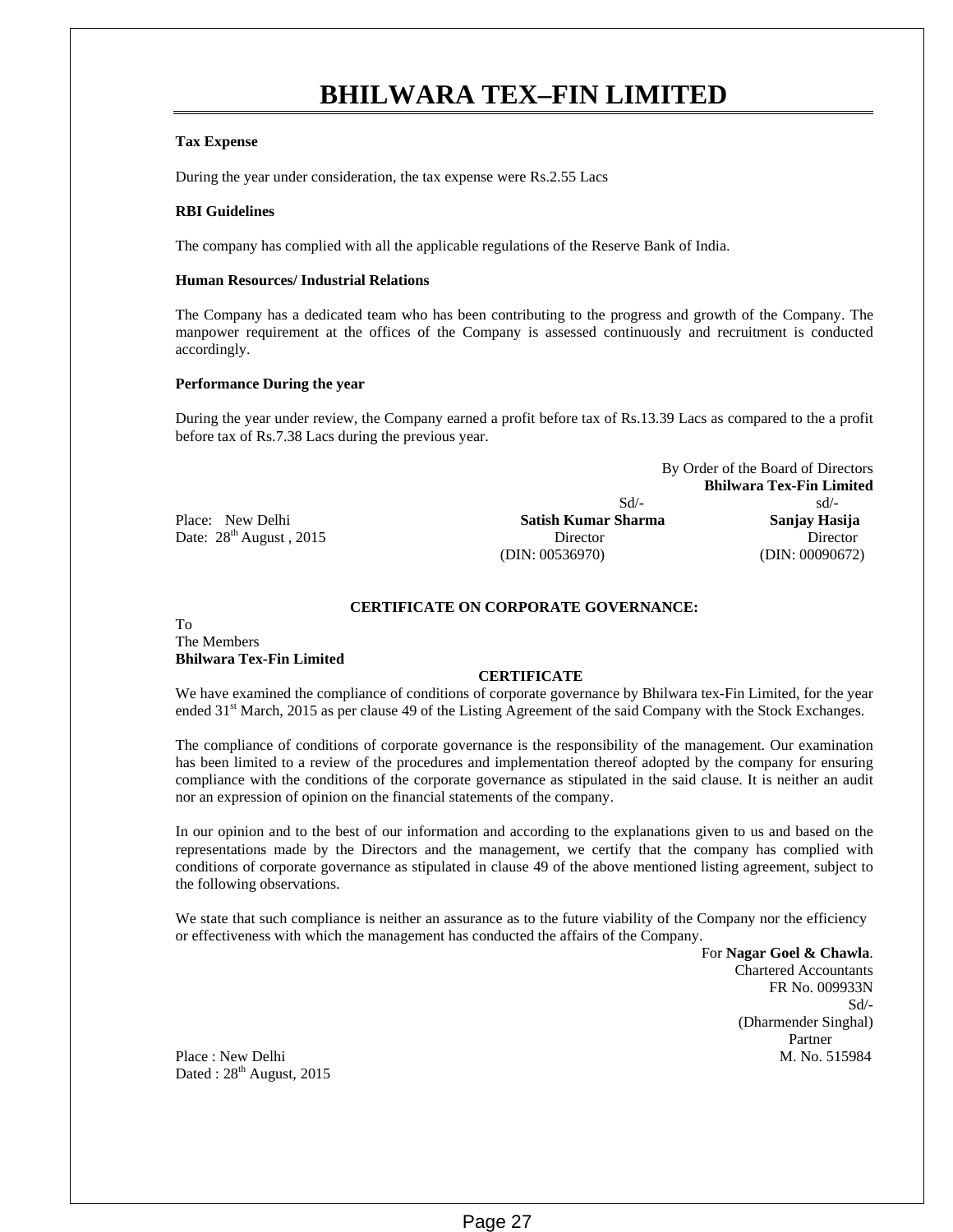#### **Tax Expense**

During the year under consideration, the tax expense were Rs.2.55 Lacs

#### **RBI Guidelines**

The company has complied with all the applicable regulations of the Reserve Bank of India.

#### **Human Resources/ Industrial Relations**

The Company has a dedicated team who has been contributing to the progress and growth of the Company. The manpower requirement at the offices of the Company is assessed continuously and recruitment is conducted accordingly.

#### **Performance During the year**

During the year under review, the Company earned a profit before tax of Rs.13.39 Lacs as compared to the a profit before tax of Rs.7.38 Lacs during the previous year.

|                                     |                     | By Order of the Board of Directors |
|-------------------------------------|---------------------|------------------------------------|
|                                     |                     | <b>Bhilwara Tex-Fin Limited</b>    |
|                                     | Sd/                 | $sd/-$                             |
| Place: New Delhi                    | Satish Kumar Sharma | Sanjay Hasija                      |
| Date: $28^{\text{th}}$ August, 2015 | <b>Director</b>     | Director                           |
|                                     | (DIN: 00536970)     | (DIN: 00090672)                    |

#### **CERTIFICATE ON CORPORATE GOVERNANCE:**

#### To The Members **Bhilwara Tex-Fin Limited**

#### **CERTIFICATE**

We have examined the compliance of conditions of corporate governance by Bhilwara tex-Fin Limited, for the year ended 31<sup>st</sup> March, 2015 as per clause 49 of the Listing Agreement of the said Company with the Stock Exchanges.

The compliance of conditions of corporate governance is the responsibility of the management. Our examination has been limited to a review of the procedures and implementation thereof adopted by the company for ensuring compliance with the conditions of the corporate governance as stipulated in the said clause. It is neither an audit nor an expression of opinion on the financial statements of the company.

In our opinion and to the best of our information and according to the explanations given to us and based on the representations made by the Directors and the management, we certify that the company has complied with conditions of corporate governance as stipulated in clause 49 of the above mentioned listing agreement, subject to the following observations.

We state that such compliance is neither an assurance as to the future viability of the Company nor the efficiency or effectiveness with which the management has conducted the affairs of the Company.

For **Nagar Goel & Chawla**. Chartered Accountants FR No. 009933N Sd/- (Dharmender Singhal) **Partner** Partner Place : New Delhi M. No. 515984

Dated :  $28<sup>th</sup>$  August, 2015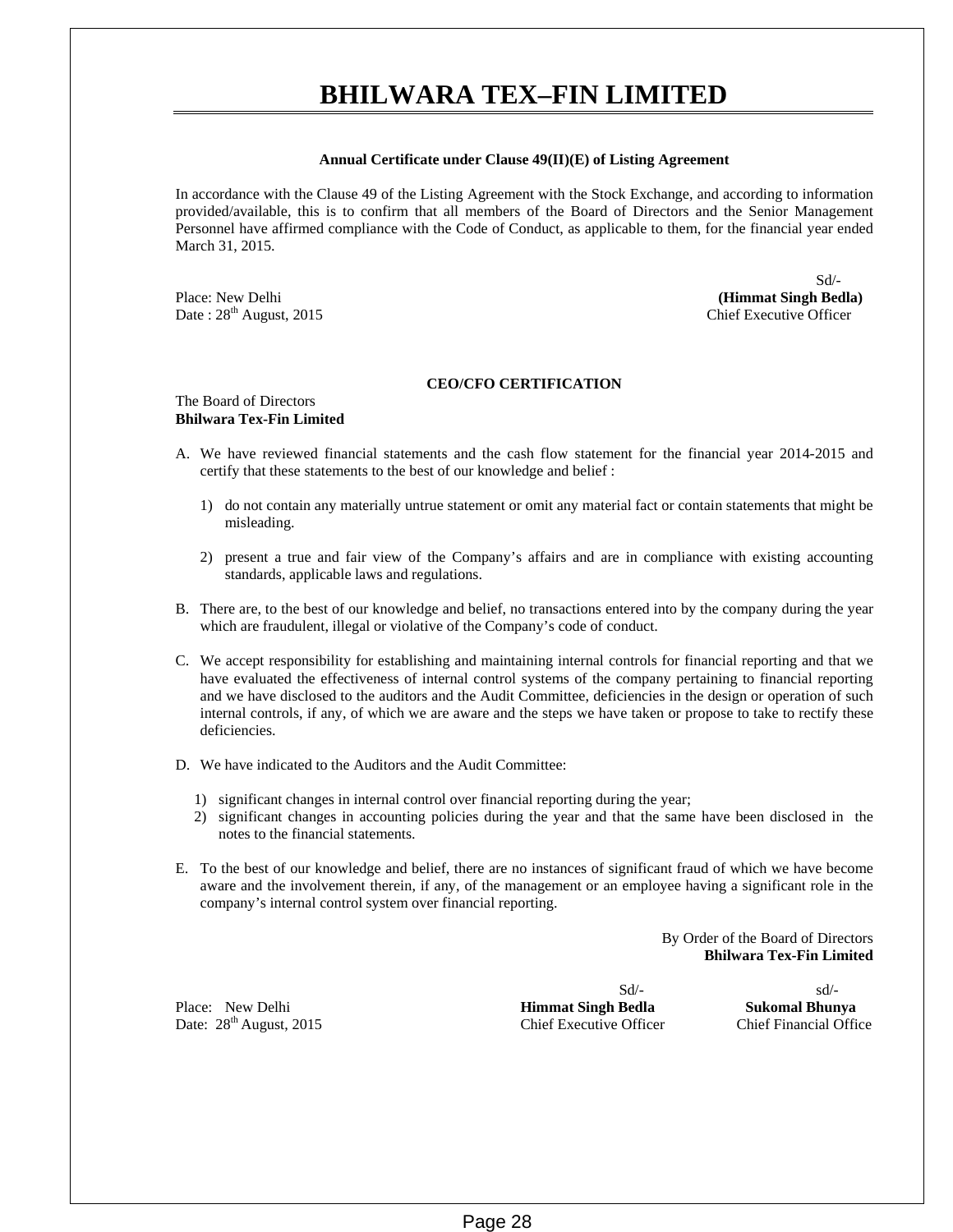#### **Annual Certificate under Clause 49(II)(E) of Listing Agreement**

In accordance with the Clause 49 of the Listing Agreement with the Stock Exchange, and according to information provided/available, this is to confirm that all members of the Board of Directors and the Senior Management Personnel have affirmed compliance with the Code of Conduct, as applicable to them, for the financial year ended March 31, 2015.

Date :  $28<sup>th</sup>$  August, 2015 Chief Executive Officer

 Sd/- Place: New Delhi **(Himmat Singh Bedla)**

#### **CEO/CFO CERTIFICATION**

#### The Board of Directors **Bhilwara Tex-Fin Limited**

- A. We have reviewed financial statements and the cash flow statement for the financial year 2014-2015 and certify that these statements to the best of our knowledge and belief :
	- 1) do not contain any materially untrue statement or omit any material fact or contain statements that might be misleading.
	- 2) present a true and fair view of the Company's affairs and are in compliance with existing accounting standards, applicable laws and regulations.
- B. There are, to the best of our knowledge and belief, no transactions entered into by the company during the year which are fraudulent, illegal or violative of the Company's code of conduct.
- C. We accept responsibility for establishing and maintaining internal controls for financial reporting and that we have evaluated the effectiveness of internal control systems of the company pertaining to financial reporting and we have disclosed to the auditors and the Audit Committee, deficiencies in the design or operation of such internal controls, if any, of which we are aware and the steps we have taken or propose to take to rectify these deficiencies.
- D. We have indicated to the Auditors and the Audit Committee:
	- 1) significant changes in internal control over financial reporting during the year;
	- 2) significant changes in accounting policies during the year and that the same have been disclosed in the notes to the financial statements.
- E. To the best of our knowledge and belief, there are no instances of significant fraud of which we have become aware and the involvement therein, if any, of the management or an employee having a significant role in the company's internal control system over financial reporting.

By Order of the Board of Directors **Bhilwara Tex-Fin Limited** 

Place: New Delhi **Himmat Singh Bedla Sukomal Bhunya**  Date:  $28<sup>th</sup>$  August, 2015 Chief Executive Officer Chief Financial Office

 $Sd$ - $sd/$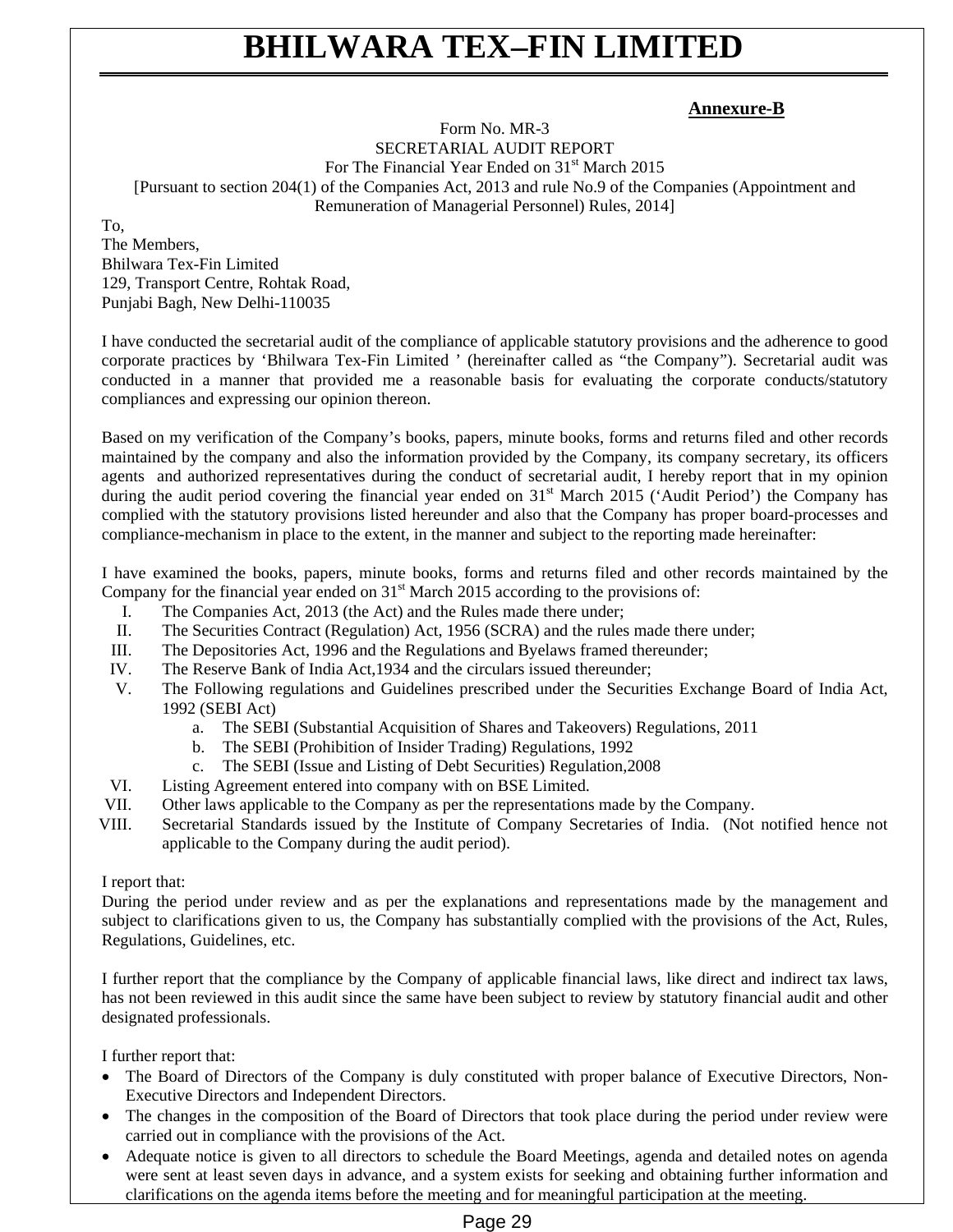### **Annexure-B**

Form No. MR-3 SECRETARIAL AUDIT REPORT For The Financial Year Ended on 31<sup>st</sup> March 2015 [Pursuant to section 204(1) of the Companies Act, 2013 and rule No.9 of the Companies (Appointment and Remuneration of Managerial Personnel) Rules, 2014]

To,

The Members, Bhilwara Tex-Fin Limited 129, Transport Centre, Rohtak Road, Punjabi Bagh, New Delhi-110035

I have conducted the secretarial audit of the compliance of applicable statutory provisions and the adherence to good corporate practices by 'Bhilwara Tex-Fin Limited ' (hereinafter called as "the Company"). Secretarial audit was conducted in a manner that provided me a reasonable basis for evaluating the corporate conducts/statutory compliances and expressing our opinion thereon.

Based on my verification of the Company's books, papers, minute books, forms and returns filed and other records maintained by the company and also the information provided by the Company, its company secretary, its officers agents and authorized representatives during the conduct of secretarial audit, I hereby report that in my opinion during the audit period covering the financial year ended on  $31<sup>st</sup>$  March 2015 ('Audit Period') the Company has complied with the statutory provisions listed hereunder and also that the Company has proper board-processes and compliance-mechanism in place to the extent, in the manner and subject to the reporting made hereinafter:

I have examined the books, papers, minute books, forms and returns filed and other records maintained by the Company for the financial year ended on  $31<sup>st</sup>$  March 2015 according to the provisions of:

- I. The Companies Act, 2013 (the Act) and the Rules made there under;
- II. The Securities Contract (Regulation) Act, 1956 (SCRA) and the rules made there under;
- III. The Depositories Act, 1996 and the Regulations and Byelaws framed thereunder;
- IV. The Reserve Bank of India Act,1934 and the circulars issued thereunder;
- V. The Following regulations and Guidelines prescribed under the Securities Exchange Board of India Act, 1992 (SEBI Act)
	- a. The SEBI (Substantial Acquisition of Shares and Takeovers) Regulations, 2011
	- b. The SEBI (Prohibition of Insider Trading) Regulations, 1992
	- c. The SEBI (Issue and Listing of Debt Securities) Regulation,2008
- VI. Listing Agreement entered into company with on BSE Limited.
- VII. Other laws applicable to the Company as per the representations made by the Company.
- VIII. Secretarial Standards issued by the Institute of Company Secretaries of India. (Not notified hence not applicable to the Company during the audit period).

#### I report that:

During the period under review and as per the explanations and representations made by the management and subject to clarifications given to us, the Company has substantially complied with the provisions of the Act, Rules, Regulations, Guidelines, etc.

I further report that the compliance by the Company of applicable financial laws, like direct and indirect tax laws, has not been reviewed in this audit since the same have been subject to review by statutory financial audit and other designated professionals.

I further report that:

- The Board of Directors of the Company is duly constituted with proper balance of Executive Directors, Non-Executive Directors and Independent Directors.
- The changes in the composition of the Board of Directors that took place during the period under review were carried out in compliance with the provisions of the Act.
- Adequate notice is given to all directors to schedule the Board Meetings, agenda and detailed notes on agenda were sent at least seven days in advance, and a system exists for seeking and obtaining further information and clarifications on the agenda items before the meeting and for meaningful participation at the meeting.

### Page 29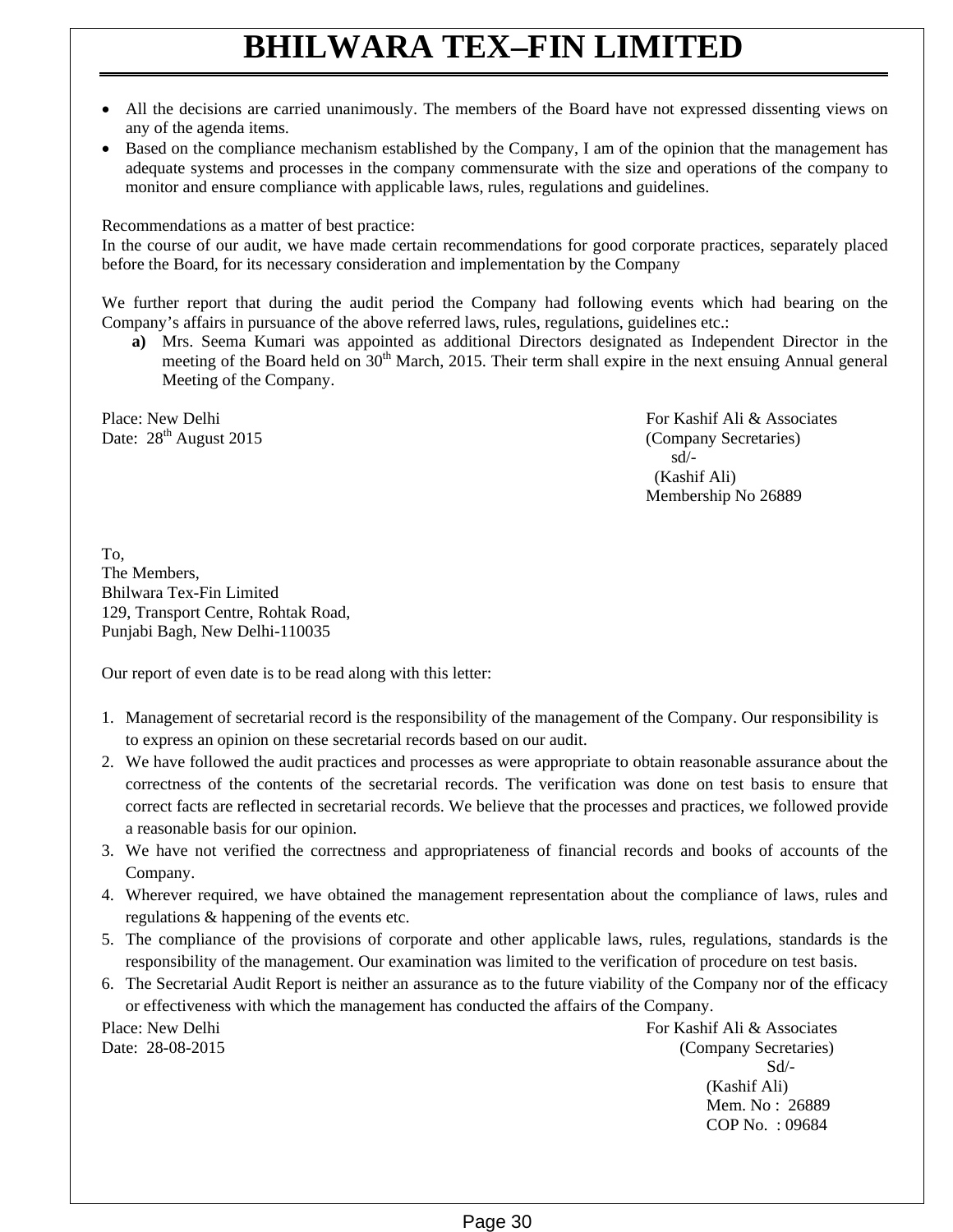- All the decisions are carried unanimously. The members of the Board have not expressed dissenting views on any of the agenda items.
- Based on the compliance mechanism established by the Company, I am of the opinion that the management has adequate systems and processes in the company commensurate with the size and operations of the company to monitor and ensure compliance with applicable laws, rules, regulations and guidelines.

Recommendations as a matter of best practice:

In the course of our audit, we have made certain recommendations for good corporate practices, separately placed before the Board, for its necessary consideration and implementation by the Company

We further report that during the audit period the Company had following events which had bearing on the Company's affairs in pursuance of the above referred laws, rules, regulations, guidelines etc.:

**a)** Mrs. Seema Kumari was appointed as additional Directors designated as Independent Director in the meeting of the Board held on  $30<sup>th</sup>$  March, 2015. Their term shall expire in the next ensuing Annual general Meeting of the Company.

Date:  $28<sup>th</sup>$  August 2015 (Company Secretaries)

Place: New Delhi For Kashif Ali & Associates sd/- (Kashif Ali) Membership No 26889

To, The Members, Bhilwara Tex-Fin Limited 129, Transport Centre, Rohtak Road, Punjabi Bagh, New Delhi-110035

Our report of even date is to be read along with this letter:

- 1. Management of secretarial record is the responsibility of the management of the Company. Our responsibility is to express an opinion on these secretarial records based on our audit.
- 2. We have followed the audit practices and processes as were appropriate to obtain reasonable assurance about the correctness of the contents of the secretarial records. The verification was done on test basis to ensure that correct facts are reflected in secretarial records. We believe that the processes and practices, we followed provide a reasonable basis for our opinion.
- 3. We have not verified the correctness and appropriateness of financial records and books of accounts of the Company.
- 4. Wherever required, we have obtained the management representation about the compliance of laws, rules and regulations & happening of the events etc.
- 5. The compliance of the provisions of corporate and other applicable laws, rules, regulations, standards is the responsibility of the management. Our examination was limited to the verification of procedure on test basis.
- 6. The Secretarial Audit Report is neither an assurance as to the future viability of the Company nor of the efficacy or effectiveness with which the management has conducted the affairs of the Company.

Place: New Delhi For Kashif Ali & Associates Date: 28-08-2015 (Company Secretaries) Sd/- (Kashif Ali) Mem. No : 26889 COP No. : 09684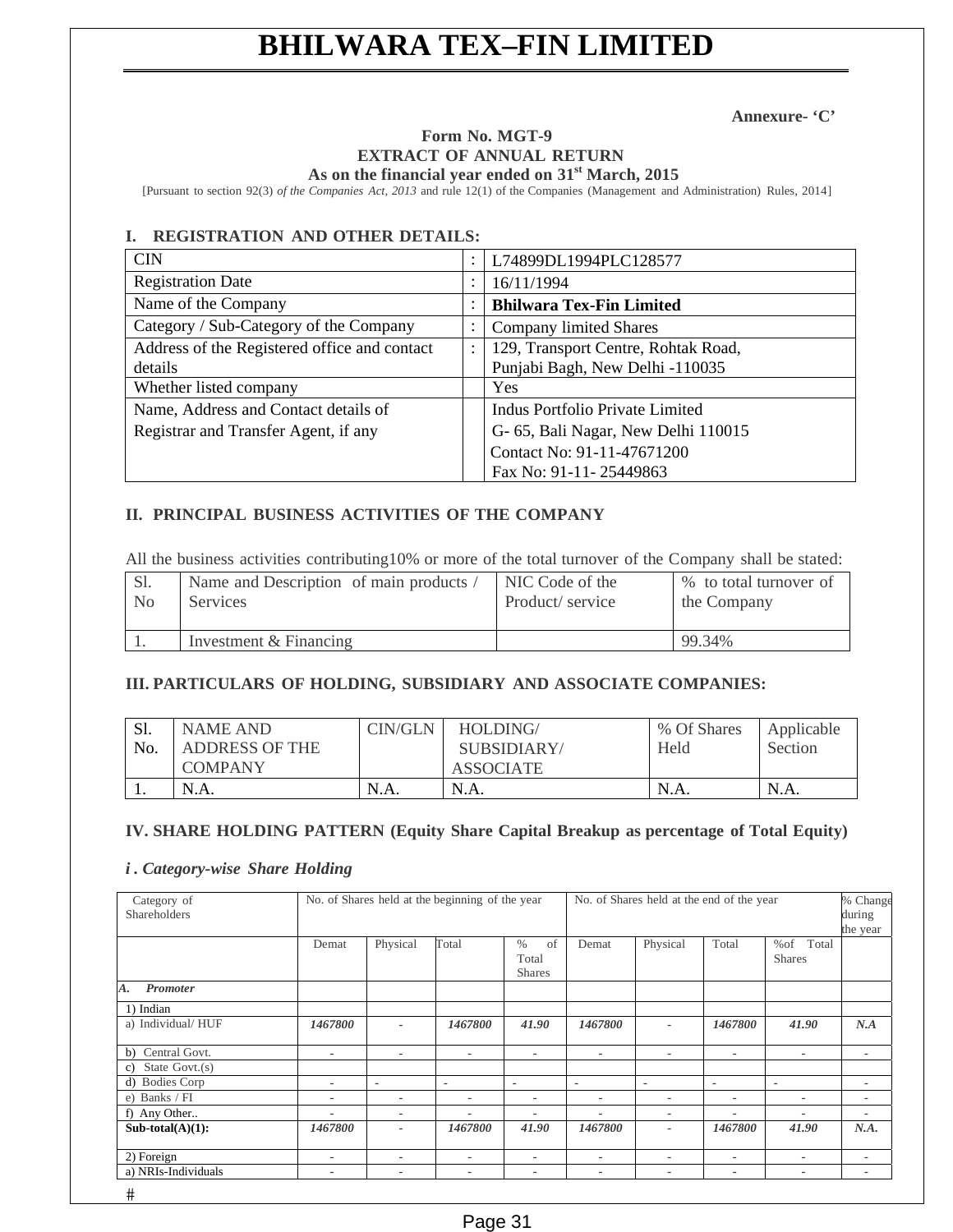#### **Annexure- 'C'**

### **Form No. MGT-9 EXTRACT OF ANNUAL RETURN**

**As on the financial year ended on 31st March, 2015**

[Pursuant to section 92(3) *of the Companies Act, 2013* and rule 12(1) of the Companies (Management and Administration) Rules, 2014]

#### **I. REGISTRATION AND OTHER DETAILS:**

| <b>CIN</b>                                   |                | L74899DL1994PLC128577               |
|----------------------------------------------|----------------|-------------------------------------|
| <b>Registration Date</b>                     |                | 16/11/1994                          |
| Name of the Company                          |                | <b>Bhilwara Tex-Fin Limited</b>     |
| Category / Sub-Category of the Company       |                | <b>Company limited Shares</b>       |
| Address of the Registered office and contact | $\ddot{\cdot}$ | 129, Transport Centre, Rohtak Road, |
| details                                      |                | Punjabi Bagh, New Delhi -110035     |
| Whether listed company                       |                | Yes                                 |
| Name, Address and Contact details of         |                | Indus Portfolio Private Limited     |
| Registrar and Transfer Agent, if any         |                | G- 65, Bali Nagar, New Delhi 110015 |
|                                              |                | Contact No: 91-11-47671200          |
|                                              |                | Fax No: 91-11-25449863              |

### **II. PRINCIPAL BUSINESS ACTIVITIES OF THE COMPANY**

All the business activities contributing10% or more of the total turnover of the Company shall be stated:

| Sl.            | Name and Description of main products / | NIC Code of the  | % to total turnover of |
|----------------|-----------------------------------------|------------------|------------------------|
| N <sub>0</sub> | <b>Services</b>                         | Product/ service | the Company            |
|                | Investment & Financing                  |                  | 99.34%                 |

#### **III. PARTICULARS OF HOLDING, SUBSIDIARY AND ASSOCIATE COMPANIES:**

| - 91<br>.וכ | NAME AND              | CIN/GLN | HOLDING/         | % Of Shares | Applicable |
|-------------|-----------------------|---------|------------------|-------------|------------|
| No.         | <b>ADDRESS OF THE</b> |         | SUBSIDIARY/      | Held        | Section    |
|             | <b>COMPANY</b>        |         | <b>ASSOCIATE</b> |             |            |
|             | N.A.                  | N.A.    | N.A.             | N.A.        | N.A.       |

#### **IV. SHARE HOLDING PATTERN (Equity Share Capital Breakup as percentage of Total Equity)**

#### *i . Category-wise Share Holding*

| Category of<br>Shareholders |                          |                | No. of Shares held at the beginning of the year |                                      | No. of Shares held at the end of the year |                          |                          |                               | % Change<br>during<br>the year |
|-----------------------------|--------------------------|----------------|-------------------------------------------------|--------------------------------------|-------------------------------------------|--------------------------|--------------------------|-------------------------------|--------------------------------|
|                             | Demat                    | Physical       | Total                                           | of<br>$\%$<br>Total<br><b>Shares</b> | Demat                                     | Physical                 | Total                    | %of<br>Total<br><b>Shares</b> |                                |
| <b>Promoter</b><br>А.       |                          |                |                                                 |                                      |                                           |                          |                          |                               |                                |
| 1) Indian                   |                          |                |                                                 |                                      |                                           |                          |                          |                               |                                |
| a) Individual/HUF           | 1467800                  | $\overline{a}$ | 1467800                                         | 41.90                                | 1467800                                   | $\overline{a}$           | 1467800                  | 41.90                         | N.A                            |
| b) Central Govt.            | ۰                        | $\overline{a}$ | $\overline{a}$                                  | $\overline{\phantom{a}}$             | $\overline{\phantom{a}}$                  | $\overline{\phantom{a}}$ | $\overline{\phantom{a}}$ | ٠                             | ٠                              |
| State $Govt.(s)$<br>C)      |                          |                |                                                 |                                      |                                           |                          |                          |                               |                                |
| <b>Bodies Corp</b><br>d)    | $\overline{\phantom{a}}$ | $\overline{a}$ | $\overline{\phantom{a}}$                        | $\sim$                               | $\tilde{\phantom{a}}$                     | $\overline{a}$           | $\overline{a}$           | $\overline{\phantom{a}}$      | $\overline{\phantom{a}}$       |
| e) Banks / FI               | ۰                        | $\overline{a}$ | $\overline{a}$                                  | ٠                                    | $\tilde{\phantom{a}}$                     | ٠                        | $\tilde{\phantom{a}}$    | ۰                             | $\overline{\phantom{a}}$       |
| f) Any Other                | ۰                        | ٠              | $\overline{a}$                                  | ٠                                    | ٠                                         | ٠                        | $\tilde{\phantom{a}}$    | ٠                             | ۰                              |
| Sub-total $(A)(1)$ :        | 1467800                  | $\overline{a}$ | 1467800                                         | 41.90                                | 1467800                                   | $\overline{a}$           | 1467800                  | 41.90                         | N.A.                           |
| 2) Foreign                  |                          | $\overline{a}$ | $\overline{a}$                                  | $\overline{a}$                       | $\overline{a}$                            | $\overline{\phantom{a}}$ | $\overline{\phantom{a}}$ | $\overline{\phantom{a}}$      | -                              |
| a) NRIs-Individuals         | ۰                        | $\overline{a}$ | ۰                                               | ۰                                    | $\overline{a}$                            | $\overline{\phantom{a}}$ | $\tilde{\phantom{a}}$    | ۰                             |                                |

 $#$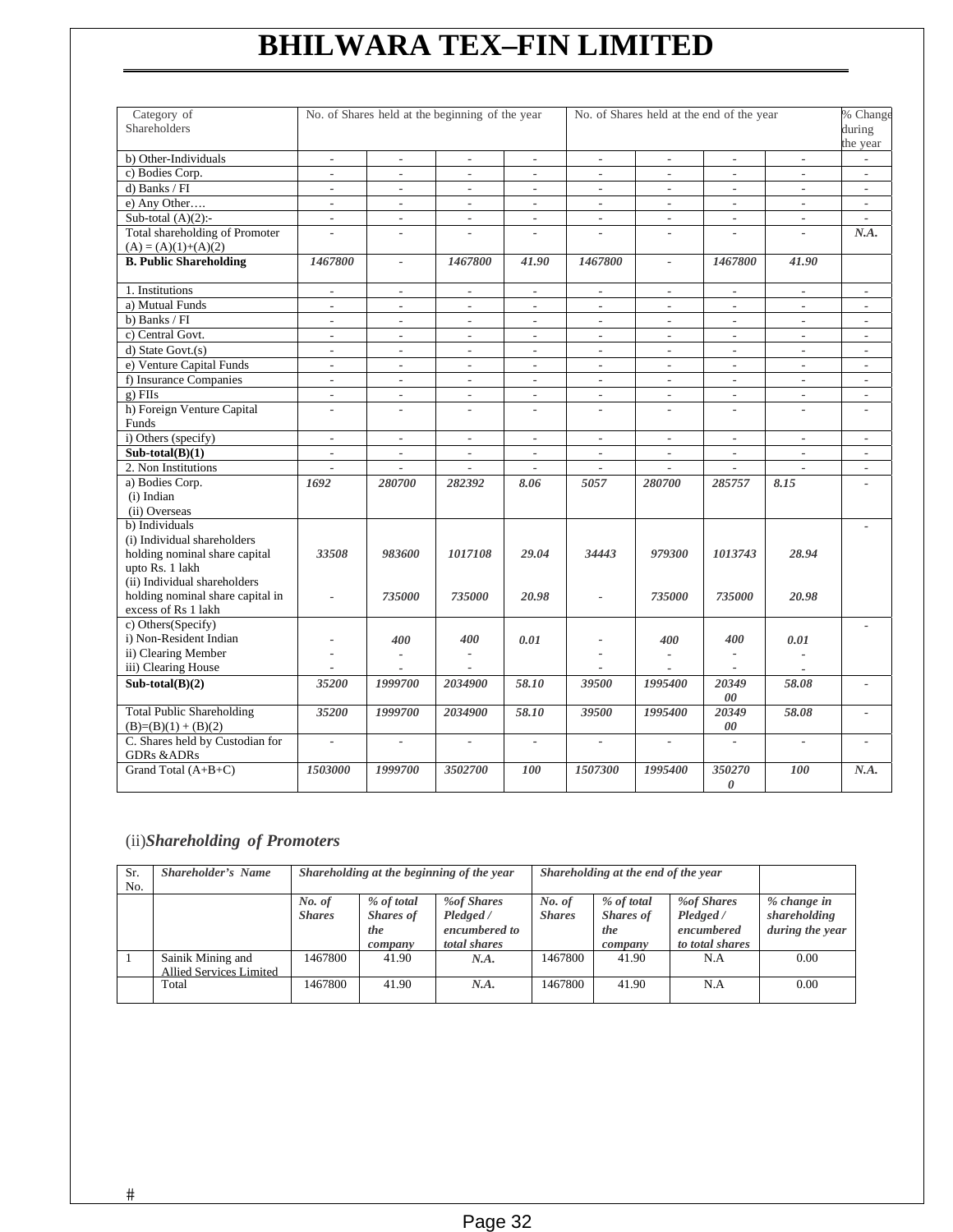| Category of<br>Shareholders                                    |                             | No. of Shares held at the beginning of the year |                          |                          | No. of Shares held at the end of the year |                          |                          |                          | % Change<br>during<br>the year |
|----------------------------------------------------------------|-----------------------------|-------------------------------------------------|--------------------------|--------------------------|-------------------------------------------|--------------------------|--------------------------|--------------------------|--------------------------------|
| b) Other-Individuals                                           | $\overline{\phantom{a}}$    | $\overline{\phantom{a}}$                        | $\overline{\phantom{a}}$ | $\overline{\phantom{a}}$ | $\overline{\phantom{a}}$                  | $\overline{\phantom{a}}$ | $\overline{\phantom{a}}$ | $\overline{\phantom{m}}$ | $\overline{\phantom{a}}$       |
| c) Bodies Corp.                                                | $\overline{\phantom{a}}$    | $\overline{a}$                                  | $\overline{a}$           | $\overline{a}$           | $\overline{\phantom{a}}$                  | ÷,                       |                          | ۰                        | $\overline{\phantom{a}}$       |
| d) Banks / FI                                                  | $\overline{\phantom{a}}$    | $\overline{\phantom{a}}$                        | $\overline{\phantom{a}}$ | $\overline{\phantom{a}}$ | $\overline{\phantom{a}}$                  | $\sim$                   | $\overline{\phantom{a}}$ | $\overline{\phantom{a}}$ | $\overline{\phantom{a}}$       |
| e) Any Other                                                   | $\overline{\phantom{a}}$    | $\overline{\phantom{a}}$                        | $\overline{\phantom{a}}$ | $\overline{a}$           | $\overline{\phantom{a}}$                  | $\sim$                   | $\overline{\phantom{a}}$ | ä,                       | $\overline{\phantom{a}}$       |
| Sub-total $(A)(2)$ :-                                          | $\overline{\phantom{a}}$    | $\overline{\phantom{a}}$                        | $\overline{a}$           | $\overline{a}$           | $\overline{\phantom{a}}$                  | $\omega$                 | $\overline{\phantom{a}}$ | $\overline{\phantom{a}}$ | $\overline{\phantom{a}}$       |
| <b>Total shareholding of Promoter</b><br>$(A) = (A)(1)+(A)(2)$ | $\overline{\phantom{a}}$    | $\overline{\phantom{a}}$                        | ÷,                       | $\overline{\phantom{a}}$ | ÷,                                        | $\overline{\phantom{a}}$ | ÷,                       | ÷,                       | N.A.                           |
| <b>B. Public Shareholding</b>                                  | 1467800                     | $\overline{\phantom{a}}$                        | 1467800                  | 41.90                    | 1467800                                   | $\overline{\phantom{a}}$ | 1467800                  | 41.90                    |                                |
| 1. Institutions                                                | $\blacksquare$              | $\Delta$                                        | $\overline{\phantom{a}}$ | $\overline{\phantom{a}}$ | $\blacksquare$                            | $\sim$                   | $\overline{\phantom{a}}$ | $\overline{\phantom{a}}$ | $\overline{\phantom{a}}$       |
| a) Mutual Funds                                                | $\overline{\phantom{a}}$    | $\overline{\phantom{a}}$                        | $\overline{\phantom{a}}$ | $\overline{a}$           | $\overline{\phantom{a}}$                  | $\sim$                   | $\overline{\phantom{a}}$ | ä,                       | $\overline{a}$                 |
| b) Banks / FI                                                  | $\overline{\phantom{a}}$    | $\overline{\phantom{a}}$                        | $\overline{a}$           | $\overline{a}$           | $\overline{\phantom{a}}$                  | $\overline{\phantom{a}}$ | $\overline{\phantom{a}}$ | $\overline{a}$           | $\overline{a}$                 |
| c) Central Govt.                                               | $\overline{\phantom{a}}$    | $\overline{\phantom{a}}$                        | $\overline{\phantom{a}}$ | $\overline{\phantom{a}}$ | $\overline{\phantom{a}}$                  | $\overline{\phantom{a}}$ | $\overline{\phantom{a}}$ | $\frac{1}{2}$            | $\overline{\phantom{a}}$       |
| d) State Govt.(s)                                              | $\overline{\phantom{a}}$    | $\tilde{\phantom{a}}$                           | $\overline{\phantom{a}}$ | $\overline{\phantom{a}}$ | $\overline{\phantom{a}}$                  | $\overline{\phantom{a}}$ | $\overline{\phantom{a}}$ | ۰                        | ٠                              |
| e) Venture Capital Funds                                       | $\mathcal{L}_{\mathcal{A}}$ | $\mathbf{r}$                                    | ÷.                       | $\blacksquare$           | $\mathcal{L}^{\pm}$                       | $\mathbf{r}$             | $\mathbf{r}$             | ÷.                       | $\overline{\phantom{a}}$       |
| f) Insurance Companies                                         | $\overline{\phantom{a}}$    | $\sim$                                          | $\overline{\phantom{a}}$ | $\overline{\phantom{a}}$ | $\overline{\phantom{a}}$                  | $\sim$                   | $\overline{\phantom{a}}$ | $\overline{\phantom{a}}$ | $\overline{\phantom{a}}$       |
| $g$ ) FIIs                                                     | $\overline{\phantom{a}}$    | $\overline{\phantom{a}}$                        | $\overline{\phantom{m}}$ | $\overline{\phantom{m}}$ | $\overline{\phantom{a}}$                  | $\overline{\phantom{a}}$ | $\overline{\phantom{a}}$ | $\overline{\phantom{m}}$ | $\overline{\phantom{a}}$       |
| h) Foreign Venture Capital                                     | $\overline{\phantom{a}}$    | ÷.                                              | $\overline{\phantom{a}}$ | $\overline{\phantom{a}}$ | $\overline{\phantom{a}}$                  | $\overline{\phantom{a}}$ | $\overline{\phantom{a}}$ | $\overline{\phantom{a}}$ | $\overline{\phantom{a}}$       |
| Funds                                                          |                             |                                                 |                          |                          |                                           |                          |                          |                          |                                |
| i) Others (specify)                                            | $\overline{\phantom{a}}$    | $\overline{\phantom{a}}$                        | $\overline{\phantom{a}}$ | $\overline{\phantom{a}}$ | $\overline{\phantom{a}}$                  | $\overline{\phantom{a}}$ | $\overline{\phantom{a}}$ | $\overline{\phantom{a}}$ | $\overline{\phantom{a}}$       |
| $Sub-total(B)(1)$                                              | $\overline{\phantom{a}}$    | $\overline{\phantom{a}}$                        | $\overline{\phantom{a}}$ | $\overline{\phantom{a}}$ | $\overline{\phantom{a}}$                  | $\overline{\phantom{a}}$ | $\overline{\phantom{a}}$ | $\overline{\phantom{a}}$ | $\overline{\phantom{a}}$       |
| 2. Non Institutions                                            | $\mathbf{r}$                | $\overline{a}$                                  | $\overline{a}$           | $\overline{a}$           | ÷,                                        | $\overline{\phantom{a}}$ | $\overline{a}$           | $\overline{a}$           | $\overline{\phantom{a}}$       |
| a) Bodies Corp.                                                | 1692                        | 280700                                          | 282392                   | 8.06                     | 5057                                      | 280700                   | 285757                   | 8.15                     |                                |
| (i) Indian                                                     |                             |                                                 |                          |                          |                                           |                          |                          |                          |                                |
| (ii) Overseas                                                  |                             |                                                 |                          |                          |                                           |                          |                          |                          |                                |
| b) Individuals                                                 |                             |                                                 |                          |                          |                                           |                          |                          |                          |                                |
| (i) Individual shareholders                                    |                             |                                                 |                          |                          |                                           |                          |                          |                          |                                |
| holding nominal share capital                                  | 33508                       | 983600                                          | 1017108                  | 29.04                    | 34443                                     | 979300                   | 1013743                  | 28.94                    |                                |
| upto Rs. 1 lakh                                                |                             |                                                 |                          |                          |                                           |                          |                          |                          |                                |
| (ii) Individual shareholders                                   |                             |                                                 |                          |                          |                                           |                          |                          |                          |                                |
| holding nominal share capital in                               | $\overline{\phantom{a}}$    | 735000                                          | 735000                   | 20.98                    | $\overline{\phantom{a}}$                  | 735000                   | 735000                   | 20.98                    |                                |
| excess of Rs 1 lakh                                            |                             |                                                 |                          |                          |                                           |                          |                          |                          |                                |
| c) Others(Specify)                                             |                             |                                                 |                          |                          |                                           |                          |                          |                          |                                |
| i) Non-Resident Indian                                         |                             | 400                                             | 400                      | 0.01                     |                                           | 400                      | 400                      | 0.01                     |                                |
| ii) Clearing Member                                            |                             | ÷,                                              | $\overline{a}$           |                          |                                           | $\overline{\phantom{a}}$ | $\overline{\phantom{a}}$ | ä,                       |                                |
| iii) Clearing House                                            |                             |                                                 |                          |                          |                                           |                          | $\overline{\phantom{a}}$ |                          |                                |
| $Sub-total(B)(2)$                                              | 35200                       | 1999700                                         | 2034900                  | 58.10                    | 39500                                     | 1995400                  | 20349<br>00              | 58.08                    |                                |
| <b>Total Public Shareholding</b><br>$(B)=(B)(1)+(B)(2)$        | 35200                       | 1999700                                         | 2034900                  | 58.10                    | 39500                                     | 1995400                  | 20349<br>00              | 58.08                    | $\overline{a}$                 |
| C. Shares held by Custodian for<br><b>GDRs &amp;ADRs</b>       | $\overline{\phantom{a}}$    | $\overline{\phantom{a}}$                        | $\overline{\phantom{a}}$ | $\overline{\phantom{a}}$ | $\overline{\phantom{a}}$                  | $\overline{\phantom{a}}$ | $\overline{\phantom{a}}$ | ä,                       | ÷,                             |
| Grand Total (A+B+C)                                            | 1503000                     | 1999700                                         | 3502700                  | 100                      | 1507300                                   | 1995400                  | 350270<br>0              | 100                      | N.A.                           |
|                                                                |                             |                                                 |                          |                          |                                           |                          |                          |                          |                                |

### (ii)*Shareholding of Promoters*

| Sr.<br>No. | <b>Shareholder's Name</b>                    |                         | Shareholding at the beginning of the year        |                                                             | Shareholding at the end of the year |                                                  |                                                             |                                                |
|------------|----------------------------------------------|-------------------------|--------------------------------------------------|-------------------------------------------------------------|-------------------------------------|--------------------------------------------------|-------------------------------------------------------------|------------------------------------------------|
|            |                                              | No. of<br><b>Shares</b> | % of total<br><b>Shares</b> of<br>the<br>company | %of Shares<br>$P$ ledged /<br>encumbered to<br>total shares | No. of<br><b>Shares</b>             | % of total<br><b>Shares of</b><br>the<br>company | %of Shares<br>$P$ ledged /<br>encumbered<br>to total shares | % change in<br>shareholding<br>during the year |
|            | Sainik Mining and<br>Allied Services Limited | 1467800                 | 41.90                                            | N.A.                                                        | 1467800                             | 41.90                                            | N.A                                                         | 0.00                                           |
|            | Total                                        | 1467800                 | 41.90                                            | N.A.                                                        | 1467800                             | 41.90                                            | N.A                                                         | 0.00                                           |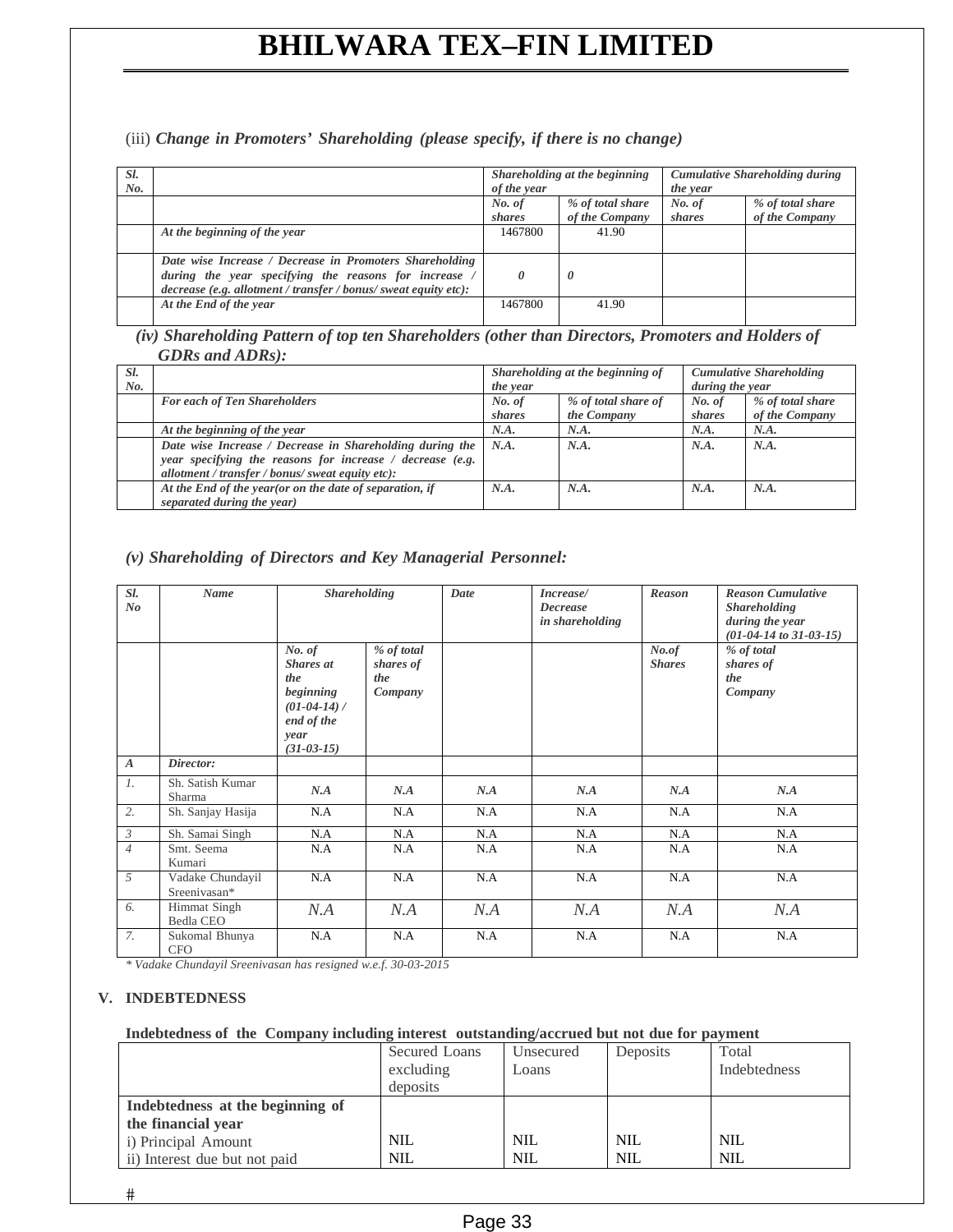(iii) *Change in Promoters' Shareholding (please specify, if there is no change)* 

| Sl.<br>No. |                                                                                                                                                                                     | Shareholding at the beginning<br>of the year |                                    | <b>Cumulative Shareholding during</b><br>the year |                                    |
|------------|-------------------------------------------------------------------------------------------------------------------------------------------------------------------------------------|----------------------------------------------|------------------------------------|---------------------------------------------------|------------------------------------|
|            |                                                                                                                                                                                     | No. of<br>shares                             | % of total share<br>of the Company | No. of<br>shares                                  | % of total share<br>of the Company |
|            | At the beginning of the year                                                                                                                                                        | 1467800                                      | 41.90                              |                                                   |                                    |
|            | Date wise Increase / Decrease in Promoters Shareholding<br>during the year specifying the reasons for increase /<br>decrease (e.g. allotment / transfer / bonus/ sweat equity etc): |                                              | $\theta$                           |                                                   |                                    |
|            | At the End of the year                                                                                                                                                              | 1467800                                      | 41.90                              |                                                   |                                    |

#### *(iv) Shareholding Pattern of top ten Shareholders (other than Directors, Promoters and Holders of GDRs and ADRs):*

| Sl.<br>No. |                                                                                                                                                                           | Shareholding at the beginning of |                     | <b>Cumulative Shareholding</b><br>during the year |                  |
|------------|---------------------------------------------------------------------------------------------------------------------------------------------------------------------------|----------------------------------|---------------------|---------------------------------------------------|------------------|
|            |                                                                                                                                                                           | the year                         |                     |                                                   |                  |
|            | <b>For each of Ten Shareholders</b>                                                                                                                                       | No. of                           | % of total share of | No. of                                            | % of total share |
|            |                                                                                                                                                                           | shares                           | the Company         | shares                                            | of the Company   |
|            | At the beginning of the year                                                                                                                                              | N.A.                             | N.A.                | N.A.                                              | N.A.             |
|            | Date wise Increase / Decrease in Shareholding during the<br>year specifying the reasons for increase / decrease (e.g.<br>allotment / transfer / bonus/ sweat equity etc): | N.A.                             | N.A.                | N.A.                                              | N.A.             |
|            | At the End of the year (or on the date of separation, if<br>separated during the year)                                                                                    | N.A.                             | N.A.                | N.A.                                              | N.A.             |

### *(v) Shareholding of Directors and Key Managerial Personnel:*

| Sl.              | <b>Name</b><br><b>Shareholding</b> |                                                                                                            | <b>Date</b>                               | Increase/ | Reason                             | <b>Reason Cumulative</b> |                                           |
|------------------|------------------------------------|------------------------------------------------------------------------------------------------------------|-------------------------------------------|-----------|------------------------------------|--------------------------|-------------------------------------------|
| N <sub>o</sub>   |                                    |                                                                                                            |                                           |           | <b>Decrease</b><br>in shareholding |                          | <b>Shareholding</b><br>during the year    |
|                  |                                    |                                                                                                            |                                           |           |                                    |                          | $(01-04-14$ to 31-03-15)                  |
|                  |                                    | No. of<br><b>Shares</b> at<br>the<br>beginning<br>$(01-04-14)$ /<br>end of the<br>year<br>$(31 - 03 - 15)$ | % of total<br>shares of<br>the<br>Company |           |                                    | No. of<br><b>Shares</b>  | % of total<br>shares of<br>the<br>Company |
| $\boldsymbol{A}$ | Director:                          |                                                                                                            |                                           |           |                                    |                          |                                           |
| $I_{\cdot}$      | Sh. Satish Kumar<br>Sharma         | N.A                                                                                                        | N.A                                       | N.A       | N.A                                | N.A                      | N.A                                       |
| 2.               | Sh. Sanjay Hasija                  | N.A                                                                                                        | N.A                                       | N.A       | N.A                                | N.A                      | N.A                                       |
| $\mathfrak{Z}$   | Sh. Samai Singh                    | N.A                                                                                                        | N.A                                       | N.A       | N.A                                | N.A                      | N.A                                       |
| $\overline{4}$   | Smt. Seema<br>Kumari               | N.A                                                                                                        | N.A                                       | N.A       | N.A                                | N.A                      | N.A                                       |
| 5                | Vadake Chundayil<br>Sreenivasan*   | N.A                                                                                                        | N.A                                       | N.A       | N.A                                | N.A                      | N.A                                       |
| 6.               | Himmat Singh<br>Bedla CEO          | N.A                                                                                                        | N.A                                       | N.A       | N.A                                | N.A                      | N.A                                       |
| 7.               | Sukomal Bhunya<br><b>CFO</b>       | N.A                                                                                                        | N.A                                       | N.A       | N.A                                | N.A                      | N.A                                       |

*\* Vadake Chundayil Sreenivasan has resigned w.e.f. 30-03-2015* 

#### **V. INDEBTEDNESS**

#### **Indebtedness of the Company including interest outstanding/accrued but not due for payment**

|                                  | Secured Loans | Unsecured  | Deposits   | Total        |
|----------------------------------|---------------|------------|------------|--------------|
|                                  | excluding     | Loans      |            | Indebtedness |
|                                  | deposits      |            |            |              |
| Indebtedness at the beginning of |               |            |            |              |
| the financial year               |               |            |            |              |
| i) Principal Amount              | <b>NIL</b>    | NIL.       | <b>NIL</b> | <b>NIL</b>   |
| ii) Interest due but not paid    | <b>NIL</b>    | <b>NIL</b> | NIL        | <b>NIL</b>   |

 $\#$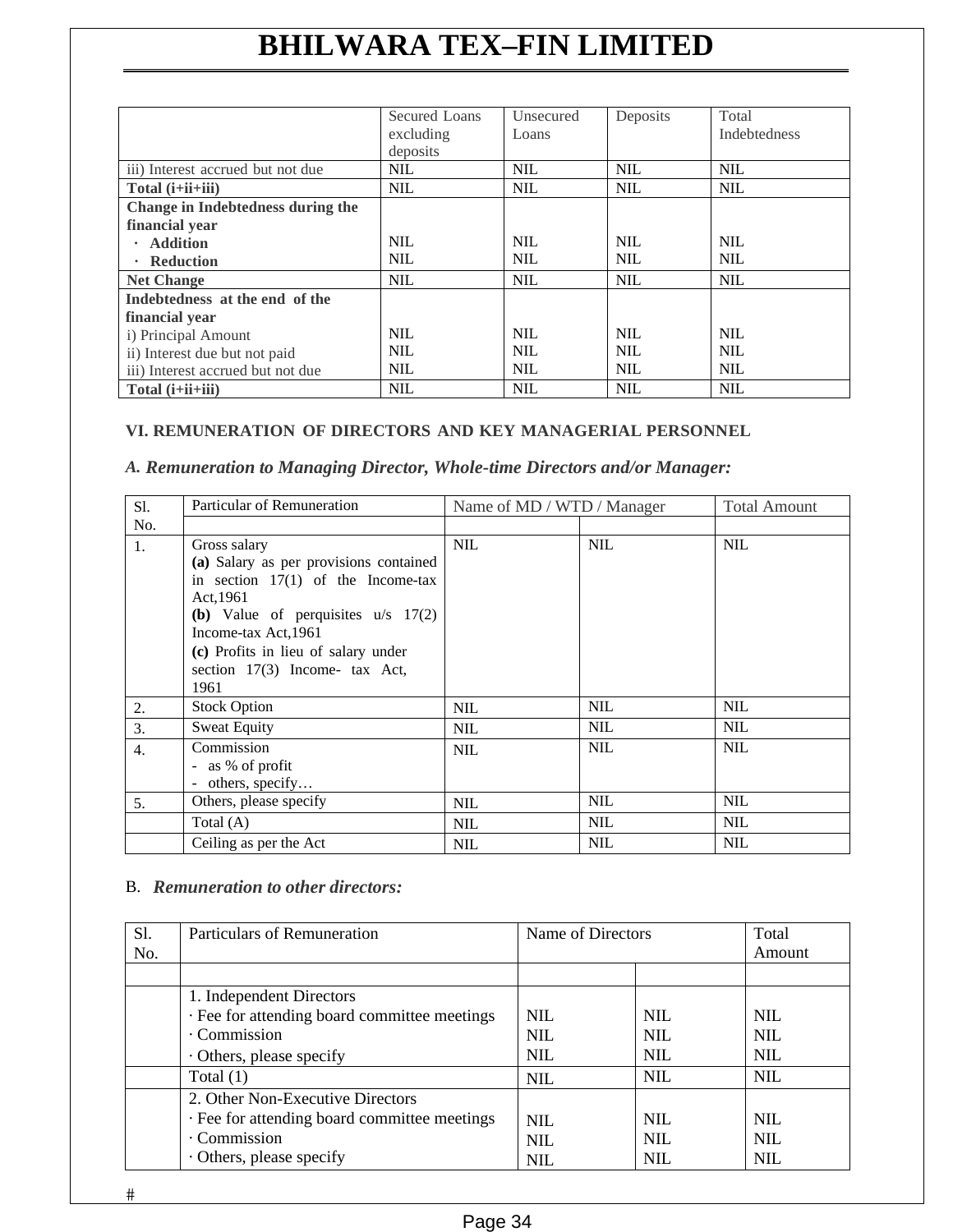|                                   | Secured Loans | Unsecured  | Deposits   | Total               |
|-----------------------------------|---------------|------------|------------|---------------------|
|                                   | excluding     | Loans      |            | <b>Indebtedness</b> |
|                                   | deposits      |            |            |                     |
| iii) Interest accrued but not due | <b>NIL</b>    | <b>NIL</b> | <b>NIL</b> | <b>NIL</b>          |
| Total $(i+iii+iii)$               | <b>NIL</b>    | <b>NIL</b> | <b>NIL</b> | <b>NIL</b>          |
| Change in Indebtedness during the |               |            |            |                     |
| financial year                    |               |            |            |                     |
| <b>Addition</b>                   | <b>NIL</b>    | <b>NIL</b> | <b>NIL</b> | <b>NIL</b>          |
| <b>Reduction</b>                  | <b>NIL</b>    | <b>NIL</b> | <b>NIL</b> | <b>NIL</b>          |
| <b>Net Change</b>                 | <b>NIL</b>    | <b>NIL</b> | <b>NIL</b> | <b>NIL</b>          |
| Indebtedness at the end of the    |               |            |            |                     |
| financial year                    |               |            |            |                     |
| i) Principal Amount               | <b>NIL</b>    | NIL.       | <b>NIL</b> | <b>NIL</b>          |
| ii) Interest due but not paid     | <b>NIL</b>    | <b>NIL</b> | <b>NIL</b> | <b>NIL</b>          |
| iii) Interest accrued but not due | <b>NIL</b>    | <b>NIL</b> | <b>NIL</b> | <b>NIL</b>          |
| Total $(i+iii+iii)$               | <b>NIL</b>    | <b>NIL</b> | <b>NIL</b> | <b>NIL</b>          |

### **VI. REMUNERATION OF DIRECTORS AND KEY MANAGERIAL PERSONNEL**

### *A. Remuneration to Managing Director, Whole-time Directors and/or Manager:*

| S1.              | Particular of Remuneration                                                                                                                                                                                                                                   | Name of MD / WTD / Manager |            | <b>Total Amount</b> |
|------------------|--------------------------------------------------------------------------------------------------------------------------------------------------------------------------------------------------------------------------------------------------------------|----------------------------|------------|---------------------|
| No.              |                                                                                                                                                                                                                                                              |                            |            |                     |
| 1.               | Gross salary<br>(a) Salary as per provisions contained<br>in section $17(1)$ of the Income-tax<br>Act, 1961<br>(b) Value of perquisites $u/s$ 17(2)<br>Income-tax Act, 1961<br>(c) Profits in lieu of salary under<br>section 17(3) Income- tax Act,<br>1961 | <b>NIL</b>                 | <b>NIL</b> | <b>NIL</b>          |
| 2.               | <b>Stock Option</b>                                                                                                                                                                                                                                          | <b>NIL</b>                 | <b>NIL</b> | <b>NIL</b>          |
| 3.               | <b>Sweat Equity</b>                                                                                                                                                                                                                                          | <b>NIL</b>                 | <b>NIL</b> | <b>NIL</b>          |
| $\overline{4}$ . | Commission<br>- as % of profit<br>- others, specify                                                                                                                                                                                                          | <b>NIL</b>                 | <b>NIL</b> | <b>NIL</b>          |
| 5.               | Others, please specify                                                                                                                                                                                                                                       | <b>NIL</b>                 | <b>NIL</b> | <b>NIL</b>          |
|                  | Total (A)                                                                                                                                                                                                                                                    | <b>NIL</b>                 | <b>NIL</b> | <b>NIL</b>          |
|                  | Ceiling as per the Act                                                                                                                                                                                                                                       | <b>NIL</b>                 | <b>NIL</b> | <b>NIL</b>          |

### B. *Remuneration to other directors:*

| Sl.<br>No. | Particulars of Remuneration                  | Name of Directors |            | Total<br>Amount |
|------------|----------------------------------------------|-------------------|------------|-----------------|
|            |                                              |                   |            |                 |
|            | 1. Independent Directors                     |                   |            |                 |
|            | · Fee for attending board committee meetings | <b>NIL</b>        | <b>NIL</b> | <b>NIL</b>      |
|            | $\cdot$ Commission                           | <b>NIL</b>        | <b>NIL</b> | <b>NIL</b>      |
|            | Others, please specify                       | <b>NIL</b>        | <b>NIL</b> | <b>NIL</b>      |
|            | Total $(1)$                                  | <b>NIL</b>        | <b>NIL</b> | <b>NIL</b>      |
|            | 2. Other Non-Executive Directors             |                   |            |                 |
|            | · Fee for attending board committee meetings | <b>NIL</b>        | <b>NIL</b> | <b>NIL</b>      |
|            | $\cdot$ Commission                           | <b>NIL</b>        | NIL.       | <b>NIL</b>      |
|            | Others, please specify                       | <b>NIL</b>        | <b>NIL</b> | <b>NIL</b>      |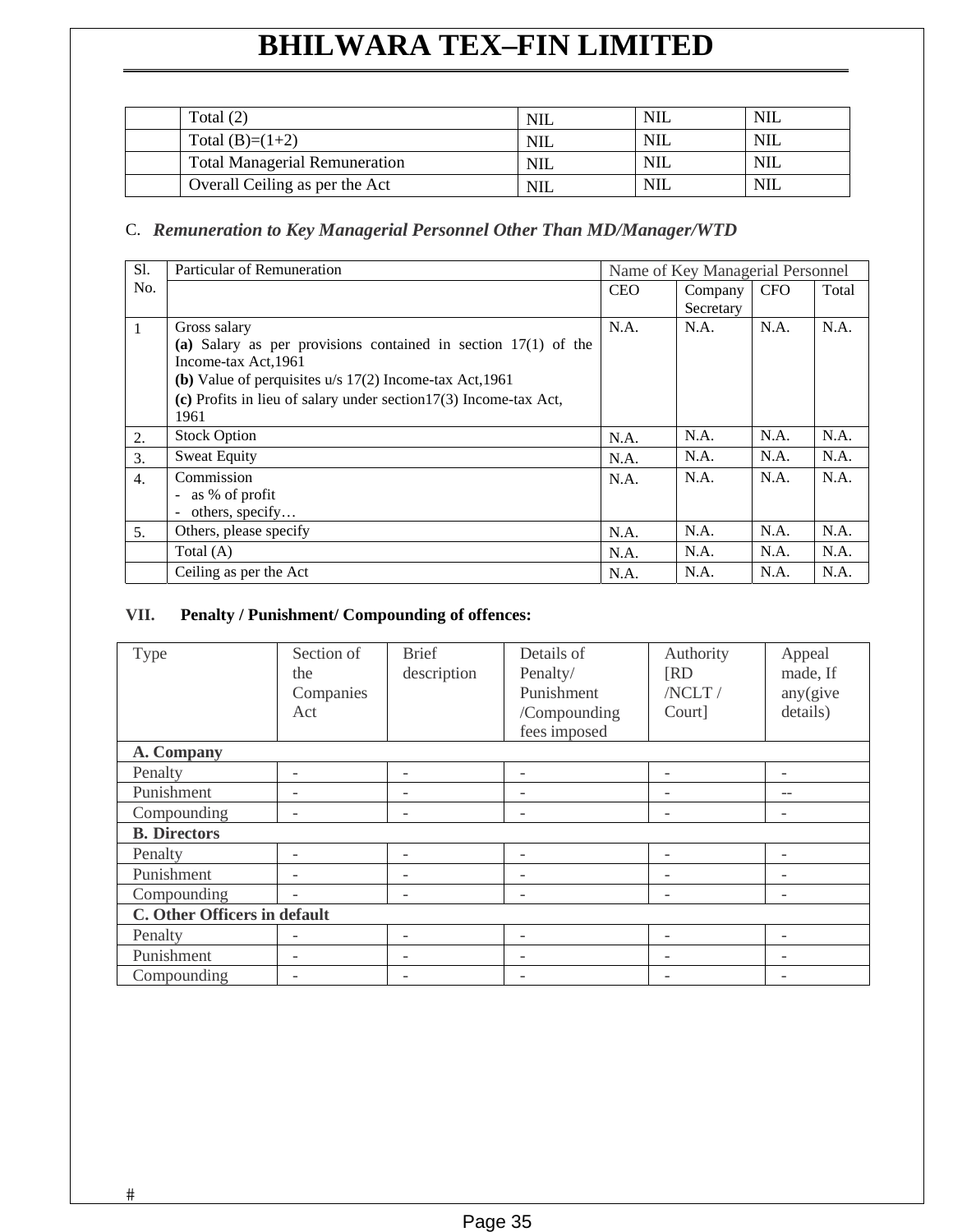| Total $(2)$                          | NIL        | <b>NIL</b> | NIL |
|--------------------------------------|------------|------------|-----|
| Total $(B)=(1+2)$                    | NIL        | <b>NIL</b> | NIL |
| <b>Total Managerial Remuneration</b> | <b>NIL</b> | NIL        | NIL |
| Overall Ceiling as per the Act       | NIL        | <b>NIL</b> | NIL |

### C. *Remuneration to Key Managerial Personnel Other Than MD/Manager/WTD*

| S1.              | Particular of Remuneration                                          | Name of Key Managerial Personnel |           |            |       |
|------------------|---------------------------------------------------------------------|----------------------------------|-----------|------------|-------|
| No.              |                                                                     | <b>CEO</b>                       | Company   | <b>CFO</b> | Total |
|                  |                                                                     |                                  | Secretary |            |       |
| $\mathbf{1}$     | Gross salary                                                        | N.A.                             | N.A.      | N.A.       | N.A.  |
|                  | (a) Salary as per provisions contained in section $17(1)$ of the    |                                  |           |            |       |
|                  | Income-tax Act, 1961                                                |                                  |           |            |       |
|                  | (b) Value of perquisites $u/s$ 17(2) Income-tax Act, 1961           |                                  |           |            |       |
|                  | (c) Profits in lieu of salary under section $17(3)$ Income-tax Act, |                                  |           |            |       |
|                  | 1961                                                                |                                  |           |            |       |
| 2.               | <b>Stock Option</b>                                                 | N.A.                             | N.A.      | N.A.       | N.A.  |
| 3.               | <b>Sweat Equity</b>                                                 | N.A.                             | N.A.      | N.A.       | N.A.  |
| $\overline{4}$ . | Commission                                                          | N.A.                             | N.A.      | N.A.       | N.A.  |
|                  | as % of profit<br>$\overline{\phantom{a}}$                          |                                  |           |            |       |
|                  | others, specify<br>$\blacksquare$                                   |                                  |           |            |       |
| 5.               | Others, please specify                                              | N.A.                             | N.A.      | N.A.       | N.A.  |
|                  | Total $(A)$                                                         | N.A.                             | N.A.      | N.A.       | N.A.  |
|                  | Ceiling as per the Act                                              | N.A.                             | N.A.      | N.A.       | N.A.  |

### **VII. Penalty / Punishment/ Compounding of offences:**

| Type                         | Section of<br>the<br>Companies<br>Act | <b>Brief</b><br>description | Details of<br>Penalty/<br>Punishment<br>/Compounding | Authority<br>[RD]<br>/NCLT/<br>Court] | Appeal<br>made, If<br>any(give)<br>details) |
|------------------------------|---------------------------------------|-----------------------------|------------------------------------------------------|---------------------------------------|---------------------------------------------|
|                              |                                       |                             | fees imposed                                         |                                       |                                             |
| A. Company                   |                                       |                             |                                                      |                                       |                                             |
| Penalty                      | $\overline{\phantom{a}}$              | $\overline{\phantom{0}}$    |                                                      |                                       |                                             |
| Punishment                   | $\overline{a}$                        | $\overline{\phantom{a}}$    |                                                      |                                       |                                             |
| Compounding                  | $\overline{\phantom{0}}$              | $\overline{\phantom{a}}$    |                                                      |                                       |                                             |
| <b>B.</b> Directors          |                                       |                             |                                                      |                                       |                                             |
| Penalty                      | $\overline{\phantom{a}}$              | $\overline{\phantom{a}}$    |                                                      | $\overline{\phantom{0}}$              |                                             |
| Punishment                   | $\overline{\phantom{a}}$              | $\overline{\phantom{a}}$    |                                                      | $\overline{\phantom{a}}$              |                                             |
| Compounding                  | $\overline{\phantom{a}}$              | $\overline{\phantom{a}}$    |                                                      |                                       |                                             |
| C. Other Officers in default |                                       |                             |                                                      |                                       |                                             |
| Penalty                      | $\overline{a}$                        | $\overline{\phantom{a}}$    |                                                      | $\overline{\phantom{a}}$              |                                             |
| Punishment                   | $\overline{\phantom{0}}$              | $\overline{\phantom{a}}$    |                                                      | $\overline{\phantom{a}}$              |                                             |
| Compounding                  |                                       |                             |                                                      |                                       |                                             |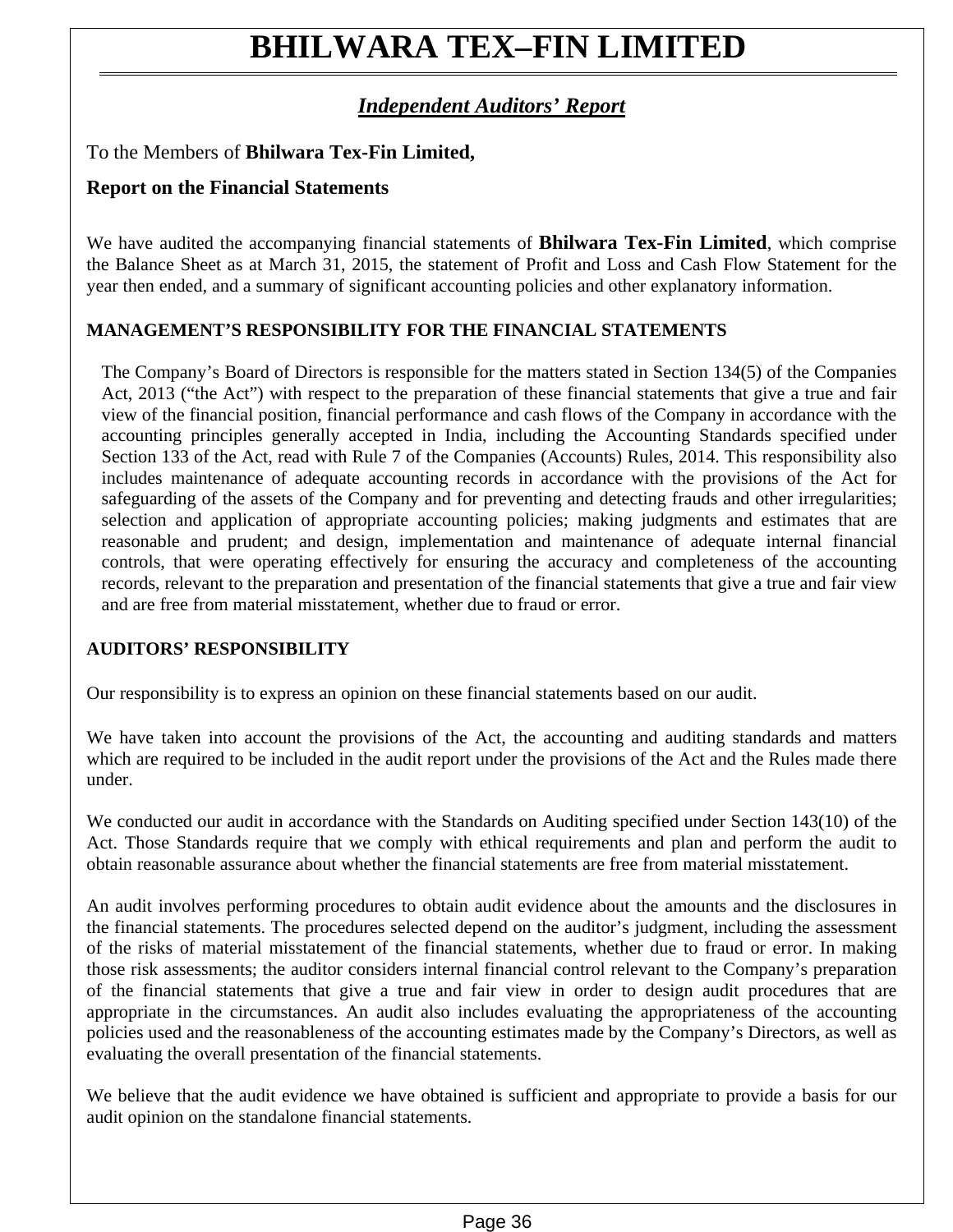## *Independent Auditors' Report*

## To the Members of **Bhilwara Tex-Fin Limited,**

## **Report on the Financial Statements**

We have audited the accompanying financial statements of **Bhilwara Tex-Fin Limited**, which comprise the Balance Sheet as at March 31, 2015, the statement of Profit and Loss and Cash Flow Statement for the year then ended, and a summary of significant accounting policies and other explanatory information.

## **MANAGEMENT'S RESPONSIBILITY FOR THE FINANCIAL STATEMENTS**

The Company's Board of Directors is responsible for the matters stated in Section 134(5) of the Companies Act, 2013 ("the Act") with respect to the preparation of these financial statements that give a true and fair view of the financial position, financial performance and cash flows of the Company in accordance with the accounting principles generally accepted in India, including the Accounting Standards specified under Section 133 of the Act, read with Rule 7 of the Companies (Accounts) Rules, 2014. This responsibility also includes maintenance of adequate accounting records in accordance with the provisions of the Act for safeguarding of the assets of the Company and for preventing and detecting frauds and other irregularities; selection and application of appropriate accounting policies; making judgments and estimates that are reasonable and prudent; and design, implementation and maintenance of adequate internal financial controls, that were operating effectively for ensuring the accuracy and completeness of the accounting records, relevant to the preparation and presentation of the financial statements that give a true and fair view and are free from material misstatement, whether due to fraud or error.

### **AUDITORS' RESPONSIBILITY**

Our responsibility is to express an opinion on these financial statements based on our audit.

We have taken into account the provisions of the Act, the accounting and auditing standards and matters which are required to be included in the audit report under the provisions of the Act and the Rules made there under.

We conducted our audit in accordance with the Standards on Auditing specified under Section 143(10) of the Act. Those Standards require that we comply with ethical requirements and plan and perform the audit to obtain reasonable assurance about whether the financial statements are free from material misstatement.

An audit involves performing procedures to obtain audit evidence about the amounts and the disclosures in the financial statements. The procedures selected depend on the auditor's judgment, including the assessment of the risks of material misstatement of the financial statements, whether due to fraud or error. In making those risk assessments; the auditor considers internal financial control relevant to the Company's preparation of the financial statements that give a true and fair view in order to design audit procedures that are appropriate in the circumstances. An audit also includes evaluating the appropriateness of the accounting policies used and the reasonableness of the accounting estimates made by the Company's Directors, as well as evaluating the overall presentation of the financial statements.

We believe that the audit evidence we have obtained is sufficient and appropriate to provide a basis for our audit opinion on the standalone financial statements.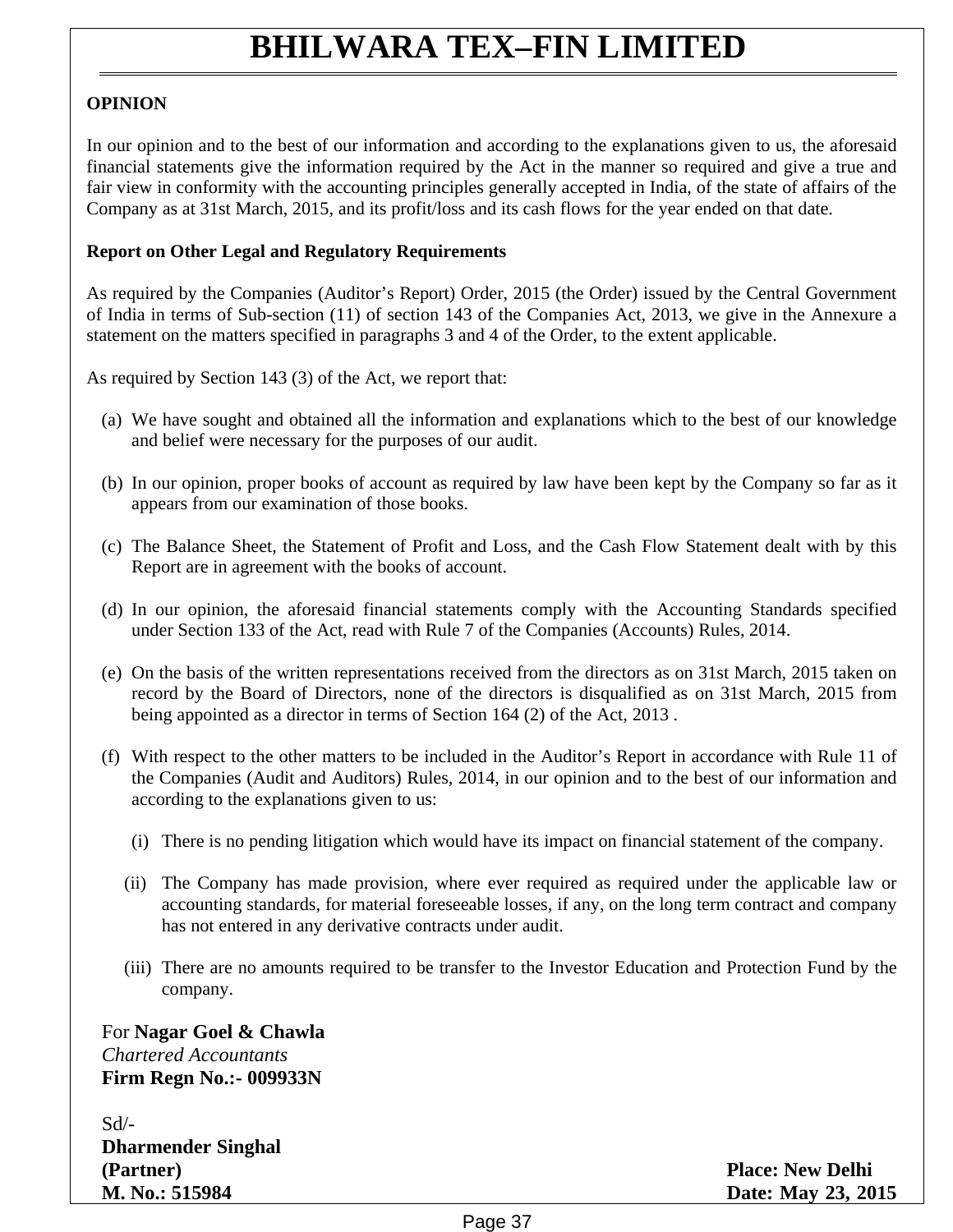## **OPINION**

In our opinion and to the best of our information and according to the explanations given to us, the aforesaid financial statements give the information required by the Act in the manner so required and give a true and fair view in conformity with the accounting principles generally accepted in India, of the state of affairs of the Company as at 31st March, 2015, and its profit/loss and its cash flows for the year ended on that date.

### **Report on Other Legal and Regulatory Requirements**

As required by the Companies (Auditor's Report) Order, 2015 (the Order) issued by the Central Government of India in terms of Sub-section (11) of section 143 of the Companies Act, 2013, we give in the Annexure a statement on the matters specified in paragraphs 3 and 4 of the Order, to the extent applicable.

As required by Section 143 (3) of the Act, we report that:

- (a) We have sought and obtained all the information and explanations which to the best of our knowledge and belief were necessary for the purposes of our audit.
- (b) In our opinion, proper books of account as required by law have been kept by the Company so far as it appears from our examination of those books.
- (c) The Balance Sheet, the Statement of Profit and Loss, and the Cash Flow Statement dealt with by this Report are in agreement with the books of account.
- (d) In our opinion, the aforesaid financial statements comply with the Accounting Standards specified under Section 133 of the Act, read with Rule 7 of the Companies (Accounts) Rules, 2014.
- (e) On the basis of the written representations received from the directors as on 31st March, 2015 taken on record by the Board of Directors, none of the directors is disqualified as on 31st March, 2015 from being appointed as a director in terms of Section 164 (2) of the Act, 2013 .
- (f) With respect to the other matters to be included in the Auditor's Report in accordance with Rule 11 of the Companies (Audit and Auditors) Rules, 2014, in our opinion and to the best of our information and according to the explanations given to us:
	- (i) There is no pending litigation which would have its impact on financial statement of the company.
	- (ii) The Company has made provision, where ever required as required under the applicable law or accounting standards, for material foreseeable losses, if any, on the long term contract and company has not entered in any derivative contracts under audit.
	- (iii) There are no amounts required to be transfer to the Investor Education and Protection Fund by the company.

For **Nagar Goel & Chawla**  *Chartered Accountants*  **Firm Regn No.:- 009933N** 

 $Sd$ <sup>-</sup> **Dharmender Singhal (Partner) Place: New Delhi M. No.: 515984 Date: May 23, 2015**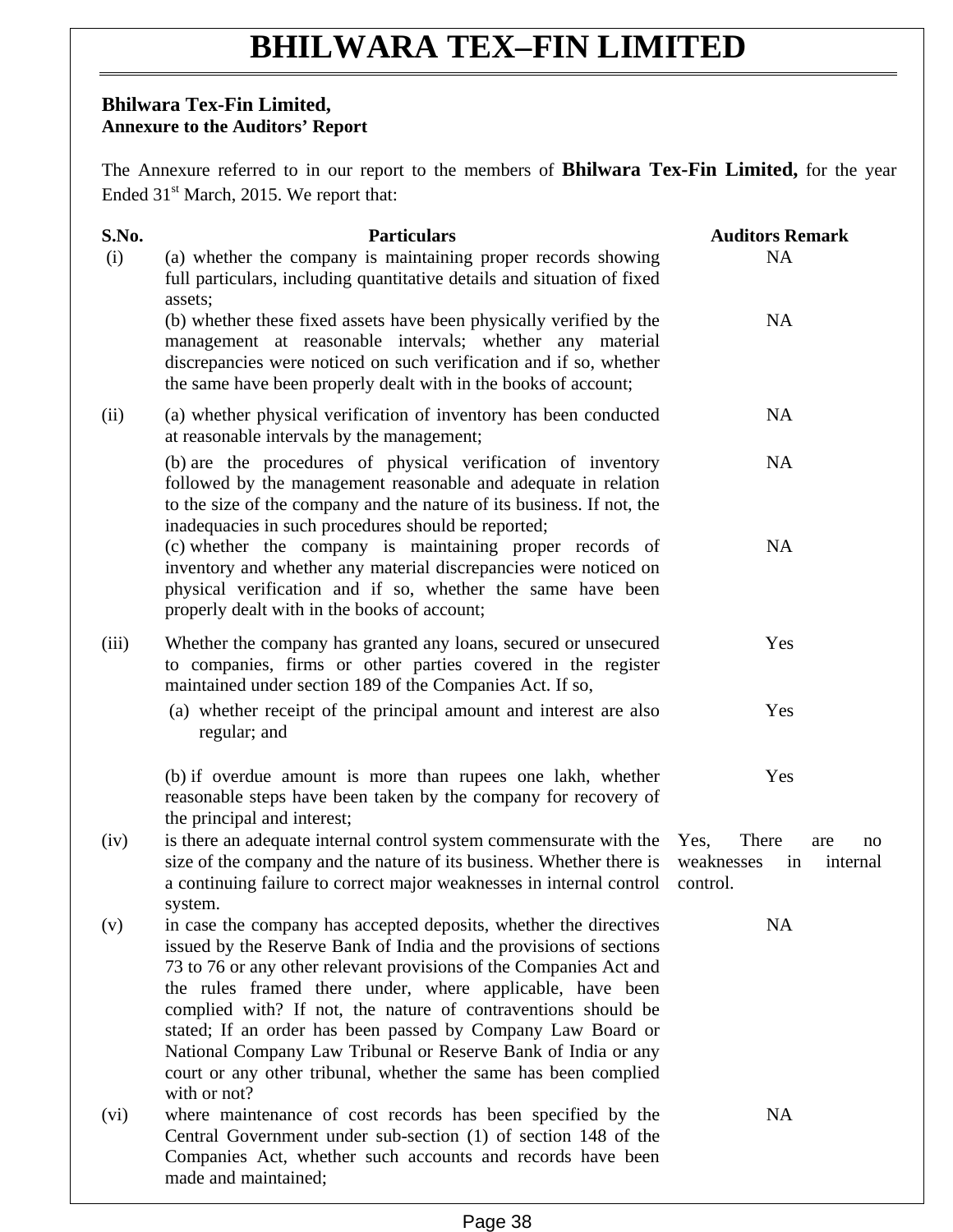## **Bhilwara Tex-Fin Limited, Annexure to the Auditors' Report**

The Annexure referred to in our report to the members of **Bhilwara Tex-Fin Limited,** for the year Ended 31<sup>st</sup> March, 2015. We report that:

| S.No. | <b>Particulars</b>                                                                                                                                                                                                                                                                                                                                                                                                                                                                                                                                             | <b>Auditors Remark</b>                                                 |
|-------|----------------------------------------------------------------------------------------------------------------------------------------------------------------------------------------------------------------------------------------------------------------------------------------------------------------------------------------------------------------------------------------------------------------------------------------------------------------------------------------------------------------------------------------------------------------|------------------------------------------------------------------------|
| (i)   | (a) whether the company is maintaining proper records showing<br>full particulars, including quantitative details and situation of fixed<br>assets;                                                                                                                                                                                                                                                                                                                                                                                                            | <b>NA</b>                                                              |
|       | (b) whether these fixed assets have been physically verified by the<br>management at reasonable intervals; whether any material<br>discrepancies were noticed on such verification and if so, whether<br>the same have been properly dealt with in the books of account;                                                                                                                                                                                                                                                                                       | <b>NA</b>                                                              |
| (ii)  | (a) whether physical verification of inventory has been conducted<br>at reasonable intervals by the management;                                                                                                                                                                                                                                                                                                                                                                                                                                                | <b>NA</b>                                                              |
|       | (b) are the procedures of physical verification of inventory<br>followed by the management reasonable and adequate in relation<br>to the size of the company and the nature of its business. If not, the<br>inadequacies in such procedures should be reported;                                                                                                                                                                                                                                                                                                | <b>NA</b>                                                              |
|       | (c) whether the company is maintaining proper records of<br>inventory and whether any material discrepancies were noticed on<br>physical verification and if so, whether the same have been<br>properly dealt with in the books of account;                                                                                                                                                                                                                                                                                                                    | <b>NA</b>                                                              |
| (iii) | Whether the company has granted any loans, secured or unsecured<br>to companies, firms or other parties covered in the register<br>maintained under section 189 of the Companies Act. If so,                                                                                                                                                                                                                                                                                                                                                                   | Yes                                                                    |
|       | (a) whether receipt of the principal amount and interest are also<br>regular; and                                                                                                                                                                                                                                                                                                                                                                                                                                                                              | Yes                                                                    |
|       | (b) if overdue amount is more than rupees one lakh, whether<br>reasonable steps have been taken by the company for recovery of<br>the principal and interest;                                                                                                                                                                                                                                                                                                                                                                                                  | Yes                                                                    |
| (iv)  | is there an adequate internal control system commensurate with the<br>size of the company and the nature of its business. Whether there is<br>a continuing failure to correct major weaknesses in internal control<br>system.                                                                                                                                                                                                                                                                                                                                  | Yes,<br>There<br>are<br>no<br>weaknesses<br>in<br>internal<br>control. |
| (v)   | in case the company has accepted deposits, whether the directives<br>issued by the Reserve Bank of India and the provisions of sections<br>73 to 76 or any other relevant provisions of the Companies Act and<br>the rules framed there under, where applicable, have been<br>complied with? If not, the nature of contraventions should be<br>stated; If an order has been passed by Company Law Board or<br>National Company Law Tribunal or Reserve Bank of India or any<br>court or any other tribunal, whether the same has been complied<br>with or not? | <b>NA</b>                                                              |
| (vi)  | where maintenance of cost records has been specified by the<br>Central Government under sub-section (1) of section 148 of the<br>Companies Act, whether such accounts and records have been<br>made and maintained;                                                                                                                                                                                                                                                                                                                                            | <b>NA</b>                                                              |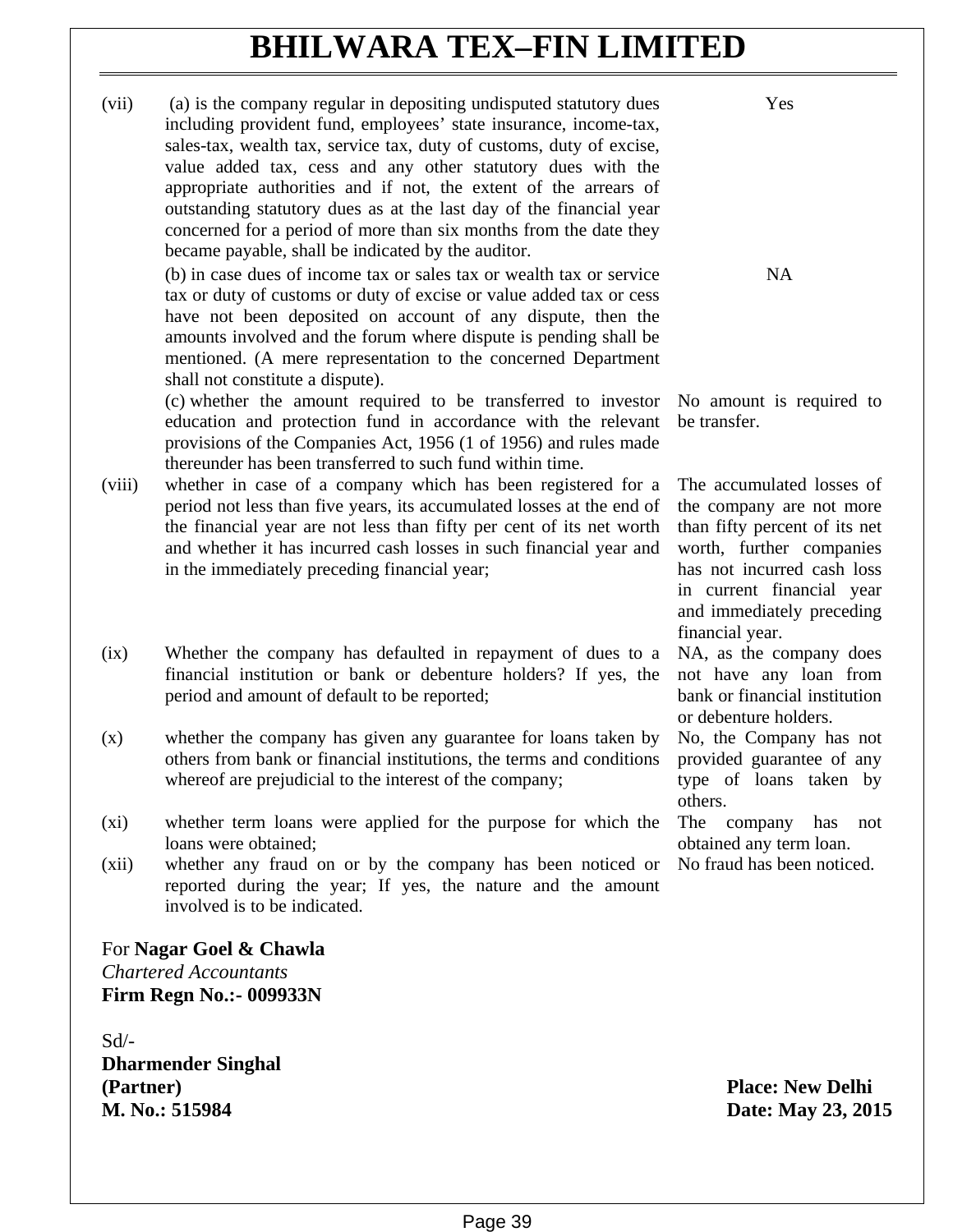(vii) (a) is the company regular in depositing undisputed statutory dues including provident fund, employees' state insurance, income-tax, sales-tax, wealth tax, service tax, duty of customs, duty of excise, value added tax, cess and any other statutory dues with the appropriate authorities and if not, the extent of the arrears of outstanding statutory dues as at the last day of the financial year concerned for a period of more than six months from the date they became payable, shall be indicated by the auditor. Yes (b) in case dues of income tax or sales tax or wealth tax or service tax or duty of customs or duty of excise or value added tax or cess have not been deposited on account of any dispute, then the amounts involved and the forum where dispute is pending shall be mentioned. (A mere representation to the concerned Department shall not constitute a dispute). NA (c) whether the amount required to be transferred to investor education and protection fund in accordance with the relevant provisions of the Companies Act, 1956 (1 of 1956) and rules made thereunder has been transferred to such fund within time. No amount is required to be transfer. (viii) whether in case of a company which has been registered for a period not less than five years, its accumulated losses at the end of the financial year are not less than fifty per cent of its net worth and whether it has incurred cash losses in such financial year and in the immediately preceding financial year; The accumulated losses of the company are not more than fifty percent of its net worth, further companies has not incurred cash loss in current financial year and immediately preceding financial year. (ix) Whether the company has defaulted in repayment of dues to a financial institution or bank or debenture holders? If yes, the period and amount of default to be reported; NA, as the company does not have any loan from bank or financial institution or debenture holders. (x) whether the company has given any guarantee for loans taken by others from bank or financial institutions, the terms and conditions whereof are prejudicial to the interest of the company; No, the Company has not provided guarantee of any type of loans taken by others. (xi) whether term loans were applied for the purpose for which the loans were obtained; The company has not obtained any term loan. (xii) whether any fraud on or by the company has been noticed or reported during the year; If yes, the nature and the amount involved is to be indicated. No fraud has been noticed. For **Nagar Goel & Chawla**  *Chartered Accountants*  **Firm Regn No.:- 009933N**   $Sd$ <sup>-</sup> **Dharmender Singhal (Partner) Place: New Delhi M. No.: 515984** Date: May 23, 2015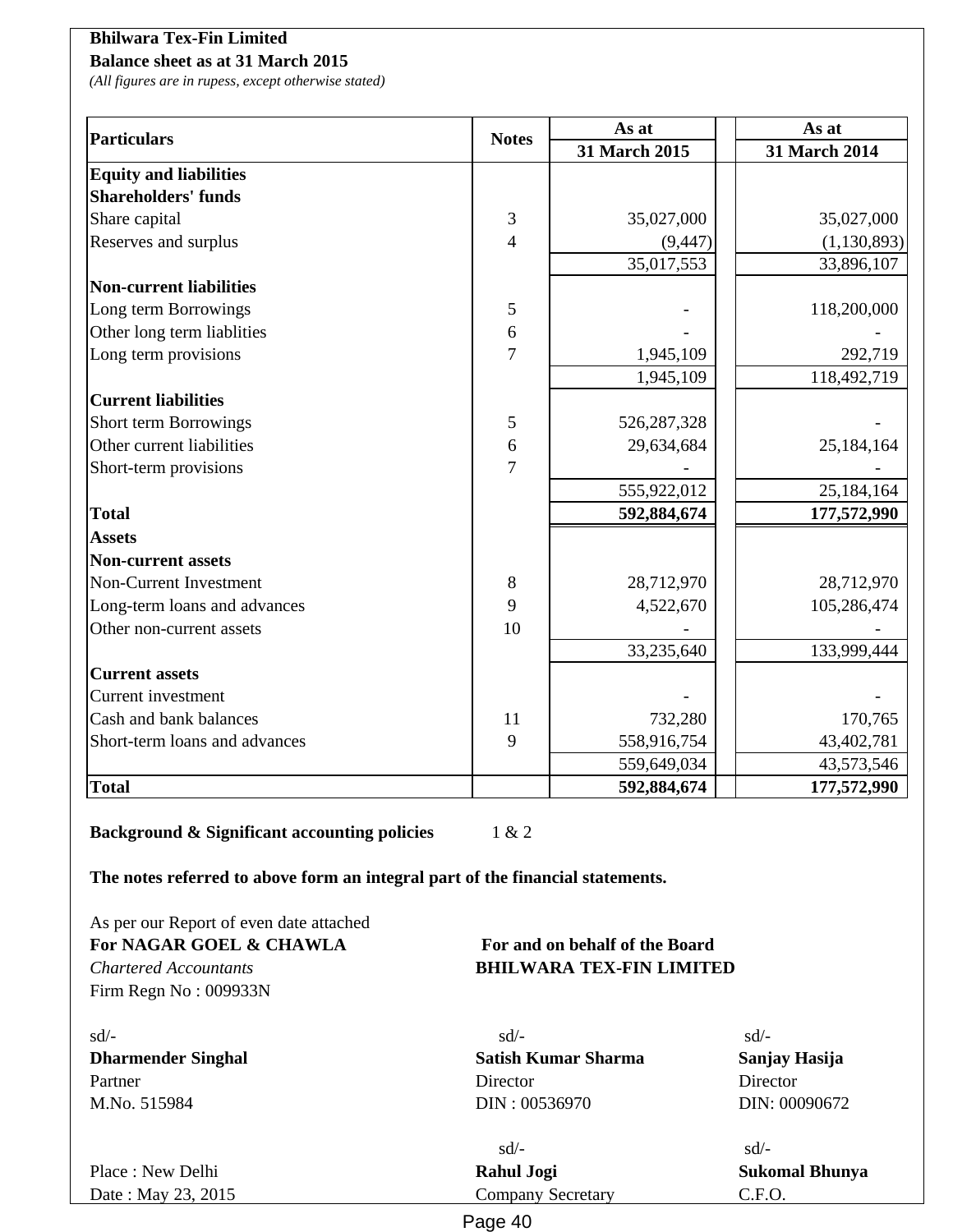### **Balance sheet as at 31 March 2015**

*(All figures are in rupess, except otherwise stated)*

| <b>Particulars</b>             | <b>Notes</b>   | As at         | As at         |
|--------------------------------|----------------|---------------|---------------|
|                                |                | 31 March 2015 | 31 March 2014 |
| <b>Equity and liabilities</b>  |                |               |               |
| <b>Shareholders' funds</b>     |                |               |               |
| Share capital                  | 3              | 35,027,000    | 35,027,000    |
| Reserves and surplus           | $\overline{4}$ | (9, 447)      | (1, 130, 893) |
|                                |                | 35,017,553    | 33,896,107    |
| <b>Non-current liabilities</b> |                |               |               |
| Long term Borrowings           | 5              |               | 118,200,000   |
| Other long term liablities     | 6              |               |               |
| Long term provisions           | $\overline{7}$ | 1,945,109     | 292,719       |
|                                |                | 1,945,109     | 118,492,719   |
| <b>Current liabilities</b>     |                |               |               |
| Short term Borrowings          | 5              | 526, 287, 328 |               |
| Other current liabilities      | 6              | 29,634,684    | 25,184,164    |
| Short-term provisions          | 7              |               |               |
|                                |                | 555,922,012   | 25,184,164    |
| <b>Total</b>                   |                | 592,884,674   | 177,572,990   |
| <b>Assets</b>                  |                |               |               |
| <b>Non-current assets</b>      |                |               |               |
| Non-Current Investment         | 8              | 28,712,970    | 28,712,970    |
| Long-term loans and advances   | 9              | 4,522,670     | 105,286,474   |
| Other non-current assets       | 10             |               |               |
|                                |                | 33,235,640    | 133,999,444   |
| <b>Current assets</b>          |                |               |               |
| Current investment             |                |               |               |
| Cash and bank balances         | 11             | 732,280       | 170,765       |
| Short-term loans and advances  | 9              | 558,916,754   | 43,402,781    |
|                                |                | 559,649,034   | 43,573,546    |
| <b>Total</b>                   |                | 592,884,674   | 177,572,990   |

### **Background & Significant accounting policies** 1 & 2

### **The notes referred to above form an integral part of the financial statements.**

As per our Report of even date attached **For NAGAR GOEL & CHAWLA For and on behalf of the Board** *Chartered Accountants* **BHILWARA TEX-FIN LIMITED** Firm Regn No : 009933N

| $sd/-$                    | $sd/$ -                    | $sd/-$                |
|---------------------------|----------------------------|-----------------------|
| <b>Dharmender Singhal</b> | <b>Satish Kumar Sharma</b> | Sanjay Hasija         |
| Partner                   | Director                   | Director              |
| M.No. 515984              | DIN: 00536970              | DIN: 00090672         |
|                           | $sd/$ -                    | $sd/-$                |
| Place: New Delhi          | <b>Rahul Jogi</b>          | <b>Sukomal Bhunya</b> |
| Date: May 23, 2015        | <b>Company Secretary</b>   | C.F. O.               |

Page 40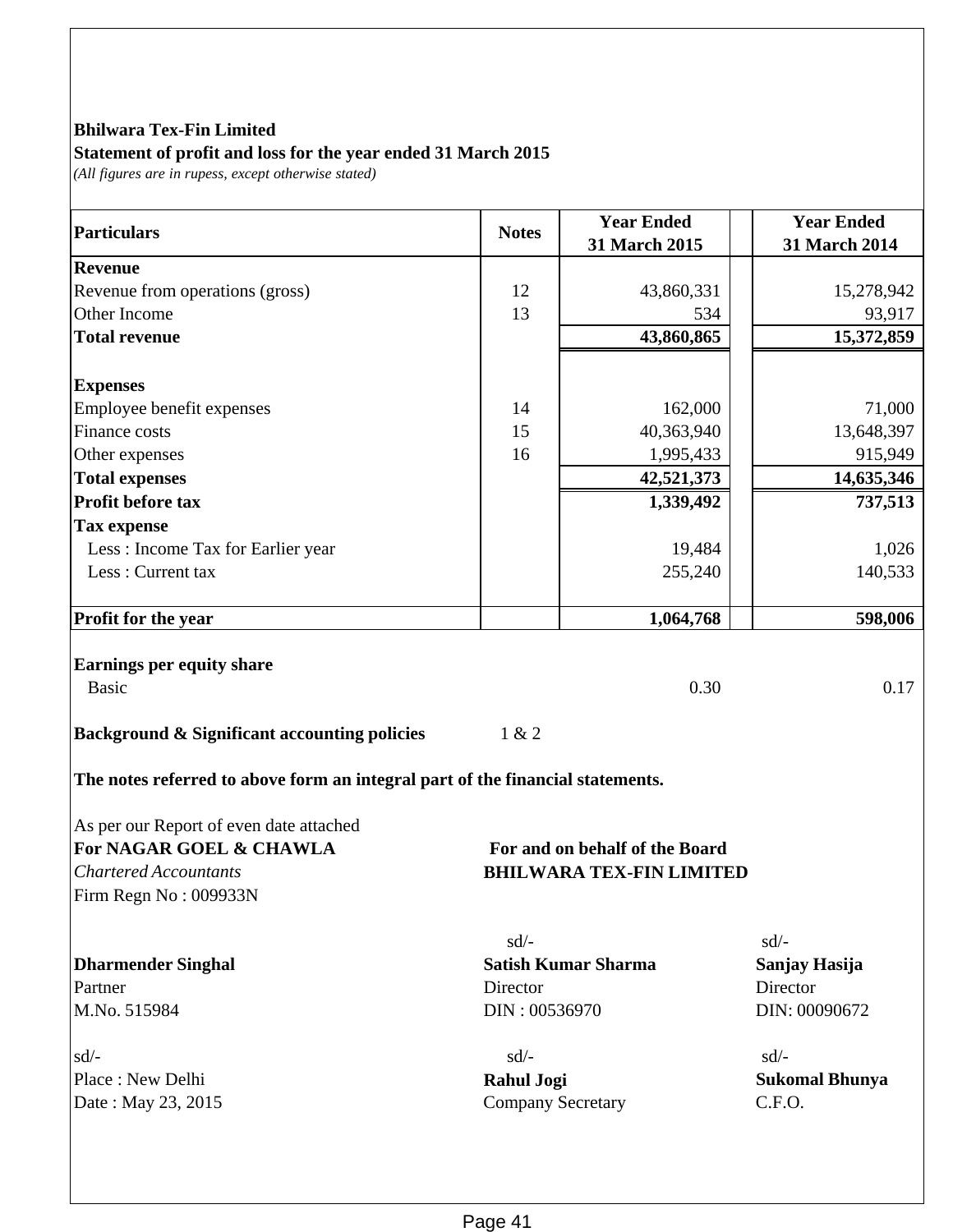## **Statement of profit and loss for the year ended 31 March 2015**

*(All figures are in rupess, except otherwise stated)*

| Particulars                                                                                                                                                                        | <b>Notes</b>                                                                                   | <b>Year Ended</b><br>31 March 2015                                | <b>Year Ended</b><br>31 March 2014                                                                |
|------------------------------------------------------------------------------------------------------------------------------------------------------------------------------------|------------------------------------------------------------------------------------------------|-------------------------------------------------------------------|---------------------------------------------------------------------------------------------------|
| <b>Revenue</b>                                                                                                                                                                     |                                                                                                |                                                                   |                                                                                                   |
| Revenue from operations (gross)                                                                                                                                                    | 12                                                                                             | 43,860,331                                                        | 15,278,942                                                                                        |
| Other Income                                                                                                                                                                       | 13                                                                                             | 534                                                               | 93,917                                                                                            |
| <b>Total revenue</b>                                                                                                                                                               |                                                                                                | 43,860,865                                                        | 15,372,859                                                                                        |
|                                                                                                                                                                                    |                                                                                                |                                                                   |                                                                                                   |
| <b>Expenses</b>                                                                                                                                                                    |                                                                                                |                                                                   |                                                                                                   |
| Employee benefit expenses                                                                                                                                                          | 14                                                                                             | 162,000                                                           | 71,000                                                                                            |
| Finance costs                                                                                                                                                                      | 15                                                                                             | 40,363,940                                                        | 13,648,397                                                                                        |
| Other expenses                                                                                                                                                                     | 16                                                                                             | 1,995,433                                                         | 915,949                                                                                           |
| <b>Total expenses</b>                                                                                                                                                              |                                                                                                | 42,521,373                                                        | 14,635,346                                                                                        |
| <b>Profit before tax</b>                                                                                                                                                           |                                                                                                | 1,339,492                                                         | 737,513                                                                                           |
| <b>Tax expense</b>                                                                                                                                                                 |                                                                                                |                                                                   |                                                                                                   |
| Less : Income Tax for Earlier year                                                                                                                                                 |                                                                                                | 19,484                                                            | 1,026                                                                                             |
| Less: Current tax                                                                                                                                                                  |                                                                                                | 255,240                                                           | 140,533                                                                                           |
|                                                                                                                                                                                    |                                                                                                |                                                                   |                                                                                                   |
| <b>Profit for the year</b>                                                                                                                                                         |                                                                                                | 1,064,768                                                         | 598,006                                                                                           |
| <b>Earnings per equity share</b><br><b>Basic</b><br>Background & Significant accounting policies<br>The notes referred to above form an integral part of the financial statements. | 1 & 2                                                                                          | 0.30                                                              | 0.17                                                                                              |
| As per our Report of even date attached<br>For NAGAR GOEL & CHAWLA<br><b>Chartered Accountants</b><br>Firm Regn No : 009933N                                                       |                                                                                                | For and on behalf of the Board<br><b>BHILWARA TEX-FIN LIMITED</b> |                                                                                                   |
| <b>Dharmender Singhal</b><br>Partner<br>M.No. 515984<br>$sd/-$<br>Place: New Delhi<br>Date: May 23, 2015                                                                           | $sd/-$<br>Director<br>DIN: 00536970<br>$sd/-$<br><b>Rahul Jogi</b><br><b>Company Secretary</b> | <b>Satish Kumar Sharma</b>                                        | $sd/-$<br>Sanjay Hasija<br>Director<br>DIN: 00090672<br>$sd/-$<br><b>Sukomal Bhunya</b><br>C.F.O. |
|                                                                                                                                                                                    |                                                                                                |                                                                   |                                                                                                   |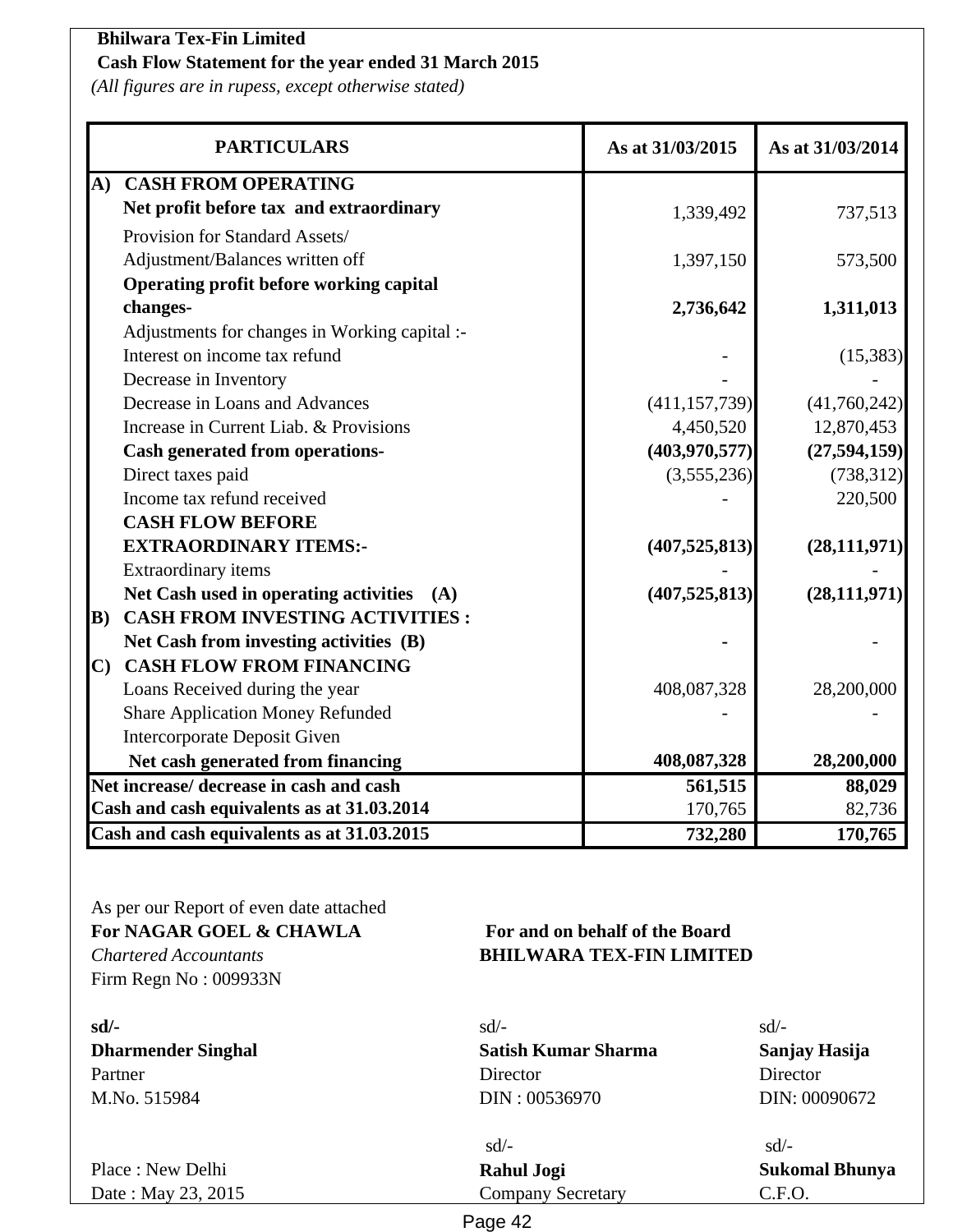## **Cash Flow Statement for the year ended 31 March 2015**

*(All figures are in rupess, except otherwise stated)*

|              | <b>PARTICULARS</b>                             | As at 31/03/2015 | As at 31/03/2014 |
|--------------|------------------------------------------------|------------------|------------------|
| $\mathbf{A}$ | <b>CASH FROM OPERATING</b>                     |                  |                  |
|              | Net profit before tax and extraordinary        | 1,339,492        | 737,513          |
|              | Provision for Standard Assets/                 |                  |                  |
|              | Adjustment/Balances written off                | 1,397,150        | 573,500          |
|              | <b>Operating profit before working capital</b> |                  |                  |
|              | changes-                                       | 2,736,642        | 1,311,013        |
|              | Adjustments for changes in Working capital :-  |                  |                  |
|              | Interest on income tax refund                  |                  | (15, 383)        |
|              | Decrease in Inventory                          |                  |                  |
|              | Decrease in Loans and Advances                 | (411, 157, 739)  | (41,760,242)     |
|              | Increase in Current Liab. & Provisions         | 4,450,520        | 12,870,453       |
|              | <b>Cash generated from operations-</b>         | (403, 970, 577)  | (27,594,159)     |
|              | Direct taxes paid                              | (3,555,236)      | (738, 312)       |
|              | Income tax refund received                     |                  | 220,500          |
|              | <b>CASH FLOW BEFORE</b>                        |                  |                  |
|              | <b>EXTRAORDINARY ITEMS:-</b>                   | (407, 525, 813)  | (28, 111, 971)   |
|              | Extraordinary items                            |                  |                  |
|              | Net Cash used in operating activities (A)      | (407, 525, 813)  | (28, 111, 971)   |
| $\bf{B}$     | <b>CASH FROM INVESTING ACTIVITIES:</b>         |                  |                  |
|              | Net Cash from investing activities (B)         |                  |                  |
| $\mathbf{C}$ | <b>CASH FLOW FROM FINANCING</b>                |                  |                  |
|              | Loans Received during the year                 | 408,087,328      | 28,200,000       |
|              | <b>Share Application Money Refunded</b>        |                  |                  |
|              | <b>Intercorporate Deposit Given</b>            |                  |                  |
|              | Net cash generated from financing              | 408,087,328      | 28,200,000       |
|              | Net increase/ decrease in cash and cash        | 561,515          | 88,029           |
|              | Cash and cash equivalents as at 31.03.2014     | 170,765          | 82,736           |
|              | Cash and cash equivalents as at 31.03.2015     | 732,280          | 170,765          |

As per our Report of even date attached **For NAGAR GOEL & CHAWLA For and on behalf of the Board**

Firm Regn No : 009933N

## *Chartered Accountants* **BHILWARA TEX-FIN LIMITED**

| $sd/-$                    | $sd/-$                     | $sd/-$                |
|---------------------------|----------------------------|-----------------------|
| <b>Dharmender Singhal</b> | <b>Satish Kumar Sharma</b> | Sanjay Hasija         |
| Partner                   | Director                   | Director              |
| M.No. 515984              | DIN: 00536970              | DIN: 00090672         |
|                           | $sd/-$                     | $sd/$ -               |
| Place: New Delhi          | <b>Rahul Jogi</b>          | <b>Sukomal Bhunya</b> |
| Date: May 23, 2015        | <b>Company Secretary</b>   | C.F. O.               |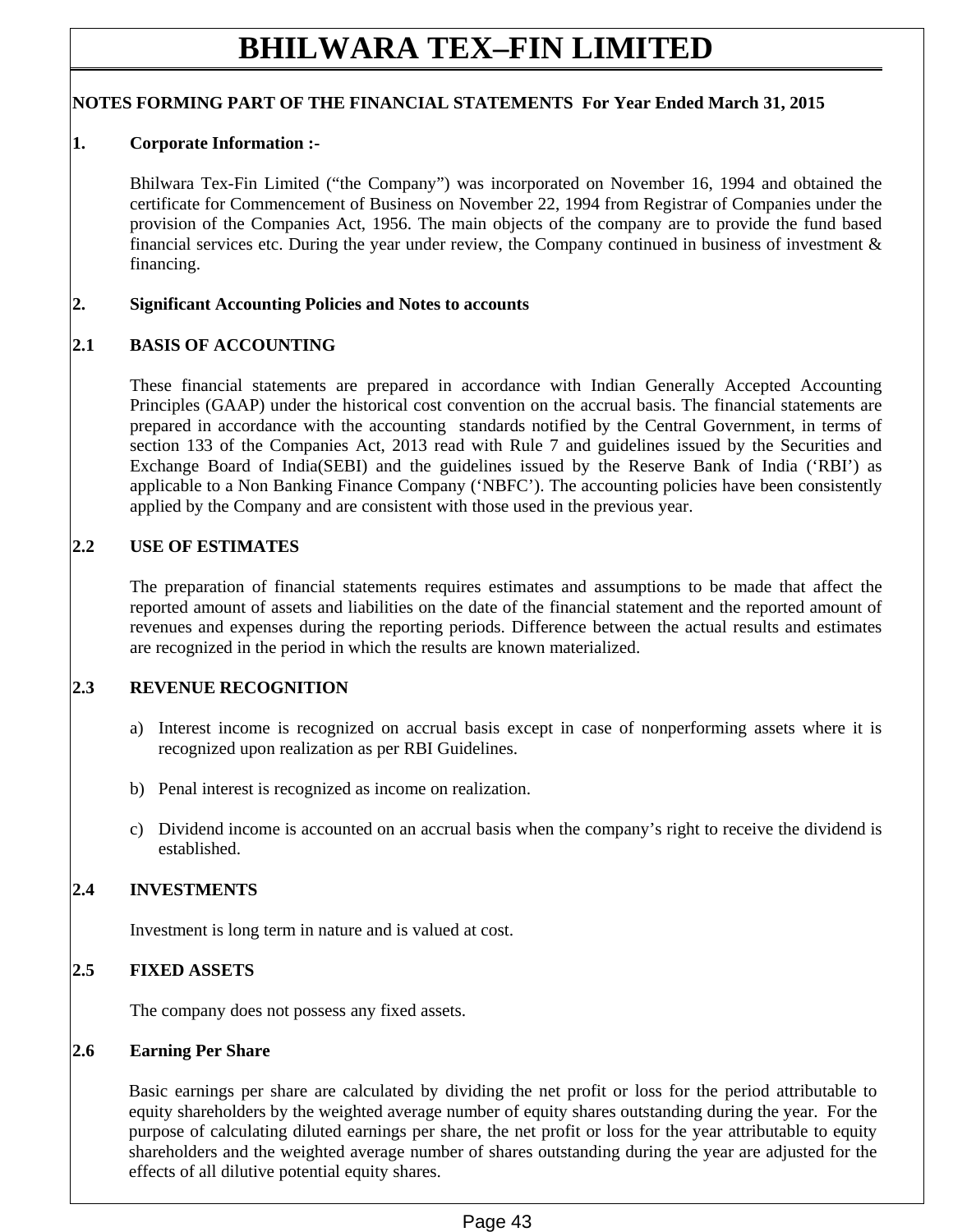### **NOTES FORMING PART OF THE FINANCIAL STATEMENTS For Year Ended March 31, 2015**

### **1. Corporate Information :-**

Bhilwara Tex-Fin Limited ("the Company") was incorporated on November 16, 1994 and obtained the certificate for Commencement of Business on November 22, 1994 from Registrar of Companies under the provision of the Companies Act, 1956. The main objects of the company are to provide the fund based financial services etc. During the year under review, the Company continued in business of investment  $\&$ financing.

### **2. Significant Accounting Policies and Notes to accounts**

### **2.1 BASIS OF ACCOUNTING**

These financial statements are prepared in accordance with Indian Generally Accepted Accounting Principles (GAAP) under the historical cost convention on the accrual basis. The financial statements are prepared in accordance with the accounting standards notified by the Central Government, in terms of section 133 of the Companies Act, 2013 read with Rule 7 and guidelines issued by the Securities and Exchange Board of India(SEBI) and the guidelines issued by the Reserve Bank of India ('RBI') as applicable to a Non Banking Finance Company ('NBFC'). The accounting policies have been consistently applied by the Company and are consistent with those used in the previous year.

### **2.2 USE OF ESTIMATES**

The preparation of financial statements requires estimates and assumptions to be made that affect the reported amount of assets and liabilities on the date of the financial statement and the reported amount of revenues and expenses during the reporting periods. Difference between the actual results and estimates are recognized in the period in which the results are known materialized.

### **2.3 REVENUE RECOGNITION**

- a) Interest income is recognized on accrual basis except in case of nonperforming assets where it is recognized upon realization as per RBI Guidelines.
- b) Penal interest is recognized as income on realization.
- c) Dividend income is accounted on an accrual basis when the company's right to receive the dividend is established.

### **2.4 INVESTMENTS**

Investment is long term in nature and is valued at cost.

### **2.5 FIXED ASSETS**

The company does not possess any fixed assets.

#### **2.6 Earning Per Share**

Basic earnings per share are calculated by dividing the net profit or loss for the period attributable to equity shareholders by the weighted average number of equity shares outstanding during the year. For the purpose of calculating diluted earnings per share, the net profit or loss for the year attributable to equity shareholders and the weighted average number of shares outstanding during the year are adjusted for the effects of all dilutive potential equity shares.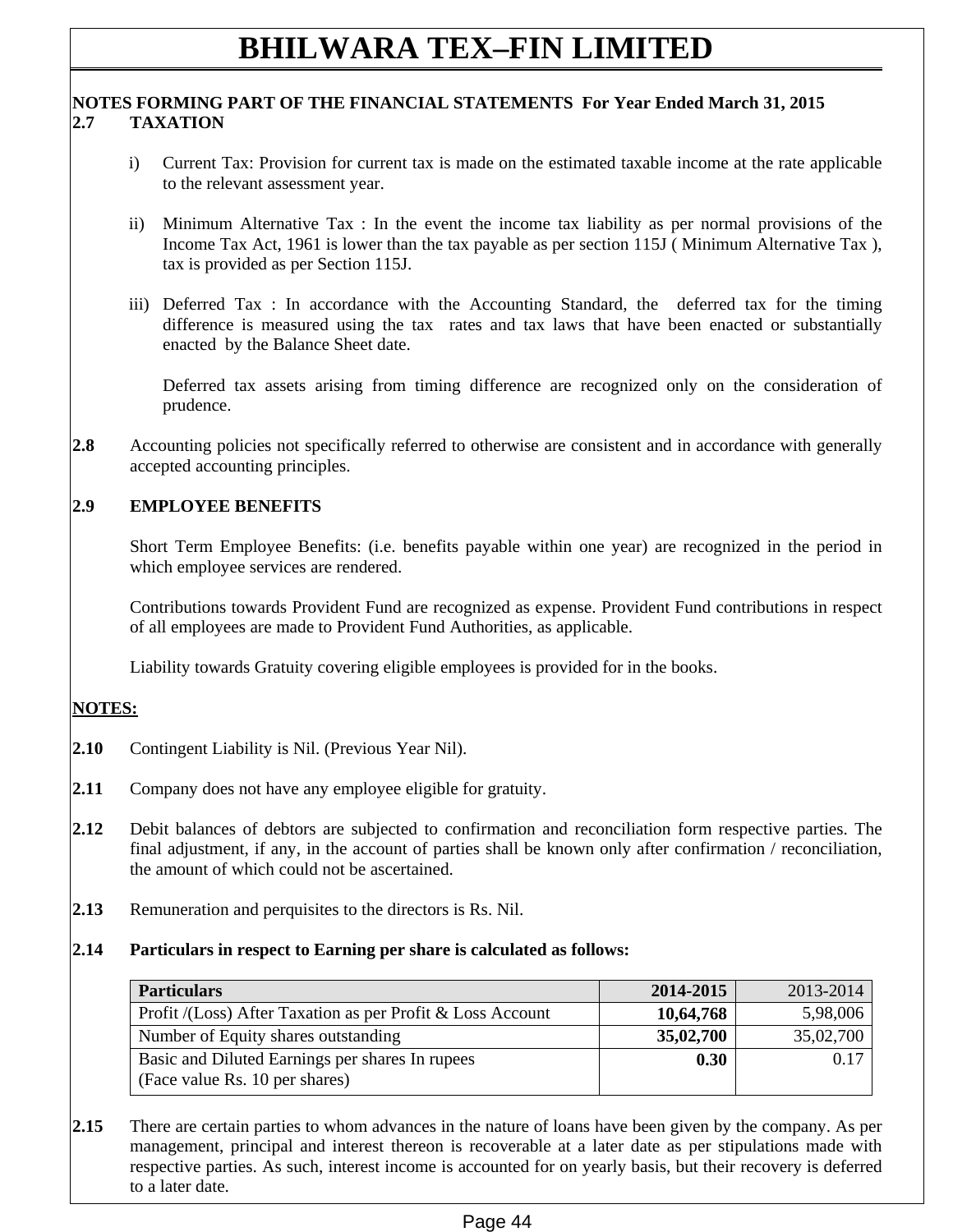### **NOTES FORMING PART OF THE FINANCIAL STATEMENTS For Year Ended March 31, 2015 2.7 TAXATION**

- i) Current Tax: Provision for current tax is made on the estimated taxable income at the rate applicable to the relevant assessment year.
- ii) Minimum Alternative Tax : In the event the income tax liability as per normal provisions of the Income Tax Act, 1961 is lower than the tax payable as per section 115J ( Minimum Alternative Tax ), tax is provided as per Section 115J.
- iii) Deferred Tax : In accordance with the Accounting Standard, the deferred tax for the timing difference is measured using the tax rates and tax laws that have been enacted or substantially enacted by the Balance Sheet date.

Deferred tax assets arising from timing difference are recognized only on the consideration of prudence.

**2.8** Accounting policies not specifically referred to otherwise are consistent and in accordance with generally accepted accounting principles.

### **2.9 EMPLOYEE BENEFITS**

Short Term Employee Benefits: (i.e. benefits payable within one year) are recognized in the period in which employee services are rendered.

Contributions towards Provident Fund are recognized as expense. Provident Fund contributions in respect of all employees are made to Provident Fund Authorities, as applicable.

Liability towards Gratuity covering eligible employees is provided for in the books.

### **NOTES:**

- **2.10** Contingent Liability is Nil. (Previous Year Nil).
- **2.11** Company does not have any employee eligible for gratuity.
- **2.12** Debit balances of debtors are subjected to confirmation and reconciliation form respective parties. The final adjustment, if any, in the account of parties shall be known only after confirmation / reconciliation, the amount of which could not be ascertained.
- **2.13** Remuneration and perquisites to the directors is Rs. Nil.

### **2.14 Particulars in respect to Earning per share is calculated as follows:**

| <b>Particulars</b>                                         | 2014-2015 | 2013-2014 |
|------------------------------------------------------------|-----------|-----------|
| Profit /(Loss) After Taxation as per Profit & Loss Account | 10,64,768 | 5,98,006  |
| Number of Equity shares outstanding                        | 35,02,700 | 35,02,700 |
| Basic and Diluted Earnings per shares In rupees            | 0.30      | 0.17      |
| (Face value Rs. 10 per shares)                             |           |           |

**2.15** There are certain parties to whom advances in the nature of loans have been given by the company. As per management, principal and interest thereon is recoverable at a later date as per stipulations made with respective parties. As such, interest income is accounted for on yearly basis, but their recovery is deferred to a later date.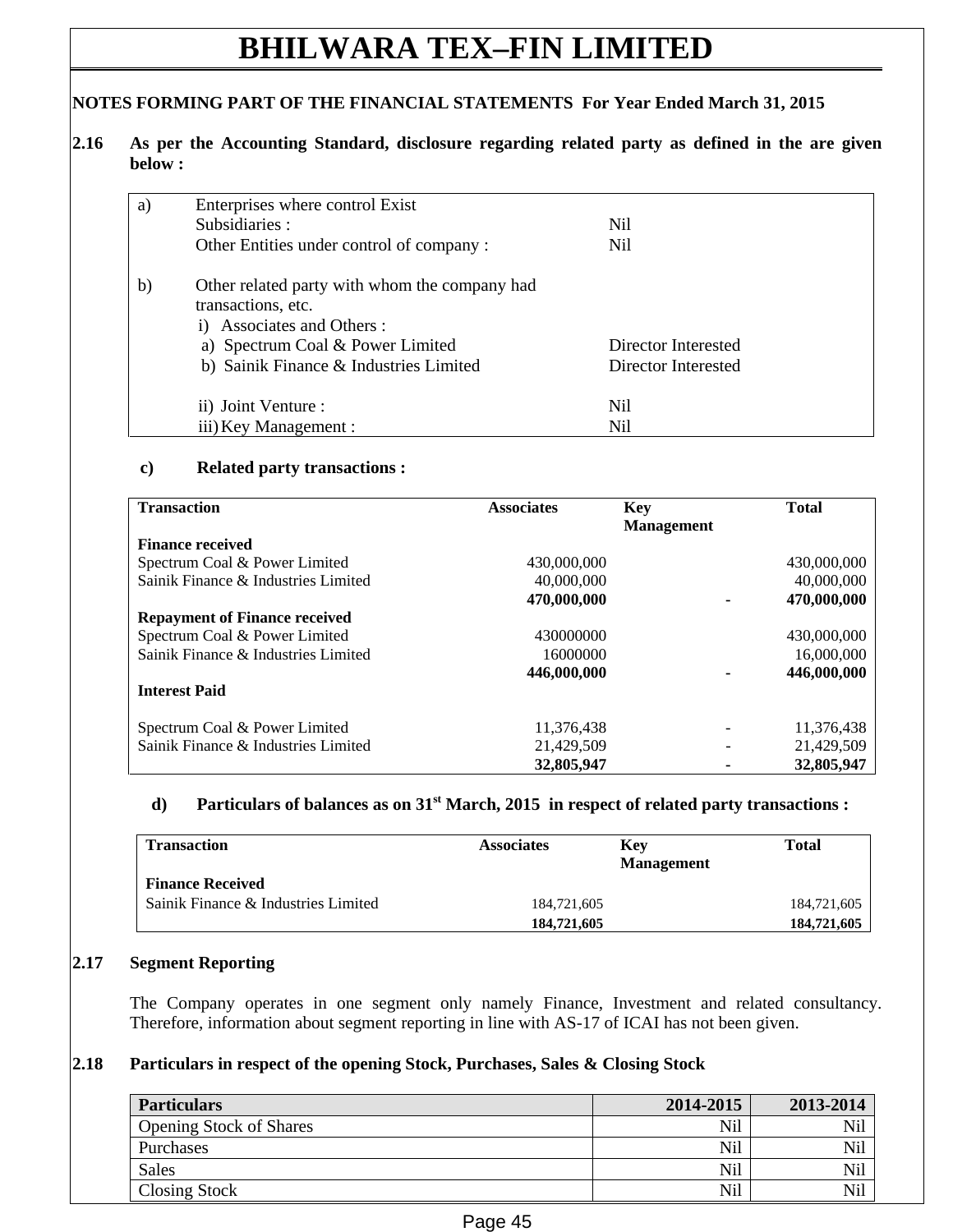### **NOTES FORMING PART OF THE FINANCIAL STATEMENTS For Year Ended March 31, 2015**

### **2.16 As per the Accounting Standard, disclosure regarding related party as defined in the are given below :**

| a) | Enterprises where control Exist               |                     |  |  |  |
|----|-----------------------------------------------|---------------------|--|--|--|
|    | Subsidiaries :                                | Nil.                |  |  |  |
|    | Other Entities under control of company:      | Nil                 |  |  |  |
| b) | Other related party with whom the company had |                     |  |  |  |
|    | transactions, etc.                            |                     |  |  |  |
|    | i) Associates and Others :                    |                     |  |  |  |
|    | a) Spectrum Coal & Power Limited              | Director Interested |  |  |  |
|    | b) Sainik Finance & Industries Limited        | Director Interested |  |  |  |
|    | ii) Joint Venture :                           | Nil                 |  |  |  |
|    | iii) Key Management :                         | <b>Nil</b>          |  |  |  |

#### **c) Related party transactions :**

| <b>Transaction</b>                   | <b>Associates</b> | <b>Key</b>        | <b>Total</b> |
|--------------------------------------|-------------------|-------------------|--------------|
|                                      |                   | <b>Management</b> |              |
| <b>Finance received</b>              |                   |                   |              |
| Spectrum Coal & Power Limited        | 430,000,000       |                   | 430,000,000  |
| Sainik Finance & Industries Limited  | 40,000,000        |                   | 40,000,000   |
|                                      | 470,000,000       |                   | 470,000,000  |
| <b>Repayment of Finance received</b> |                   |                   |              |
| Spectrum Coal & Power Limited        | 430000000         |                   | 430,000,000  |
| Sainik Finance & Industries Limited  | 16000000          |                   | 16,000,000   |
|                                      | 446,000,000       |                   | 446,000,000  |
| <b>Interest Paid</b>                 |                   |                   |              |
| Spectrum Coal & Power Limited        | 11,376,438        |                   | 11,376,438   |
| Sainik Finance & Industries Limited  | 21,429,509        |                   | 21,429,509   |
|                                      | 32,805,947        |                   | 32,805,947   |

### **d) Particulars of balances as on 31st March, 2015 in respect of related party transactions :**

| <b>Transaction</b>                  | <b>Associates</b> | Key<br><b>Management</b> | Total       |
|-------------------------------------|-------------------|--------------------------|-------------|
| <b>Finance Received</b>             |                   |                          |             |
| Sainik Finance & Industries Limited | 184,721,605       |                          | 184,721,605 |
|                                     | 184,721,605       |                          | 184,721,605 |

### **2.17 Segment Reporting**

The Company operates in one segment only namely Finance, Investment and related consultancy. Therefore, information about segment reporting in line with AS-17 of ICAI has not been given.

### **2.18 Particulars in respect of the opening Stock, Purchases, Sales & Closing Stock**

| <b>Particulars</b>             | 2014-2015 | 2013-2014 |
|--------------------------------|-----------|-----------|
| <b>Opening Stock of Shares</b> | Nil       | Nil       |
| Purchases                      | Nil       | Nil       |
| <b>Sales</b>                   | Nil       | Nil       |
| Closing Stock                  | Nil       | Nil       |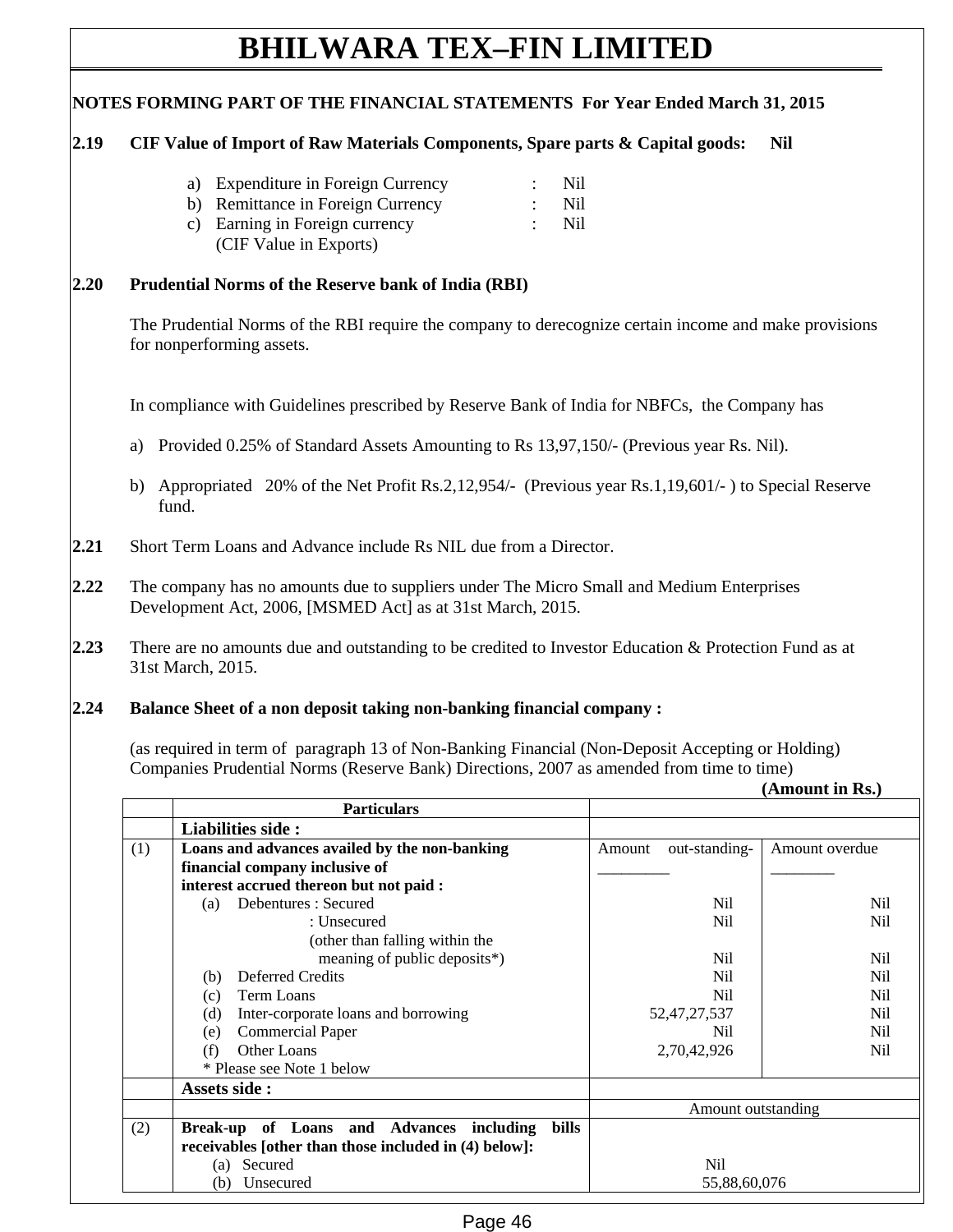| 2.19 |     | CIF Value of Import of Raw Materials Components, Spare parts & Capital goods:                                                                                                                |                             | <b>Nil</b>      |
|------|-----|----------------------------------------------------------------------------------------------------------------------------------------------------------------------------------------------|-----------------------------|-----------------|
|      |     | a) Expenditure in Foreign Currency<br>b) Remittance in Foreign Currency<br>c) Earning in Foreign currency<br>(CIF Value in Exports)                                                          | Nil<br>Nil<br><b>Nil</b>    |                 |
| 2.20 |     | Prudential Norms of the Reserve bank of India (RBI)                                                                                                                                          |                             |                 |
|      |     | The Prudential Norms of the RBI require the company to derecognize certain income and make provisions<br>for nonperforming assets.                                                           |                             |                 |
|      |     | In compliance with Guidelines prescribed by Reserve Bank of India for NBFCs, the Company has                                                                                                 |                             |                 |
|      | a)  | Provided 0.25% of Standard Assets Amounting to Rs 13,97,150/- (Previous year Rs. Nil).                                                                                                       |                             |                 |
|      | b)  | Appropriated 20% of the Net Profit Rs.2,12,954/- (Previous year Rs.1,19,601/-) to Special Reserve<br>fund.                                                                                   |                             |                 |
| 2.21 |     | Short Term Loans and Advance include Rs NIL due from a Director.                                                                                                                             |                             |                 |
| 2.22 |     | The company has no amounts due to suppliers under The Micro Small and Medium Enterprises<br>Development Act, 2006, [MSMED Act] as at 31st March, 2015.                                       |                             |                 |
| 2.23 |     | There are no amounts due and outstanding to be credited to Investor Education & Protection Fund as at                                                                                        |                             |                 |
|      |     | 31st March, 2015.                                                                                                                                                                            |                             |                 |
|      |     | <b>Balance Sheet of a non deposit taking non-banking financial company:</b>                                                                                                                  |                             |                 |
| 2.24 |     | (as required in term of paragraph 13 of Non-Banking Financial (Non-Deposit Accepting or Holding)<br>Companies Prudential Norms (Reserve Bank) Directions, 2007 as amended from time to time) |                             |                 |
|      |     |                                                                                                                                                                                              |                             | (Amount in Rs.) |
|      |     | <b>Particulars</b>                                                                                                                                                                           |                             |                 |
|      | (1) | Liabilities side:<br>Loans and advances availed by the non-banking                                                                                                                           | out-standing-<br>Amount     | Amount overdue  |
|      |     | financial company inclusive of<br>interest accrued thereon but not paid:<br>Debentures : Secured<br>(a)<br>: Unsecured                                                                       | Nil<br>Nil                  | Nil<br>Nil      |
|      |     | (other than falling within the<br>meaning of public deposits*)                                                                                                                               | Nil                         | Nil             |
|      |     | Deferred Credits<br>(b)<br>Term Loans<br>(c)                                                                                                                                                 | Nil<br>Nil                  | Nil<br>Nil      |
|      |     | Inter-corporate loans and borrowing<br>(d)                                                                                                                                                   | 52, 47, 27, 537             | Nil             |
|      |     | <b>Commercial Paper</b><br>(e)                                                                                                                                                               | Nil                         | Nil             |
|      |     | Other Loans<br>(f)                                                                                                                                                                           | 2,70,42,926                 | Nil             |
|      |     | * Please see Note 1 below                                                                                                                                                                    |                             |                 |
|      |     | Assets side:                                                                                                                                                                                 |                             |                 |
|      | (2) | Break-up of Loans and Advances including<br>receivables [other than those included in (4) below]:                                                                                            | Amount outstanding<br>bills |                 |
|      |     | (a) Secured<br>(b) Unsecured                                                                                                                                                                 | Nil<br>55,88,60,076         |                 |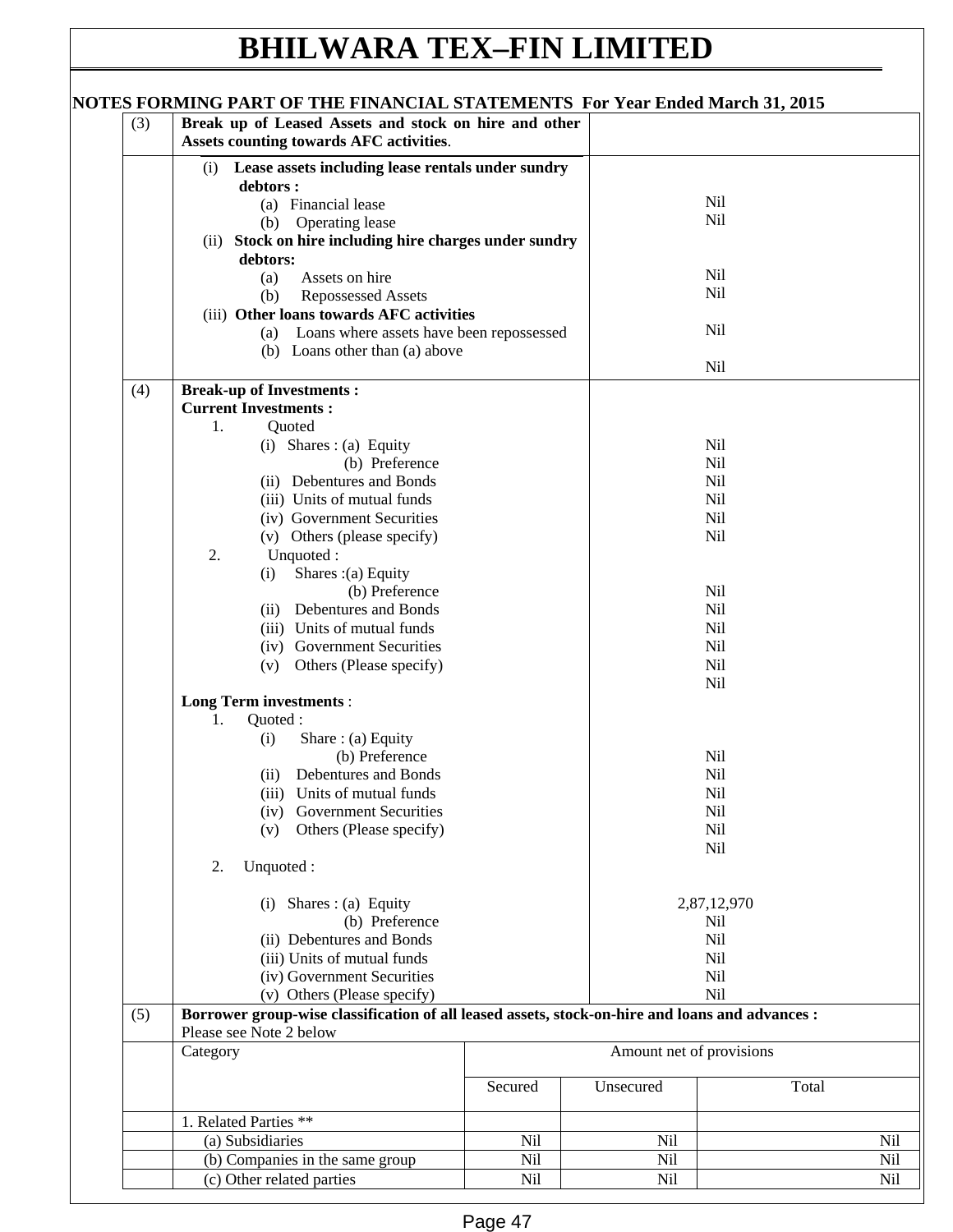| (3) | Break up of Leased Assets and stock on hire and other<br>Assets counting towards AFC activities.                           |         |                          |       |
|-----|----------------------------------------------------------------------------------------------------------------------------|---------|--------------------------|-------|
|     | Lease assets including lease rentals under sundry<br>(i)                                                                   |         |                          |       |
|     | debtors :                                                                                                                  |         |                          |       |
|     | (a) Financial lease                                                                                                        |         | Nil                      |       |
|     | (b) Operating lease                                                                                                        |         | Nil                      |       |
|     | (ii) Stock on hire including hire charges under sundry                                                                     |         |                          |       |
|     | debtors:                                                                                                                   |         |                          |       |
|     | Assets on hire<br>(a)                                                                                                      |         | Nil                      |       |
|     | <b>Repossessed Assets</b><br>(b)                                                                                           |         | Nil                      |       |
|     | (iii) Other loans towards AFC activities                                                                                   |         |                          |       |
|     |                                                                                                                            |         | Nil                      |       |
|     | (a) Loans where assets have been repossessed                                                                               |         |                          |       |
|     | (b) Loans other than (a) above                                                                                             |         | Nil                      |       |
|     |                                                                                                                            |         |                          |       |
| (4) | <b>Break-up of Investments:</b>                                                                                            |         |                          |       |
|     | <b>Current Investments:</b>                                                                                                |         |                          |       |
|     | Quoted<br>1.                                                                                                               |         |                          |       |
|     | $(i)$ Shares : $(a)$ Equity                                                                                                |         | Nil                      |       |
|     | (b) Preference                                                                                                             |         | Nil                      |       |
|     | (ii) Debentures and Bonds                                                                                                  |         | Nil                      |       |
|     | (iii) Units of mutual funds                                                                                                |         | Nil                      |       |
|     | (iv) Government Securities                                                                                                 |         | Nil                      |       |
|     | (v) Others (please specify)                                                                                                |         | Nil                      |       |
|     | 2.<br>Unquoted:                                                                                                            |         |                          |       |
|     | Shares: (a) Equity<br>(i)                                                                                                  |         |                          |       |
|     | (b) Preference                                                                                                             |         | Nil                      |       |
|     | (ii) Debentures and Bonds                                                                                                  |         | Nil                      |       |
|     | (iii) Units of mutual funds                                                                                                |         | Nil                      |       |
|     | (iv) Government Securities                                                                                                 |         | Nil                      |       |
|     | (v) Others (Please specify)                                                                                                |         | Nil                      |       |
|     |                                                                                                                            |         | Nil                      |       |
|     | <b>Long Term investments:</b>                                                                                              |         |                          |       |
|     | Quoted:<br>1.                                                                                                              |         |                          |       |
|     | (i)<br>Share: $(a)$ Equity                                                                                                 |         |                          |       |
|     | (b) Preference                                                                                                             |         | Nil                      |       |
|     | (ii) Debentures and Bonds                                                                                                  |         | Nil                      |       |
|     | (iii) Units of mutual funds                                                                                                |         | Nil                      |       |
|     | (iv) Government Securities                                                                                                 |         | Nil                      |       |
|     | Others (Please specify)<br>(v)                                                                                             |         | Nil                      |       |
|     |                                                                                                                            |         | Nil                      |       |
|     | Unquoted:<br>2.                                                                                                            |         |                          |       |
|     |                                                                                                                            |         |                          |       |
|     | $(i)$ Shares : $(a)$ Equity                                                                                                |         | 2,87,12,970              |       |
|     | (b) Preference                                                                                                             |         | Nil                      |       |
|     | (ii) Debentures and Bonds                                                                                                  |         | Nil                      |       |
|     | (iii) Units of mutual funds                                                                                                |         | Nil                      |       |
|     | (iv) Government Securities                                                                                                 |         | Nil                      |       |
|     | (v) Others (Please specify)                                                                                                |         | Nil                      |       |
| (5) | Borrower group-wise classification of all leased assets, stock-on-hire and loans and advances :<br>Please see Note 2 below |         |                          |       |
|     | Category                                                                                                                   |         | Amount net of provisions |       |
|     |                                                                                                                            | Secured | Unsecured                | Total |
|     | 1. Related Parties **                                                                                                      |         |                          |       |
|     | (a) Subsidiaries                                                                                                           | Nil     | Nil                      |       |
|     | (b) Companies in the same group                                                                                            | Nil     | Nil                      |       |
|     | (c) Other related parties                                                                                                  | Nil     | Nil                      |       |
|     |                                                                                                                            |         |                          |       |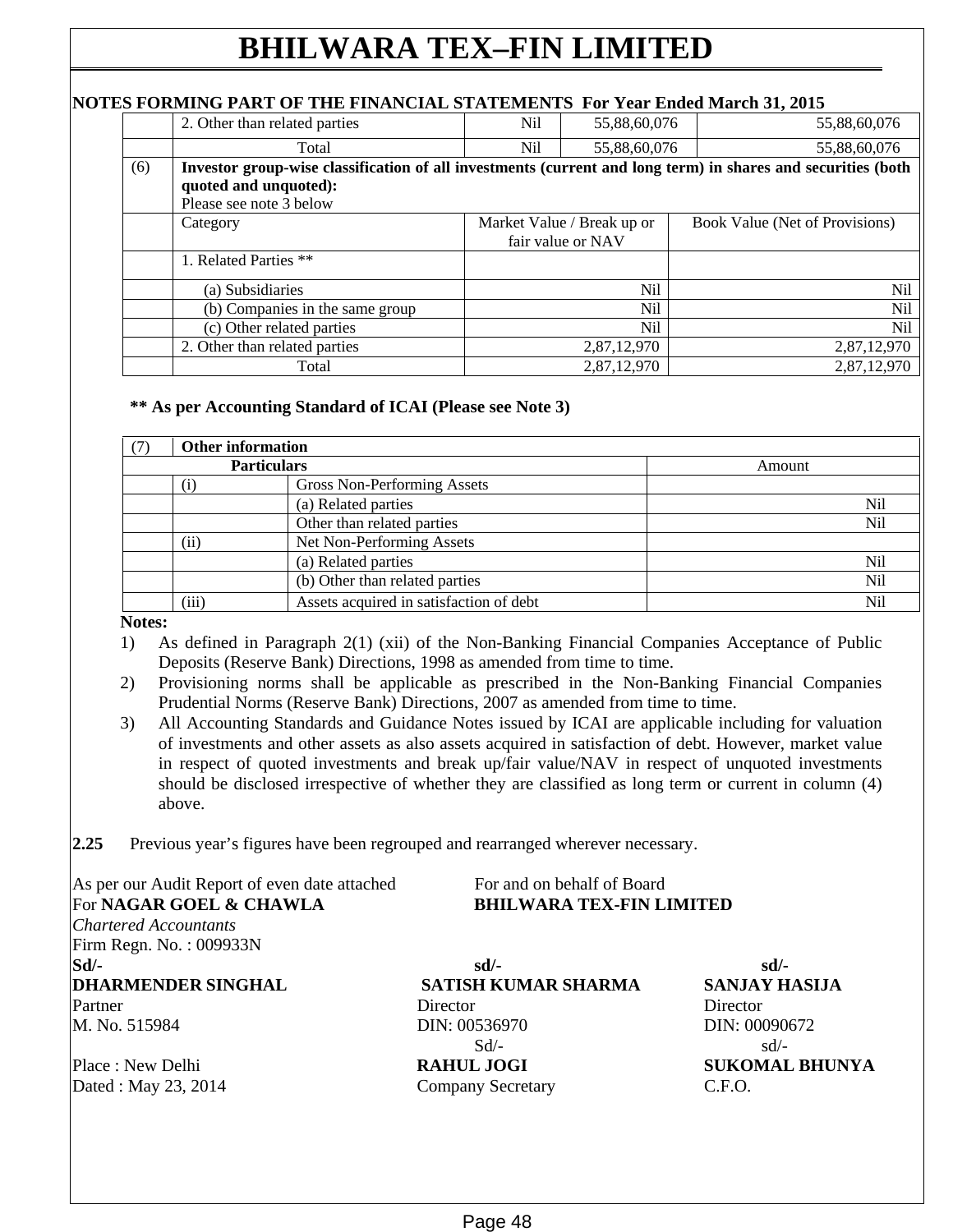### **NOTES FORMING PART OF THE FINANCIAL STATEMENTS For Year Ended March 31, 2015**

|     | 2. Other than related parties                                                                                | Nil                        | 55,88,60,076 | 55,88,60,076                   |
|-----|--------------------------------------------------------------------------------------------------------------|----------------------------|--------------|--------------------------------|
|     |                                                                                                              |                            |              |                                |
|     | Total                                                                                                        | Nil                        | 55,88,60,076 | 55,88,60,076                   |
| (6) | Investor group-wise classification of all investments (current and long term) in shares and securities (both |                            |              |                                |
|     | quoted and unquoted):                                                                                        |                            |              |                                |
|     | Please see note 3 below                                                                                      |                            |              |                                |
|     | Category                                                                                                     | Market Value / Break up or |              | Book Value (Net of Provisions) |
|     |                                                                                                              | fair value or NAV          |              |                                |
|     | 1. Related Parties **                                                                                        |                            |              |                                |
|     | (a) Subsidiaries                                                                                             |                            | Nil          | Nil                            |
|     | (b) Companies in the same group                                                                              |                            | Nil          | Nil                            |
|     | (c) Other related parties                                                                                    |                            | Nil          | Nil                            |
|     | 2. Other than related parties                                                                                |                            | 2,87,12,970  | 2,87,12,970                    |
|     | Total                                                                                                        |                            | 2,87,12,970  | 2,87,12,970                    |

### **\*\* As per Accounting Standard of ICAI (Please see Note 3)**

| <b>Other information</b> |                                         |        |  |  |
|--------------------------|-----------------------------------------|--------|--|--|
| <b>Particulars</b>       |                                         | Amount |  |  |
| $\left( 1 \right)$       | Gross Non-Performing Assets             |        |  |  |
|                          | (a) Related parties                     | Nil    |  |  |
|                          | Other than related parties              | Nil    |  |  |
| (ii)                     | Net Non-Performing Assets               |        |  |  |
|                          | (a) Related parties                     | Nil    |  |  |
|                          | (b) Other than related parties          | Nil    |  |  |
| (iii)                    | Assets acquired in satisfaction of debt | Nil    |  |  |

### **Notes:**

- 1) As defined in Paragraph 2(1) (xii) of the Non-Banking Financial Companies Acceptance of Public Deposits (Reserve Bank) Directions, 1998 as amended from time to time.
- 2) Provisioning norms shall be applicable as prescribed in the Non-Banking Financial Companies Prudential Norms (Reserve Bank) Directions, 2007 as amended from time to time.
- 3) All Accounting Standards and Guidance Notes issued by ICAI are applicable including for valuation of investments and other assets as also assets acquired in satisfaction of debt. However, market value in respect of quoted investments and break up/fair value/NAV in respect of unquoted investments should be disclosed irrespective of whether they are classified as long term or current in column (4) above.
- **2.25** Previous year's figures have been regrouped and rearranged wherever necessary.

As per our Audit Report of even date attached For and on behalf of Board For **NAGAR GOEL & CHAWLA BHILWARA TEX-FIN LIMITED**  *Chartered Accountants*  Firm Regn. No. : 009933N

**Sd/- sd/- sd/- DHARMENDER SINGHAL SATISH KUMAR SHARMA SANJAY HASIJA**  Partner Director Director Director M. No. 515984 DIN: 00536970 DIN: 00536970 Sd/- sd/- Place : New Delhi **RAHUL JOGI SUKOMAL BHUNYA** Dated : May 23, 2014 Company Secretary C.F.O.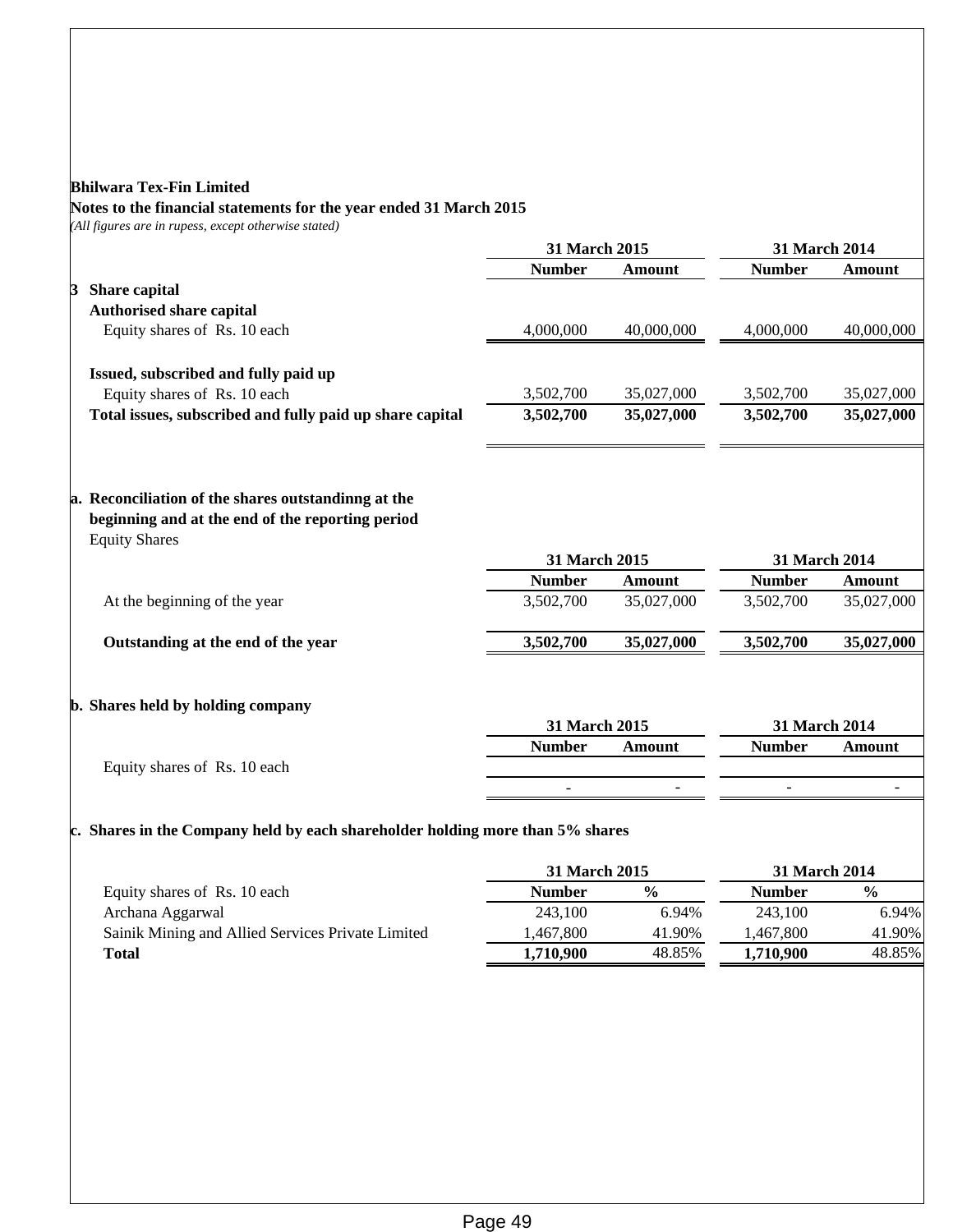#### **Notes to the financial statements for the year ended 31 March 2015**

*(All figures are in rupess, except otherwise stated)*

| <b>Number</b>                                                         |               | 31 March 2015                                      |                                                                                                                                              | 31 March 2014                                                       |
|-----------------------------------------------------------------------|---------------|----------------------------------------------------|----------------------------------------------------------------------------------------------------------------------------------------------|---------------------------------------------------------------------|
|                                                                       |               | <b>Amount</b>                                      | <b>Number</b>                                                                                                                                | <b>Amount</b>                                                       |
|                                                                       |               |                                                    |                                                                                                                                              |                                                                     |
|                                                                       |               |                                                    |                                                                                                                                              |                                                                     |
| 4,000,000                                                             |               | 40,000,000                                         | 4,000,000                                                                                                                                    | 40,000,000                                                          |
|                                                                       |               |                                                    |                                                                                                                                              |                                                                     |
| 3,502,700                                                             |               | 35,027,000                                         | 3,502,700                                                                                                                                    | 35,027,000                                                          |
| Total issues, subscribed and fully paid up share capital<br>3,502,700 |               | 35,027,000                                         | 3,502,700                                                                                                                                    | 35,027,000                                                          |
|                                                                       |               |                                                    |                                                                                                                                              |                                                                     |
|                                                                       |               |                                                    |                                                                                                                                              |                                                                     |
|                                                                       |               |                                                    |                                                                                                                                              |                                                                     |
|                                                                       |               |                                                    |                                                                                                                                              |                                                                     |
|                                                                       | 31 March 2015 |                                                    | 31 March 2014                                                                                                                                |                                                                     |
| <b>Number</b>                                                         |               | <b>Amount</b>                                      | <b>Number</b>                                                                                                                                | <b>Amount</b>                                                       |
| 3,502,700                                                             |               | 35,027,000                                         | 3,502,700                                                                                                                                    | 35,027,000                                                          |
|                                                                       |               |                                                    |                                                                                                                                              |                                                                     |
| 3,502,700                                                             |               | 35,027,000                                         | 3,502,700                                                                                                                                    | 35,027,000                                                          |
|                                                                       |               |                                                    |                                                                                                                                              |                                                                     |
|                                                                       |               |                                                    |                                                                                                                                              |                                                                     |
|                                                                       | 31 March 2015 |                                                    | 31 March 2014                                                                                                                                |                                                                     |
| <b>Number</b>                                                         |               | <b>Amount</b>                                      | <b>Number</b>                                                                                                                                | Amount                                                              |
|                                                                       |               |                                                    |                                                                                                                                              |                                                                     |
|                                                                       |               |                                                    |                                                                                                                                              |                                                                     |
|                                                                       |               |                                                    |                                                                                                                                              |                                                                     |
|                                                                       |               |                                                    |                                                                                                                                              |                                                                     |
|                                                                       |               |                                                    |                                                                                                                                              |                                                                     |
|                                                                       |               |                                                    |                                                                                                                                              | $\frac{0}{0}$                                                       |
|                                                                       |               |                                                    |                                                                                                                                              | 6.94%                                                               |
|                                                                       |               |                                                    |                                                                                                                                              | 41.90%<br>48.85%                                                    |
|                                                                       |               |                                                    |                                                                                                                                              |                                                                     |
|                                                                       |               | <b>Number</b><br>243,100<br>1,467,800<br>1,710,900 | c. Shares in the Company held by each shareholder holding more than 5% shares<br>31 March 2015<br>$\frac{0}{0}$<br>6.94%<br>41.90%<br>48.85% | 31 March 2014<br><b>Number</b><br>243,100<br>1,467,800<br>1,710,900 |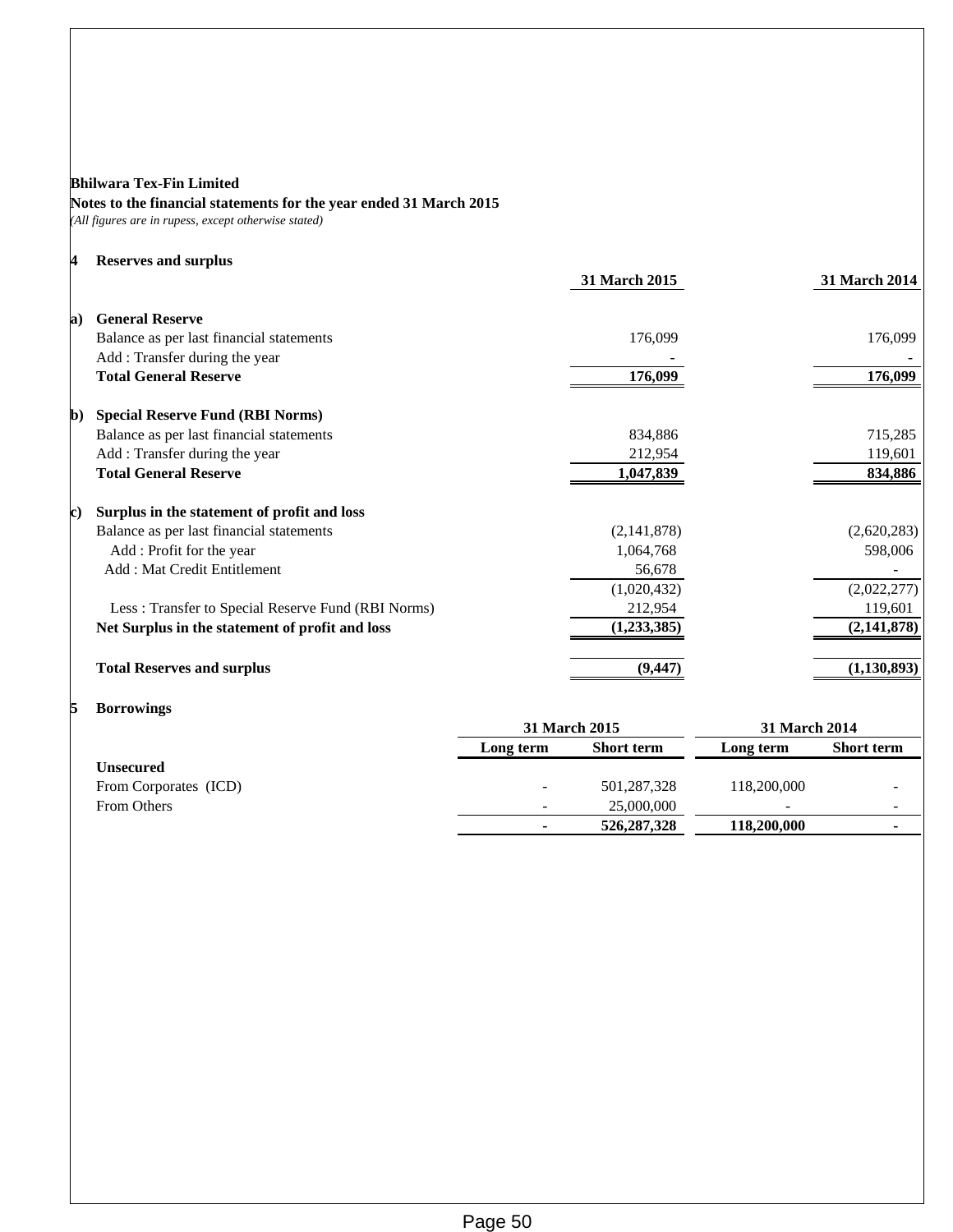### **Notes to the financial statements for the year ended 31 March 2015**

*(All figures are in rupess, except otherwise stated)*

**4 Reserves and surplus**

|                                       |                                                    | 31 March 2015 | <b>31 March 2014</b> |
|---------------------------------------|----------------------------------------------------|---------------|----------------------|
| <b>General Reserve</b><br>$ {\bf a})$ |                                                    |               |                      |
|                                       | Balance as per last financial statements           | 176,099       | 176,099              |
|                                       | Add: Transfer during the year                      |               |                      |
|                                       | <b>Total General Reserve</b>                       | 176,099       | 176,099              |
| $ {\bf b})$                           | <b>Special Reserve Fund (RBI Norms)</b>            |               |                      |
|                                       | Balance as per last financial statements           | 834,886       | 715,285              |
|                                       | Add: Transfer during the year                      | 212,954       | 119,601              |
|                                       | <b>Total General Reserve</b>                       | 1,047,839     | 834,886              |
| $ c\rangle$                           | Surplus in the statement of profit and loss        |               |                      |
|                                       | Balance as per last financial statements           | (2,141,878)   | (2,620,283)          |
|                                       | Add: Profit for the year                           | 1,064,768     | 598,006              |
|                                       | Add: Mat Credit Entitlement                        | 56,678        |                      |
|                                       |                                                    | (1,020,432)   | (2,022,277)          |
|                                       | Less: Transfer to Special Reserve Fund (RBI Norms) | 212,954       | 119,601              |
|                                       | Net Surplus in the statement of profit and loss    | (1, 233, 385) | (2,141,878)          |
|                                       | <b>Total Reserves and surplus</b>                  | (9, 447)      | (1, 130, 893)        |

### **5 Borrowings**

|                       |                          | 31 March 2015     |             | 31 March 2014            |
|-----------------------|--------------------------|-------------------|-------------|--------------------------|
|                       | Long term                | <b>Short term</b> | Long term   | <b>Short term</b>        |
| Unsecured             |                          |                   |             |                          |
| From Corporates (ICD) | $\overline{\phantom{a}}$ | 501,287,328       | 118,200,000 | $\overline{\phantom{0}}$ |
| From Others           | -                        | 25,000,000        | -           | $\overline{\phantom{a}}$ |
|                       | $\overline{\phantom{a}}$ | 526, 287, 328     | 118,200,000 | $\overline{\phantom{0}}$ |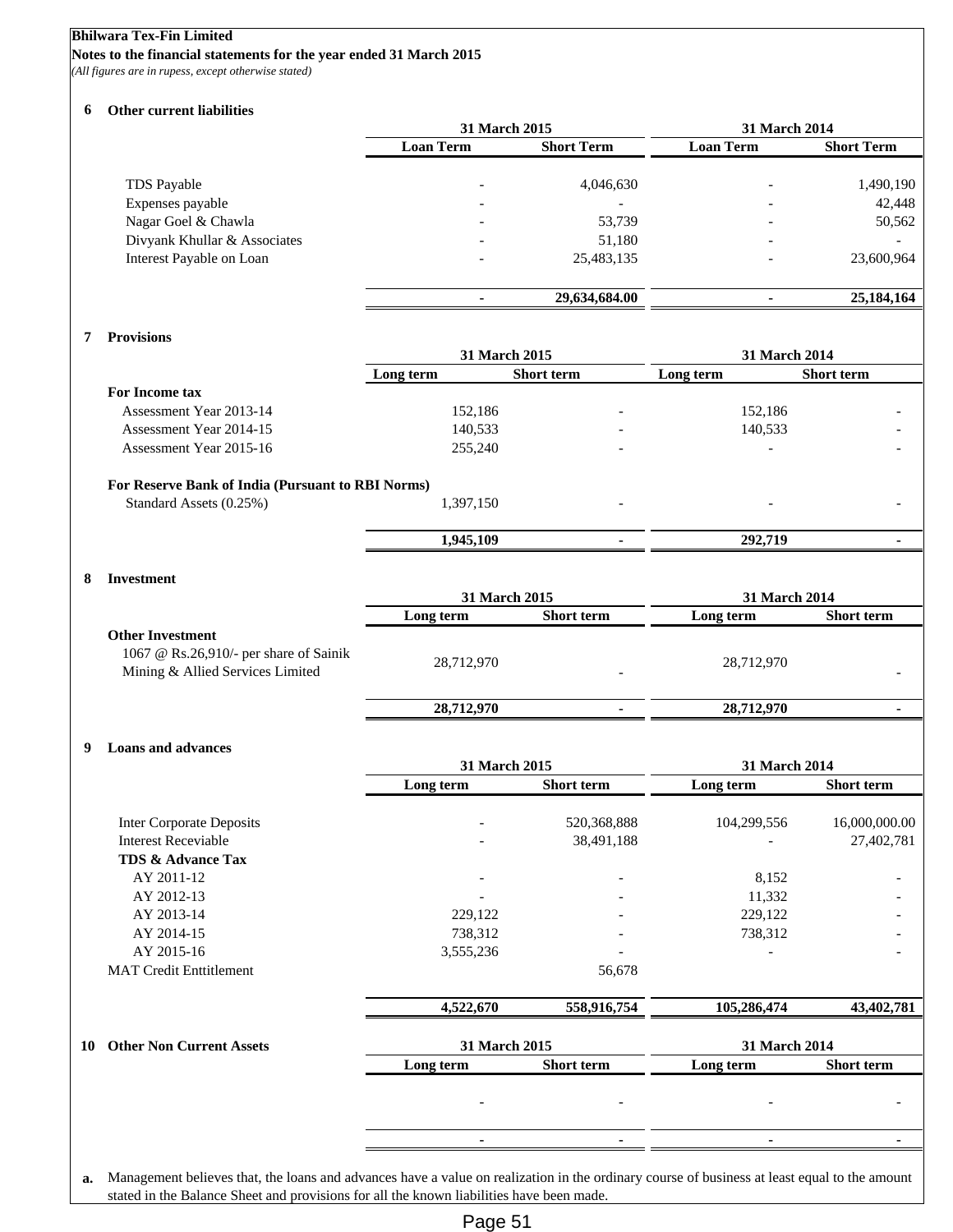#### **Bhilwara Tex-Fin Limited Notes to the financial statements for the year ended 31 March 2015**

*(All figures are in rupess, except otherwise stated)*

#### **6 Other current liabilities**

|                              | 31 March 2015    |                          | <b>31 March 2014</b> |                   |
|------------------------------|------------------|--------------------------|----------------------|-------------------|
|                              | <b>Loan Term</b> | <b>Short Term</b>        | <b>Loan Term</b>     | <b>Short Term</b> |
|                              |                  |                          |                      |                   |
| TDS Payable                  |                  | 4,046,630                |                      | 1,490,190         |
| Expenses payable             |                  | $\overline{\phantom{a}}$ |                      | 42,448            |
| Nagar Goel & Chawla          |                  | 53,739                   |                      | 50,562            |
| Divyank Khullar & Associates |                  | 51,180                   |                      |                   |
| Interest Payable on Loan     |                  | 25,483,135               |                      | 23,600,964        |
|                              |                  |                          |                      |                   |
|                              |                  | 29,634,684.00            |                      | 25,184,164        |

#### **7 Provisions**

|                                                                            | 31 March 2015 |                                | 31 March 2014        |                   |
|----------------------------------------------------------------------------|---------------|--------------------------------|----------------------|-------------------|
|                                                                            | Long term     | <b>Short</b> term<br>Long term |                      | <b>Short</b> term |
| For Income tax                                                             |               |                                |                      |                   |
| Assessment Year 2013-14                                                    | 152,186       |                                | 152,186              |                   |
| Assessment Year 2014-15                                                    | 140,533       |                                | 140,533              |                   |
| Assessment Year 2015-16                                                    | 255,240       |                                |                      |                   |
| For Reserve Bank of India (Pursuant to RBI Norms)                          |               |                                |                      |                   |
| Standard Assets (0.25%)                                                    | 1,397,150     |                                |                      |                   |
|                                                                            | 1,945,109     |                                | 292,719              |                   |
| 8<br><b>Investment</b>                                                     |               |                                |                      |                   |
|                                                                            | 31 March 2015 |                                | <b>31 March 2014</b> |                   |
|                                                                            | Long term     | <b>Short term</b>              | Long term            | <b>Short term</b> |
| <b>Other Investment</b>                                                    |               |                                |                      |                   |
| 1067 @ Rs.26,910/- per share of Sainik<br>Mining & Allied Services Limited | 28,712,970    |                                | 28,712,970           |                   |
|                                                                            | 28,712,970    |                                | 28,712,970           |                   |
| 9<br><b>Loans and advances</b>                                             |               |                                |                      |                   |

|                                       | 31 March 2015 |                   | 31 March 2014 |               |
|---------------------------------------|---------------|-------------------|---------------|---------------|
|                                       | Long term     | <b>Short</b> term | Long term     | Short term    |
| <b>Inter Corporate Deposits</b>       |               | 520,368,888       | 104,299,556   | 16,000,000.00 |
| <b>Interest Receviable</b>            |               | 38,491,188        |               | 27,402,781    |
| <b>TDS &amp; Advance Tax</b>          |               |                   |               |               |
| AY 2011-12                            |               |                   | 8,152         |               |
| AY 2012-13                            |               |                   | 11,332        |               |
| AY 2013-14                            | 229,122       |                   | 229,122       |               |
| AY 2014-15                            | 738,312       |                   | 738,312       |               |
| AY 2015-16                            | 3,555,236     |                   |               |               |
| <b>MAT Credit Enttitlement</b>        |               | 56,678            |               |               |
|                                       | 4,522,670     | 558,916,754       | 105,286,474   | 43,402,781    |
| <b>Other Non Current Assets</b><br>10 | 31 March 2015 |                   | 31 March 2014 |               |
|                                       | Long term     | <b>Short</b> term | Long term     | Short term    |
|                                       |               |                   |               |               |
|                                       |               |                   |               |               |

**a.** Management believes that, the loans and advances have a value on realization in the ordinary course of business at least equal to the amount stated in the Balance Sheet and provisions for all the known liabilities have been made.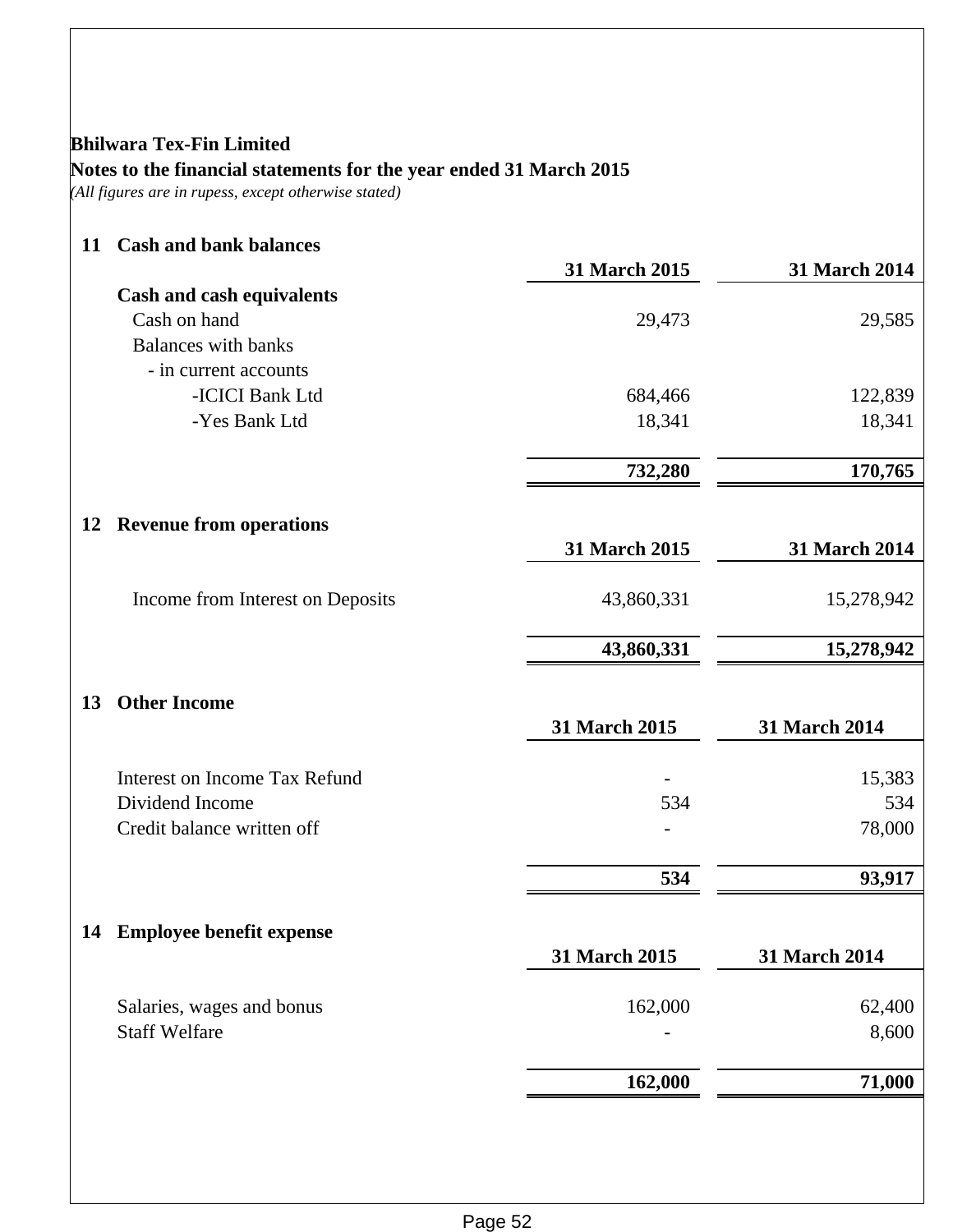## **Bhilwara Tex-Fin Limited Notes to the financial statements for the year ended 31 March 2015**

*(All figures are in rupess, except otherwise stated)*

## **11 Cash and bank balances**

|    |                                                  | 31 March 2015     | 31 March 2014     |
|----|--------------------------------------------------|-------------------|-------------------|
|    | <b>Cash and cash equivalents</b><br>Cash on hand | 29,473            | 29,585            |
|    | <b>Balances with banks</b>                       |                   |                   |
|    | - in current accounts                            |                   |                   |
|    | -ICICI Bank Ltd<br>-Yes Bank Ltd                 | 684,466<br>18,341 | 122,839<br>18,341 |
|    |                                                  |                   |                   |
|    |                                                  | 732,280           | 170,765           |
| 12 | <b>Revenue from operations</b>                   |                   |                   |
|    |                                                  | 31 March 2015     | 31 March 2014     |
|    | Income from Interest on Deposits                 | 43,860,331        | 15,278,942        |
|    |                                                  | 43,860,331        | 15,278,942        |
|    |                                                  |                   |                   |
| 13 | <b>Other Income</b>                              | 31 March 2015     | 31 March 2014     |
|    |                                                  |                   |                   |
|    | <b>Interest on Income Tax Refund</b>             |                   | 15,383            |
|    | Dividend Income<br>Credit balance written off    | 534               | 534<br>78,000     |
|    |                                                  |                   |                   |
|    |                                                  | 534               | 93,917            |
| 14 | <b>Employee benefit expense</b>                  |                   |                   |
|    |                                                  | 31 March 2015     | 31 March 2014     |
|    | Salaries, wages and bonus                        | 162,000           | 62,400            |
|    | <b>Staff Welfare</b>                             |                   | 8,600             |
|    |                                                  | 162,000           | 71,000            |
|    |                                                  |                   |                   |
|    |                                                  |                   |                   |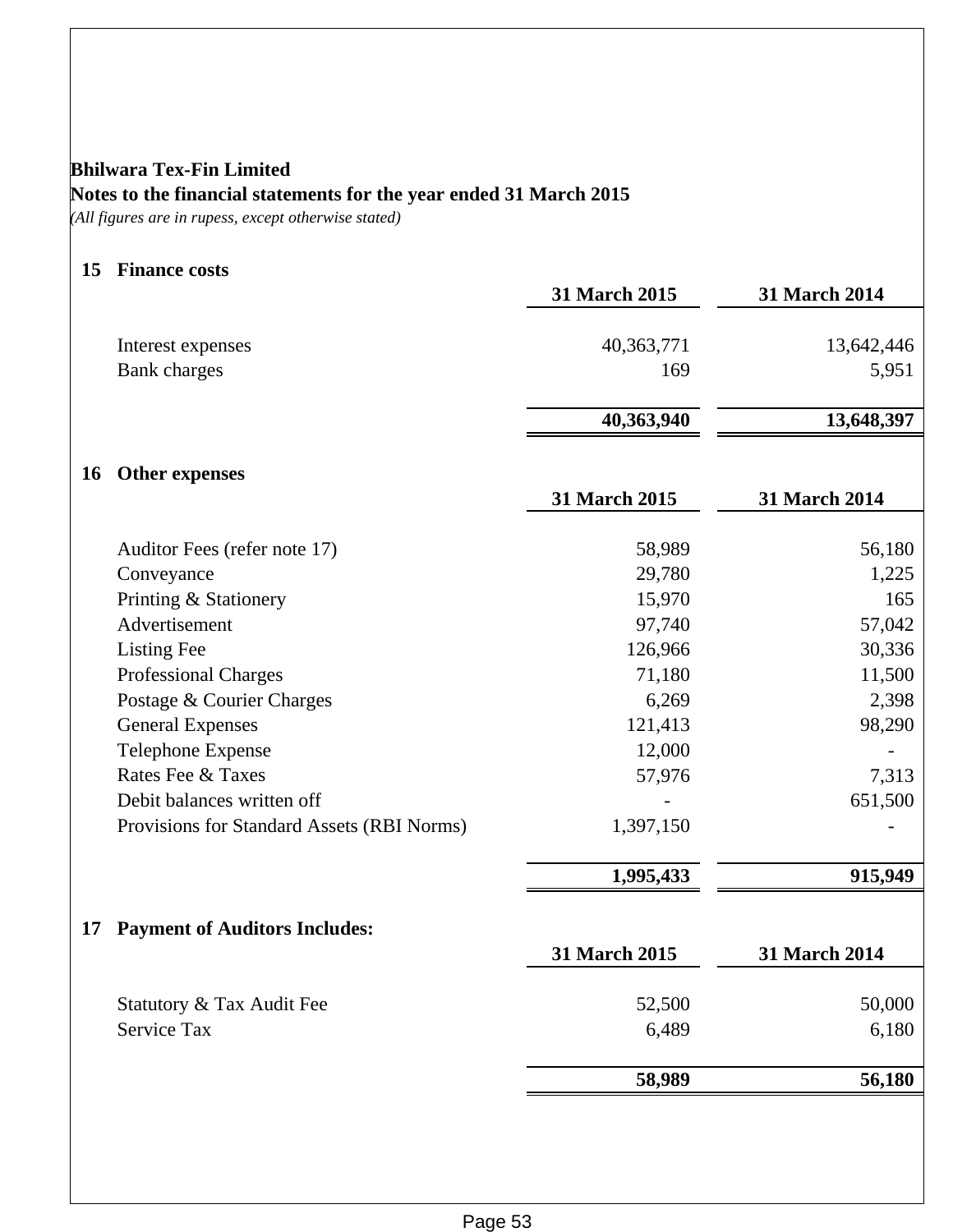## **Bhilwara Tex-Fin Limited Notes to the financial statements for the year ended 31 March 2015**

*(All figures are in rupess, except otherwise stated)*

| 15        | <b>Finance costs</b>                       |                      |                      |
|-----------|--------------------------------------------|----------------------|----------------------|
|           |                                            | 31 March 2015        | 31 March 2014        |
|           | Interest expenses                          | 40,363,771           | 13,642,446           |
|           |                                            | 169                  | 5,951                |
|           | <b>Bank</b> charges                        |                      |                      |
|           |                                            | 40,363,940           | 13,648,397           |
| <b>16</b> | <b>Other expenses</b>                      |                      |                      |
|           |                                            | 31 March 2015        | 31 March 2014        |
|           | Auditor Fees (refer note 17)               | 58,989               | 56,180               |
|           | Conveyance                                 | 29,780               | 1,225                |
|           | Printing & Stationery                      | 15,970               | 165                  |
|           | Advertisement                              | 97,740               | 57,042               |
|           | <b>Listing Fee</b>                         | 126,966              | 30,336               |
|           | <b>Professional Charges</b>                | 71,180               | 11,500               |
|           | Postage & Courier Charges                  | 6,269                | 2,398                |
|           | <b>General Expenses</b>                    | 121,413              | 98,290               |
|           | Telephone Expense                          | 12,000               |                      |
|           | Rates Fee & Taxes                          | 57,976               | 7,313                |
|           | Debit balances written off                 |                      | 651,500              |
|           | Provisions for Standard Assets (RBI Norms) | 1,397,150            |                      |
|           |                                            | 1,995,433            | 915,949              |
| 17        | <b>Payment of Auditors Includes:</b>       |                      |                      |
|           |                                            | <b>31 March 2015</b> | <b>31 March 2014</b> |
|           | Statutory & Tax Audit Fee                  | 52,500               | 50,000               |
|           | Service Tax                                | 6,489                | 6,180                |
|           |                                            | 58,989               | 56,180               |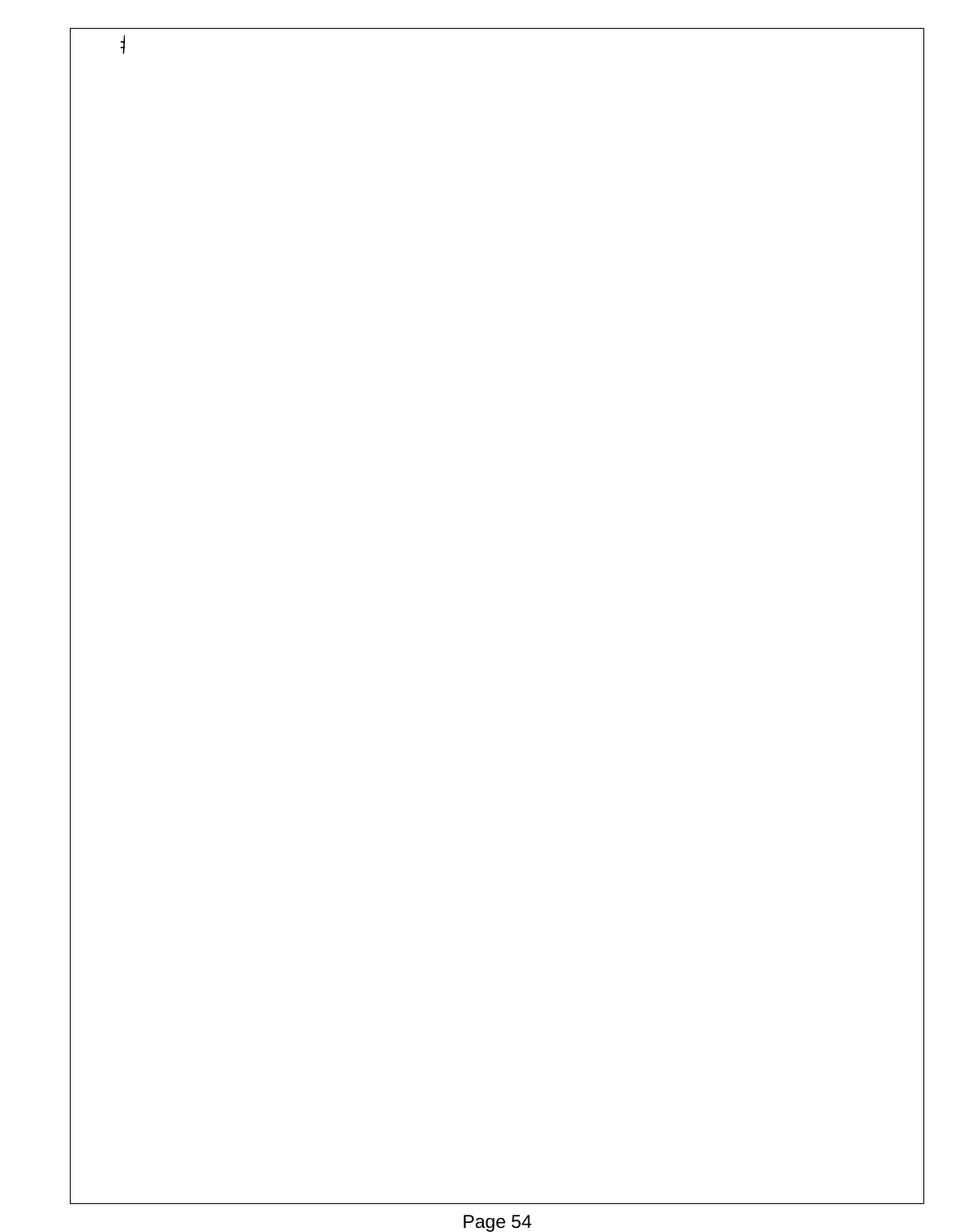

 $\frac{1}{2}$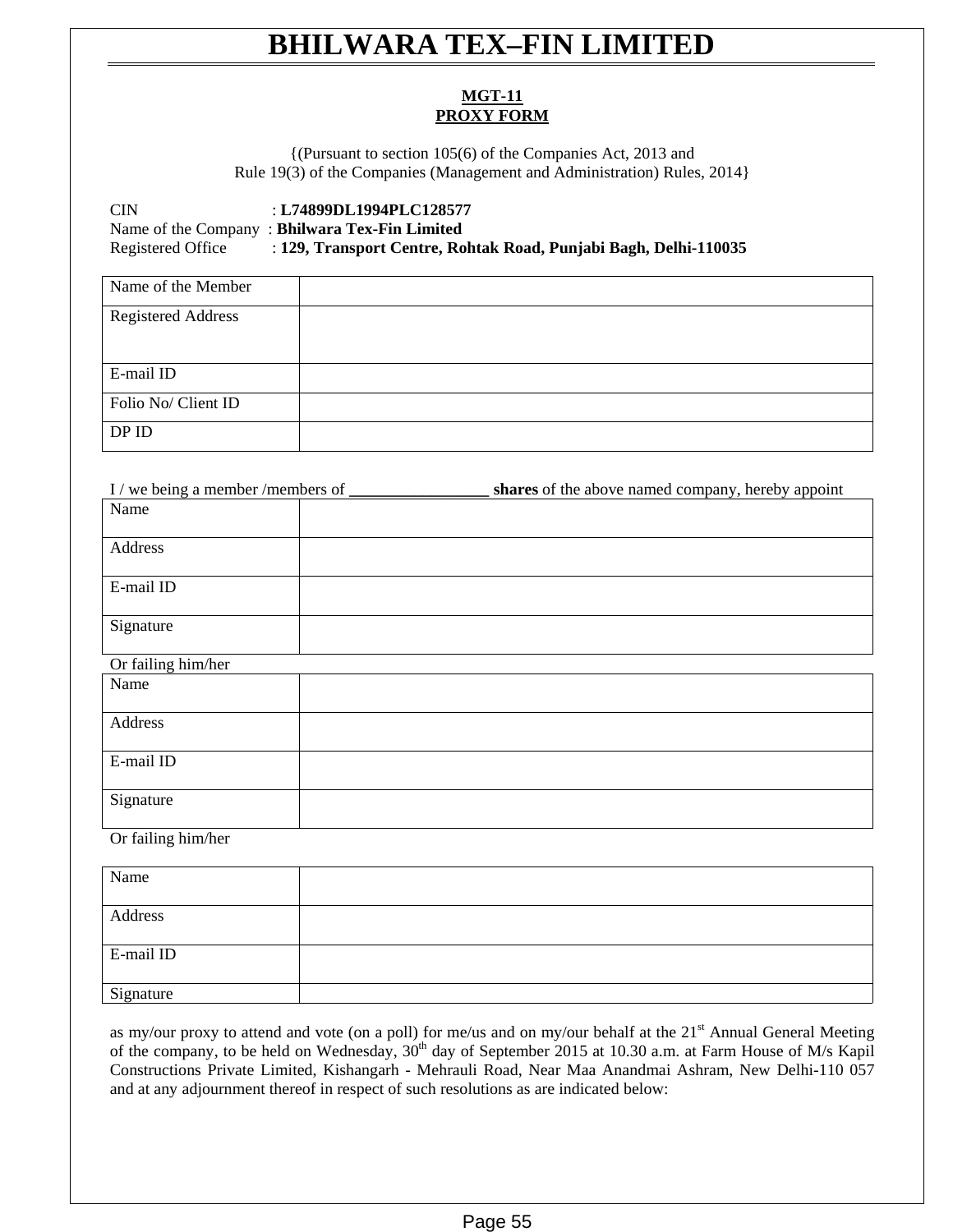### **MGT-11 PROXY FORM**

{(Pursuant to section 105(6) of the Companies Act, 2013 and Rule 19(3) of the Companies (Management and Administration) Rules, 2014}

CIN : **L74899DL1994PLC128577**  Name of the Company : **Bhilwara Tex-Fin Limited** Registered Office : **129, Transport Centre, Rohtak Road, Punjabi Bagh, Delhi-110035**

| Name of the Member        |  |
|---------------------------|--|
| <b>Registered Address</b> |  |
|                           |  |
| E-mail ID                 |  |
| Folio No/ Client ID       |  |
| DP ID                     |  |

| I / we being a member /members of _ | shares of the above named company, hereby appoint |
|-------------------------------------|---------------------------------------------------|
| Name                                |                                                   |
|                                     |                                                   |
| Address                             |                                                   |
|                                     |                                                   |
| E-mail ID                           |                                                   |
|                                     |                                                   |
| Signature                           |                                                   |
|                                     |                                                   |
| Or failing him/her                  |                                                   |
| Name                                |                                                   |
|                                     |                                                   |
| Address                             |                                                   |
|                                     |                                                   |
| E-mail ID                           |                                                   |
|                                     |                                                   |
| Signature                           |                                                   |
|                                     |                                                   |
| Or failing him/her                  |                                                   |
|                                     |                                                   |

| Name      |  |
|-----------|--|
| Address   |  |
| E-mail ID |  |
| Signature |  |

as my/our proxy to attend and vote (on a poll) for me/us and on my/our behalf at the 21<sup>st</sup> Annual General Meeting of the company, to be held on Wednesday,  $30<sup>th</sup>$  day of September 2015 at 10.30 a.m. at Farm House of M/s Kapil Constructions Private Limited, Kishangarh - Mehrauli Road, Near Maa Anandmai Ashram, New Delhi-110 057 and at any adjournment thereof in respect of such resolutions as are indicated below: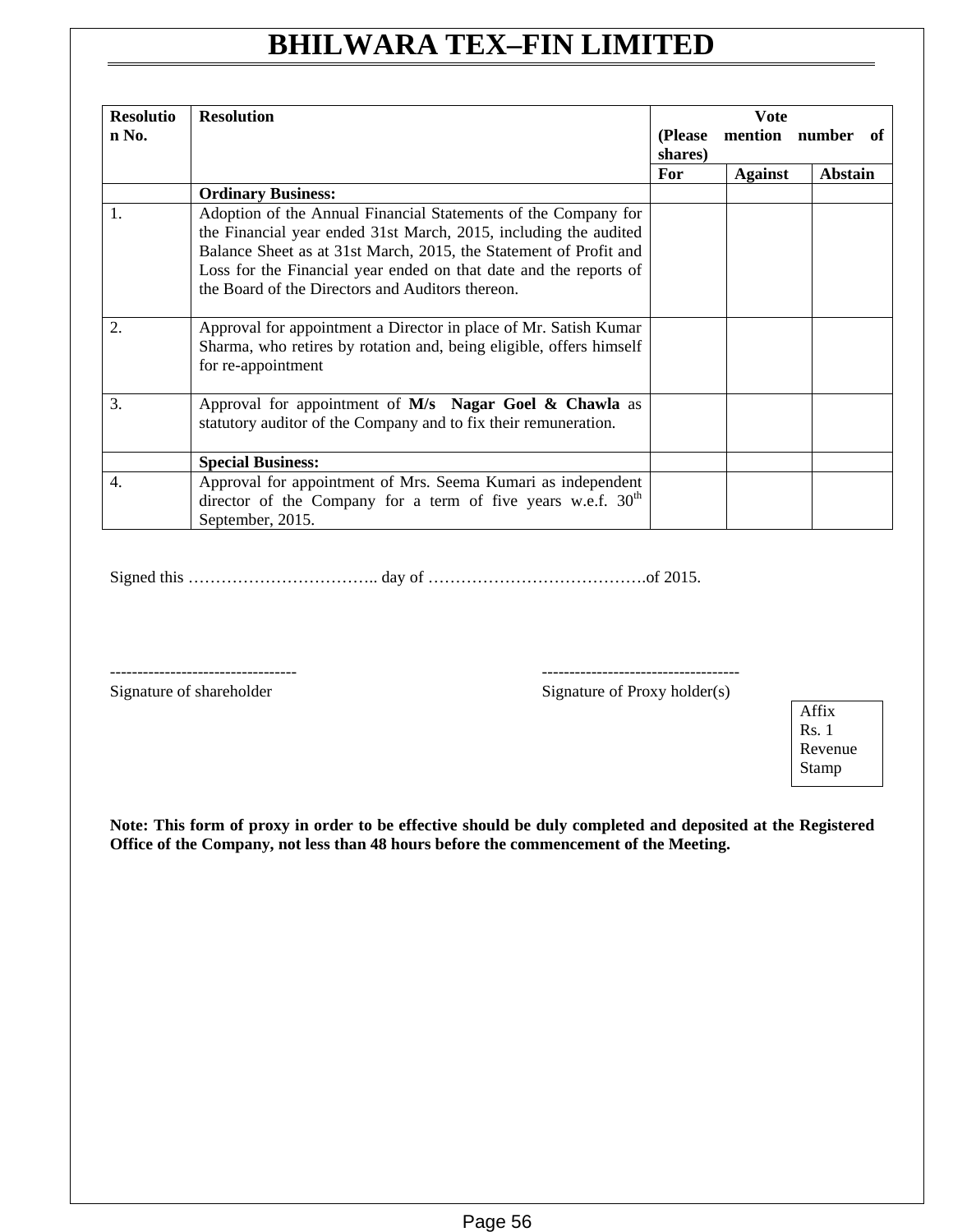| <b>Resolutio</b> | <b>Resolution</b>                                                                                                                                                                                                                                                                                                                |         | <b>V</b> ote   |                           |
|------------------|----------------------------------------------------------------------------------------------------------------------------------------------------------------------------------------------------------------------------------------------------------------------------------------------------------------------------------|---------|----------------|---------------------------|
| $n$ No.          |                                                                                                                                                                                                                                                                                                                                  |         |                | (Please mention number of |
|                  |                                                                                                                                                                                                                                                                                                                                  | shares) |                |                           |
|                  |                                                                                                                                                                                                                                                                                                                                  | For     | <b>Against</b> | Abstain                   |
|                  | <b>Ordinary Business:</b>                                                                                                                                                                                                                                                                                                        |         |                |                           |
| 1.               | Adoption of the Annual Financial Statements of the Company for<br>the Financial year ended 31st March, 2015, including the audited<br>Balance Sheet as at 31st March, 2015, the Statement of Profit and<br>Loss for the Financial year ended on that date and the reports of<br>the Board of the Directors and Auditors thereon. |         |                |                           |
| 2.               | Approval for appointment a Director in place of Mr. Satish Kumar<br>Sharma, who retires by rotation and, being eligible, offers himself<br>for re-appointment                                                                                                                                                                    |         |                |                           |
| 3.               | Approval for appointment of M/s Nagar Goel & Chawla as<br>statutory auditor of the Company and to fix their remuneration.                                                                                                                                                                                                        |         |                |                           |
|                  | <b>Special Business:</b>                                                                                                                                                                                                                                                                                                         |         |                |                           |
| 4.               | Approval for appointment of Mrs. Seema Kumari as independent<br>director of the Company for a term of five years w.e.f. $30th$<br>September, 2015.                                                                                                                                                                               |         |                |                           |

Signed this …………………………….. day of ………………………………….of 2015.

Signature of shareholder Signature of Proxy holder(s)

---------------------------------- ------------------------------------

Affix Rs. 1 Revenue Stamp

**Note: This form of proxy in order to be effective should be duly completed and deposited at the Registered Office of the Company, not less than 48 hours before the commencement of the Meeting.**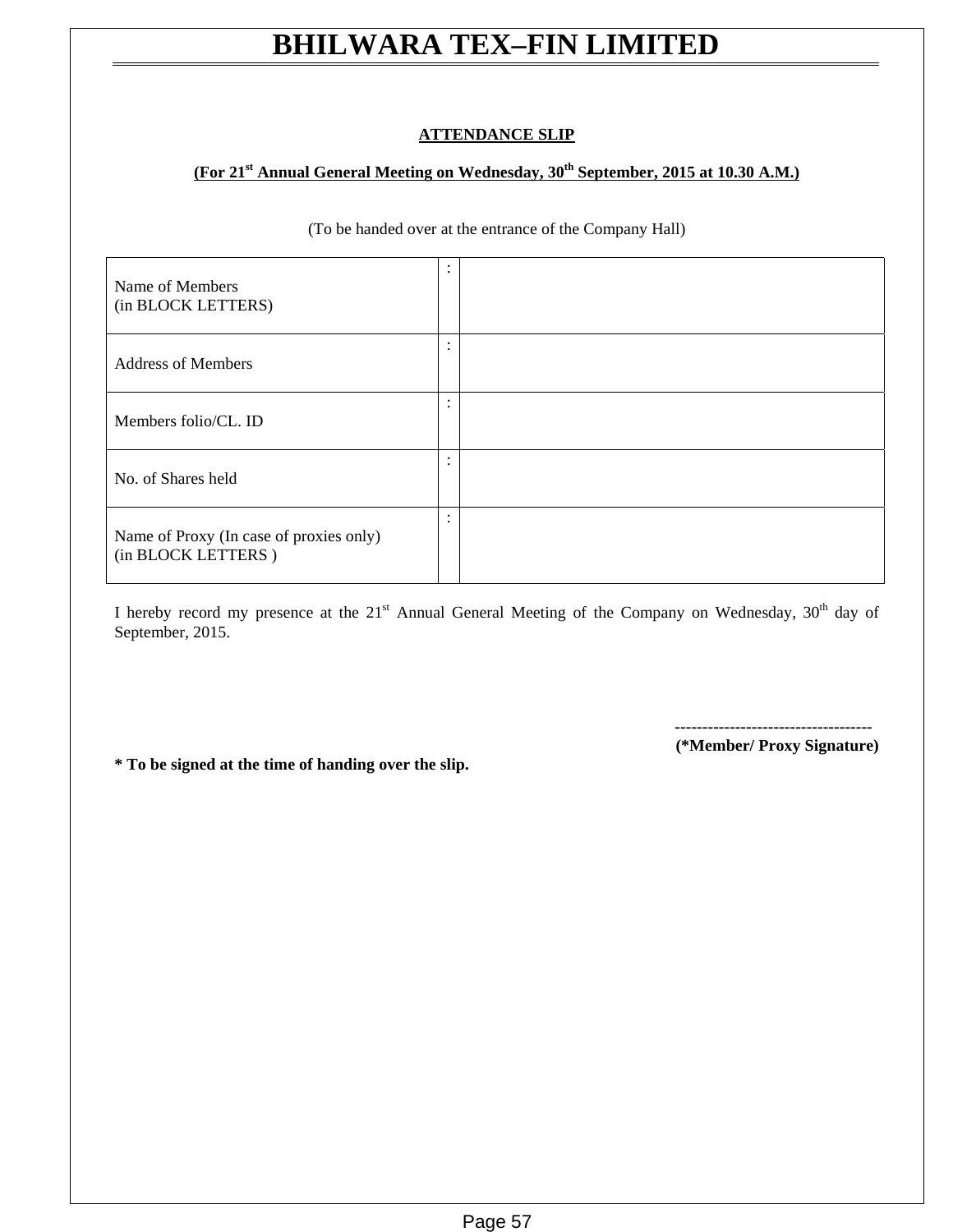### **ATTENDANCE SLIP**

## **(For 21<sup>st</sup> Annual General Meeting on Wednesday, 30<sup>th</sup> September, 2015 at 10.30 A.M.)**

(To be handed over at the entrance of the Company Hall)

| Name of Members<br>(in BLOCK LETTERS)                         | $\bullet$<br>$\cdot$              |  |
|---------------------------------------------------------------|-----------------------------------|--|
| <b>Address of Members</b>                                     | ٠<br>$\ddot{\phantom{1}}$         |  |
| Members folio/CL. ID                                          | ٠<br>$\bullet$                    |  |
| No. of Shares held                                            | ٠<br>$\bullet$                    |  |
| Name of Proxy (In case of proxies only)<br>(in BLOCK LETTERS) | $\bullet$<br>$\ddot{\phantom{1}}$ |  |

I hereby record my presence at the 21<sup>st</sup> Annual General Meeting of the Company on Wednesday, 30<sup>th</sup> day of September, 2015.

 **------------------------------------ (\*Member/ Proxy Signature)** 

**\* To be signed at the time of handing over the slip.**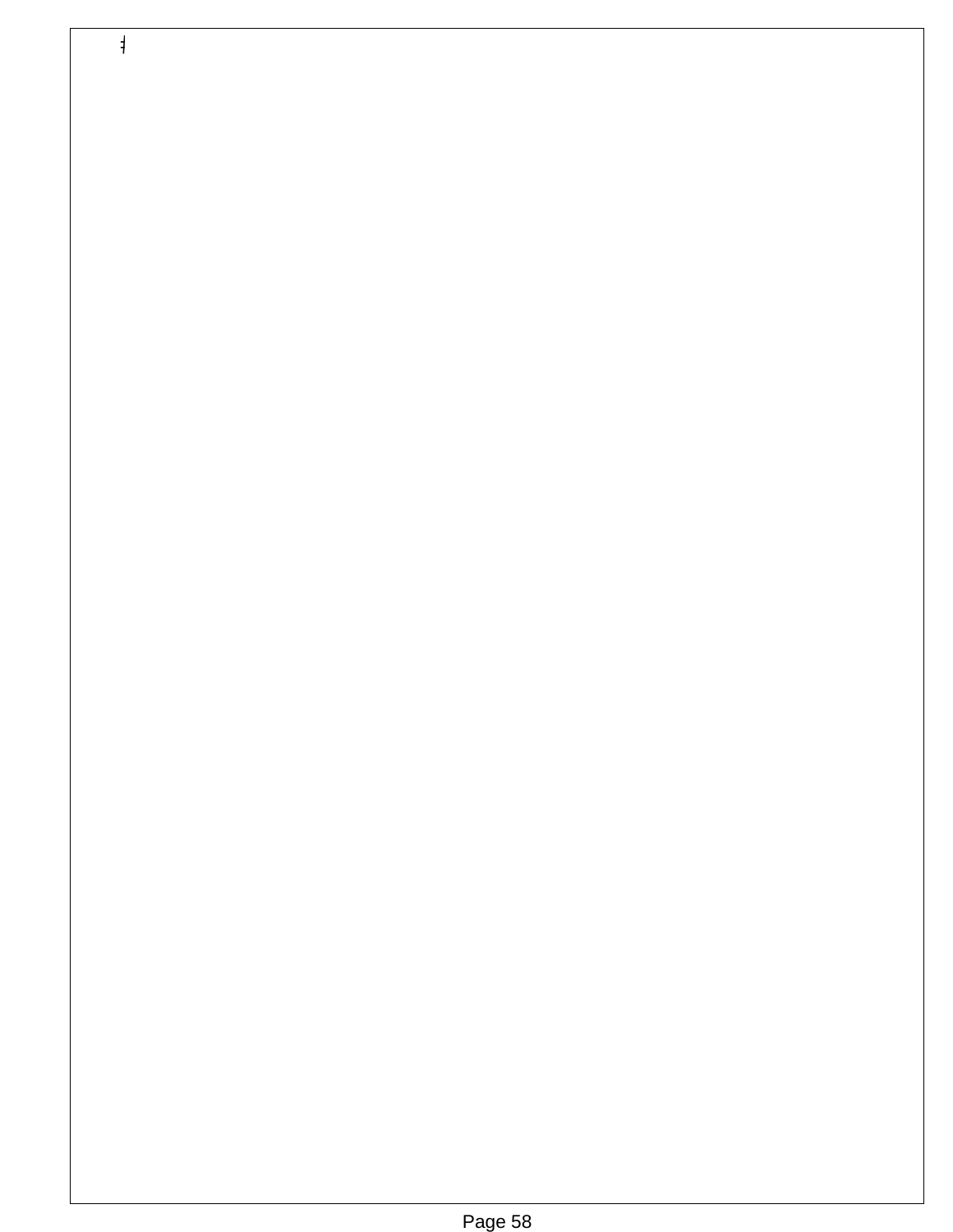

 $\frac{1}{2}$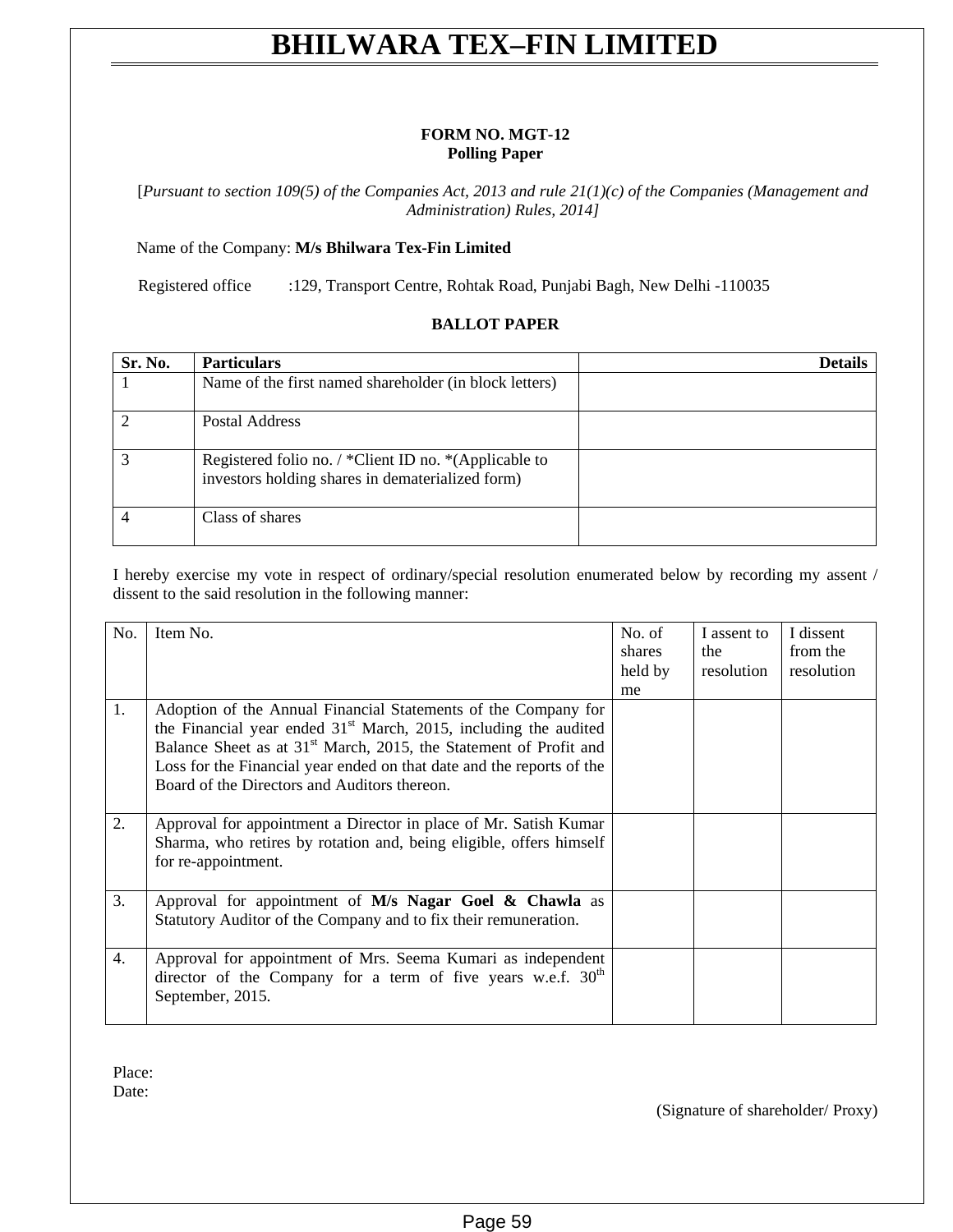#### **FORM NO. MGT-12 Polling Paper**

[*Pursuant to section 109(5) of the Companies Act, 2013 and rule 21(1)(c) of the Companies (Management and Administration) Rules, 2014]*

Name of the Company: **M/s Bhilwara Tex-Fin Limited**

Registered office :129, Transport Centre, Rohtak Road, Punjabi Bagh, New Delhi -110035

#### **BALLOT PAPER**

| Sr. No. | <b>Particulars</b>                                                                                         | <b>Details</b> |
|---------|------------------------------------------------------------------------------------------------------------|----------------|
|         | Name of the first named shareholder (in block letters)                                                     |                |
|         | Postal Address                                                                                             |                |
|         | Registered folio no. / *Client ID no. * (Applicable to<br>investors holding shares in dematerialized form) |                |
|         | Class of shares                                                                                            |                |

I hereby exercise my vote in respect of ordinary/special resolution enumerated below by recording my assent / dissent to the said resolution in the following manner:

| No.              | Item No.                                                                                                                                                                                                                                                                                                                                       | No. of<br>shares<br>held by<br>me | I assent to<br>the<br>resolution | I dissent<br>from the<br>resolution |
|------------------|------------------------------------------------------------------------------------------------------------------------------------------------------------------------------------------------------------------------------------------------------------------------------------------------------------------------------------------------|-----------------------------------|----------------------------------|-------------------------------------|
| $\mathbf{1}$ .   | Adoption of the Annual Financial Statements of the Company for<br>the Financial year ended $31st$ March, 2015, including the audited<br>Balance Sheet as at 31 <sup>st</sup> March, 2015, the Statement of Profit and<br>Loss for the Financial year ended on that date and the reports of the<br>Board of the Directors and Auditors thereon. |                                   |                                  |                                     |
| 2.               | Approval for appointment a Director in place of Mr. Satish Kumar<br>Sharma, who retires by rotation and, being eligible, offers himself<br>for re-appointment.                                                                                                                                                                                 |                                   |                                  |                                     |
| 3.               | Approval for appointment of $M/s$ Nagar Goel & Chawla as<br>Statutory Auditor of the Company and to fix their remuneration.                                                                                                                                                                                                                    |                                   |                                  |                                     |
| $\overline{4}$ . | Approval for appointment of Mrs. Seema Kumari as independent<br>director of the Company for a term of five years w.e.f. 30 <sup>th</sup><br>September, 2015.                                                                                                                                                                                   |                                   |                                  |                                     |

Place: Date:

(Signature of shareholder/ Proxy)